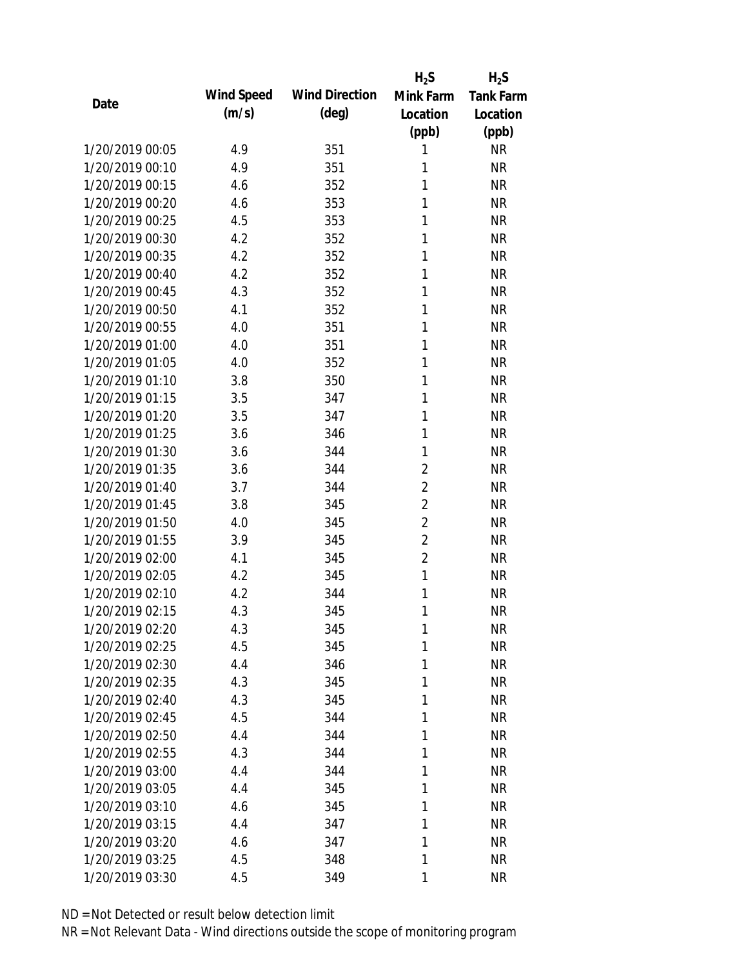|                 |            |                       | $H_2S$         | $H_2S$           |
|-----------------|------------|-----------------------|----------------|------------------|
| Date            | Wind Speed | <b>Wind Direction</b> | Mink Farm      | <b>Tank Farm</b> |
|                 | (m/s)      | $(\text{deg})$        | Location       | Location         |
|                 |            |                       | (ppb)          | (ppb)            |
| 1/20/2019 00:05 | 4.9        | 351                   | 1              | <b>NR</b>        |
| 1/20/2019 00:10 | 4.9        | 351                   | 1              | <b>NR</b>        |
| 1/20/2019 00:15 | 4.6        | 352                   | 1              | <b>NR</b>        |
| 1/20/2019 00:20 | 4.6        | 353                   | 1              | <b>NR</b>        |
| 1/20/2019 00:25 | 4.5        | 353                   | 1              | <b>NR</b>        |
| 1/20/2019 00:30 | 4.2        | 352                   | 1              | <b>NR</b>        |
| 1/20/2019 00:35 | 4.2        | 352                   | 1              | <b>NR</b>        |
| 1/20/2019 00:40 | 4.2        | 352                   | 1              | <b>NR</b>        |
| 1/20/2019 00:45 | 4.3        | 352                   | 1              | <b>NR</b>        |
| 1/20/2019 00:50 | 4.1        | 352                   | 1              | <b>NR</b>        |
| 1/20/2019 00:55 | 4.0        | 351                   | 1              | <b>NR</b>        |
| 1/20/2019 01:00 | 4.0        | 351                   | 1              | <b>NR</b>        |
| 1/20/2019 01:05 | 4.0        | 352                   | 1              | <b>NR</b>        |
| 1/20/2019 01:10 | 3.8        | 350                   | 1              | <b>NR</b>        |
| 1/20/2019 01:15 | 3.5        | 347                   | 1              | <b>NR</b>        |
| 1/20/2019 01:20 | 3.5        | 347                   | 1              | <b>NR</b>        |
| 1/20/2019 01:25 | 3.6        | 346                   | 1              | <b>NR</b>        |
| 1/20/2019 01:30 | 3.6        | 344                   | 1              | <b>NR</b>        |
| 1/20/2019 01:35 | 3.6        | 344                   | $\overline{2}$ | <b>NR</b>        |
| 1/20/2019 01:40 | 3.7        | 344                   | $\overline{2}$ | <b>NR</b>        |
| 1/20/2019 01:45 | 3.8        | 345                   | $\overline{2}$ | <b>NR</b>        |
| 1/20/2019 01:50 | 4.0        | 345                   | $\overline{2}$ | <b>NR</b>        |
| 1/20/2019 01:55 | 3.9        | 345                   | $\overline{2}$ | <b>NR</b>        |
| 1/20/2019 02:00 | 4.1        | 345                   | $\overline{2}$ | <b>NR</b>        |
| 1/20/2019 02:05 | 4.2        | 345                   | $\mathbf{1}$   | <b>NR</b>        |
| 1/20/2019 02:10 | 4.2        | 344                   | 1              | <b>NR</b>        |
| 1/20/2019 02:15 | 4.3        | 345                   | 1              | <b>NR</b>        |
| 1/20/2019 02:20 | 4.3        | 345                   | 1              | <b>NR</b>        |
| 1/20/2019 02:25 | 4.5        | 345                   | 1              | <b>NR</b>        |
| 1/20/2019 02:30 | 4.4        | 346                   | 1              | <b>NR</b>        |
| 1/20/2019 02:35 | 4.3        | 345                   | 1              | <b>NR</b>        |
| 1/20/2019 02:40 | 4.3        | 345                   | 1              | <b>NR</b>        |
| 1/20/2019 02:45 | 4.5        | 344                   | 1              | <b>NR</b>        |
| 1/20/2019 02:50 | 4.4        | 344                   | 1              | <b>NR</b>        |
| 1/20/2019 02:55 | 4.3        | 344                   | 1              | <b>NR</b>        |
| 1/20/2019 03:00 | 4.4        | 344                   | 1              | <b>NR</b>        |
| 1/20/2019 03:05 | 4.4        | 345                   | 1              | <b>NR</b>        |
| 1/20/2019 03:10 | 4.6        | 345                   | 1              | <b>NR</b>        |
| 1/20/2019 03:15 | 4.4        | 347                   | 1              | <b>NR</b>        |
| 1/20/2019 03:20 | 4.6        | 347                   | 1              | <b>NR</b>        |
| 1/20/2019 03:25 | 4.5        | 348                   | 1              | <b>NR</b>        |
| 1/20/2019 03:30 | 4.5        | 349                   | 1              | <b>NR</b>        |
|                 |            |                       |                |                  |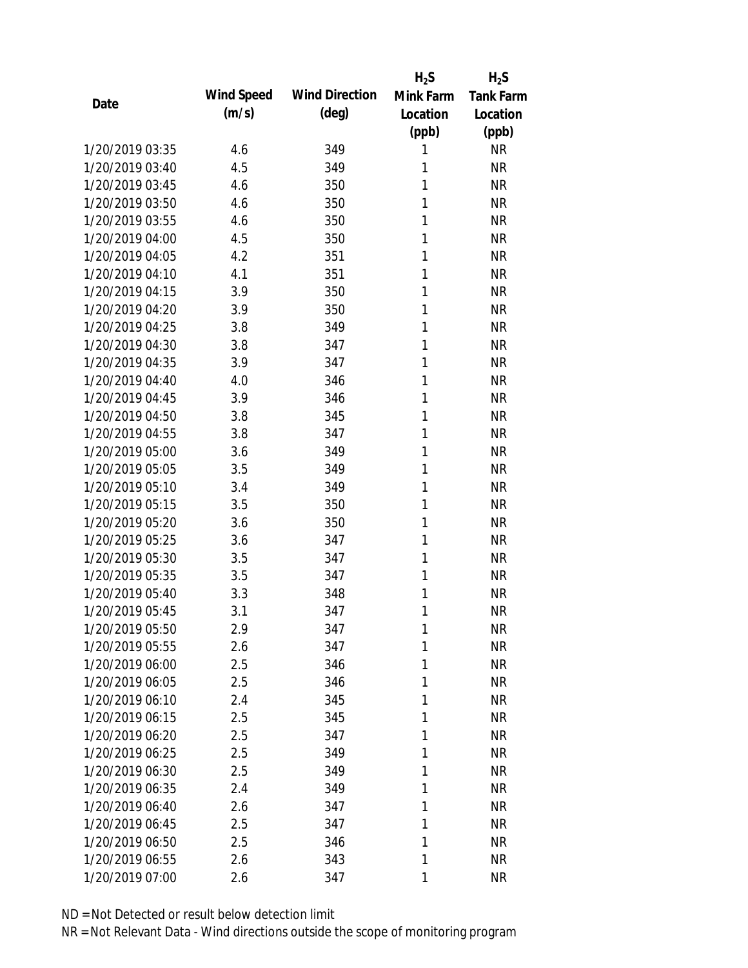|                 |            |                       | $H_2S$    | $H_2S$           |
|-----------------|------------|-----------------------|-----------|------------------|
|                 | Wind Speed | <b>Wind Direction</b> | Mink Farm | <b>Tank Farm</b> |
| Date            | (m/s)      | $(\text{deg})$        | Location  | Location         |
|                 |            |                       | (ppb)     | (ppb)            |
| 1/20/2019 03:35 | 4.6        | 349                   | 1         | <b>NR</b>        |
| 1/20/2019 03:40 | 4.5        | 349                   | 1         | <b>NR</b>        |
| 1/20/2019 03:45 | 4.6        | 350                   | 1         | <b>NR</b>        |
| 1/20/2019 03:50 | 4.6        | 350                   | 1         | <b>NR</b>        |
| 1/20/2019 03:55 | 4.6        | 350                   | 1         | <b>NR</b>        |
| 1/20/2019 04:00 | 4.5        | 350                   | 1         | <b>NR</b>        |
| 1/20/2019 04:05 | 4.2        | 351                   | 1         | <b>NR</b>        |
| 1/20/2019 04:10 | 4.1        | 351                   | 1         | <b>NR</b>        |
| 1/20/2019 04:15 | 3.9        | 350                   | 1         | <b>NR</b>        |
| 1/20/2019 04:20 | 3.9        | 350                   | 1         | <b>NR</b>        |
| 1/20/2019 04:25 | 3.8        | 349                   | 1         | <b>NR</b>        |
| 1/20/2019 04:30 | 3.8        | 347                   | 1         | <b>NR</b>        |
| 1/20/2019 04:35 | 3.9        | 347                   | 1         | <b>NR</b>        |
| 1/20/2019 04:40 | 4.0        | 346                   | 1         | <b>NR</b>        |
| 1/20/2019 04:45 | 3.9        | 346                   | 1         | <b>NR</b>        |
| 1/20/2019 04:50 | 3.8        | 345                   | 1         | <b>NR</b>        |
| 1/20/2019 04:55 | 3.8        | 347                   | 1         | <b>NR</b>        |
| 1/20/2019 05:00 | 3.6        | 349                   | 1         | <b>NR</b>        |
| 1/20/2019 05:05 | 3.5        | 349                   | 1         | <b>NR</b>        |
| 1/20/2019 05:10 | 3.4        | 349                   | 1         | <b>NR</b>        |
| 1/20/2019 05:15 | 3.5        | 350                   | 1         | <b>NR</b>        |
| 1/20/2019 05:20 | 3.6        | 350                   | 1         | <b>NR</b>        |
| 1/20/2019 05:25 | 3.6        | 347                   | 1         | <b>NR</b>        |
| 1/20/2019 05:30 | 3.5        | 347                   | 1         | <b>NR</b>        |
| 1/20/2019 05:35 | 3.5        | 347                   | 1         | <b>NR</b>        |
| 1/20/2019 05:40 | 3.3        | 348                   | 1         | <b>NR</b>        |
| 1/20/2019 05:45 | 3.1        | 347                   | 1         | <b>NR</b>        |
| 1/20/2019 05:50 | 2.9        | 347                   | 1         | <b>NR</b>        |
| 1/20/2019 05:55 | 2.6        | 347                   | 1         | <b>NR</b>        |
| 1/20/2019 06:00 | 2.5        | 346                   | 1         | <b>NR</b>        |
| 1/20/2019 06:05 | 2.5        | 346                   | 1         | <b>NR</b>        |
| 1/20/2019 06:10 | 2.4        | 345                   | 1         | <b>NR</b>        |
| 1/20/2019 06:15 | 2.5        | 345                   | 1         | NR               |
| 1/20/2019 06:20 | 2.5        | 347                   | 1         | <b>NR</b>        |
| 1/20/2019 06:25 | 2.5        | 349                   | 1         | <b>NR</b>        |
| 1/20/2019 06:30 | 2.5        | 349                   | 1         | <b>NR</b>        |
| 1/20/2019 06:35 | 2.4        | 349                   | 1         | <b>NR</b>        |
| 1/20/2019 06:40 | 2.6        | 347                   | 1         | <b>NR</b>        |
| 1/20/2019 06:45 | 2.5        | 347                   | 1         | NR               |
| 1/20/2019 06:50 | 2.5        | 346                   | 1         | <b>NR</b>        |
| 1/20/2019 06:55 | 2.6        | 343                   | 1         | <b>NR</b>        |
| 1/20/2019 07:00 | 2.6        | 347                   | 1         | <b>NR</b>        |
|                 |            |                       |           |                  |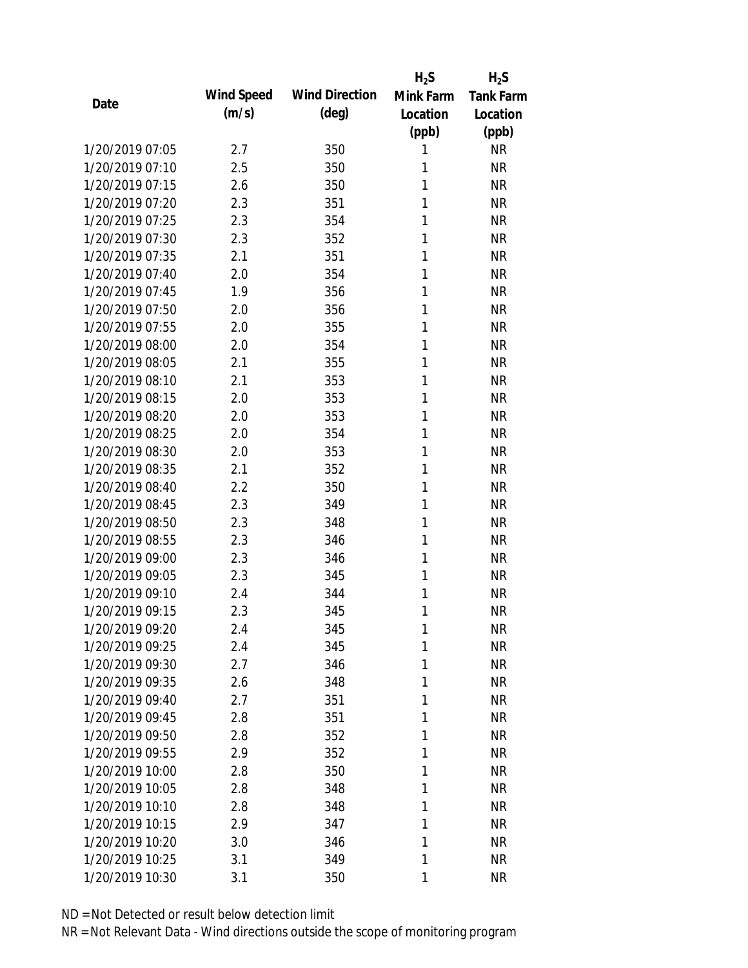|                 |            |                       | $H_2S$    | $H_2S$           |
|-----------------|------------|-----------------------|-----------|------------------|
| Date            | Wind Speed | <b>Wind Direction</b> | Mink Farm | <b>Tank Farm</b> |
|                 | (m/s)      | $(\text{deg})$        | Location  | Location         |
|                 |            |                       | (ppb)     | (ppb)            |
| 1/20/2019 07:05 | 2.7        | 350                   | 1         | <b>NR</b>        |
| 1/20/2019 07:10 | 2.5        | 350                   | 1         | <b>NR</b>        |
| 1/20/2019 07:15 | 2.6        | 350                   | 1         | <b>NR</b>        |
| 1/20/2019 07:20 | 2.3        | 351                   | 1         | <b>NR</b>        |
| 1/20/2019 07:25 | 2.3        | 354                   | 1         | <b>NR</b>        |
| 1/20/2019 07:30 | 2.3        | 352                   | 1         | <b>NR</b>        |
| 1/20/2019 07:35 | 2.1        | 351                   | 1         | <b>NR</b>        |
| 1/20/2019 07:40 | 2.0        | 354                   | 1         | <b>NR</b>        |
| 1/20/2019 07:45 | 1.9        | 356                   | 1         | <b>NR</b>        |
| 1/20/2019 07:50 | 2.0        | 356                   | 1         | <b>NR</b>        |
| 1/20/2019 07:55 | 2.0        | 355                   | 1         | <b>NR</b>        |
| 1/20/2019 08:00 | 2.0        | 354                   | 1         | <b>NR</b>        |
| 1/20/2019 08:05 | 2.1        | 355                   | 1         | <b>NR</b>        |
| 1/20/2019 08:10 | 2.1        | 353                   | 1         | <b>NR</b>        |
| 1/20/2019 08:15 | 2.0        | 353                   | 1         | <b>NR</b>        |
| 1/20/2019 08:20 | 2.0        | 353                   | 1         | <b>NR</b>        |
| 1/20/2019 08:25 | 2.0        | 354                   | 1         | <b>NR</b>        |
| 1/20/2019 08:30 | 2.0        | 353                   | 1         | <b>NR</b>        |
| 1/20/2019 08:35 | 2.1        | 352                   | 1         | <b>NR</b>        |
| 1/20/2019 08:40 | 2.2        | 350                   | 1         | <b>NR</b>        |
| 1/20/2019 08:45 | 2.3        | 349                   | 1         | <b>NR</b>        |
| 1/20/2019 08:50 | 2.3        | 348                   | 1         | <b>NR</b>        |
| 1/20/2019 08:55 | 2.3        | 346                   | 1         | <b>NR</b>        |
| 1/20/2019 09:00 | 2.3        | 346                   | 1         | <b>NR</b>        |
| 1/20/2019 09:05 | 2.3        | 345                   | 1         | <b>NR</b>        |
| 1/20/2019 09:10 | 2.4        | 344                   | 1         | <b>NR</b>        |
| 1/20/2019 09:15 | 2.3        | 345                   | 1         | <b>NR</b>        |
| 1/20/2019 09:20 | 2.4        | 345                   | 1         | <b>NR</b>        |
| 1/20/2019 09:25 | 2.4        | 345                   | 1         | <b>NR</b>        |
| 1/20/2019 09:30 | 2.7        | 346                   | 1         | <b>NR</b>        |
| 1/20/2019 09:35 | 2.6        | 348                   | 1         | <b>NR</b>        |
| 1/20/2019 09:40 | 2.7        | 351                   | 1         | <b>NR</b>        |
| 1/20/2019 09:45 | 2.8        | 351                   | 1         | <b>NR</b>        |
| 1/20/2019 09:50 | 2.8        | 352                   | 1         | <b>NR</b>        |
| 1/20/2019 09:55 | 2.9        | 352                   | 1         | <b>NR</b>        |
| 1/20/2019 10:00 | 2.8        | 350                   | 1         | <b>NR</b>        |
| 1/20/2019 10:05 | 2.8        | 348                   | 1         | <b>NR</b>        |
| 1/20/2019 10:10 | 2.8        | 348                   | 1         | <b>NR</b>        |
| 1/20/2019 10:15 | 2.9        | 347                   | 1         | <b>NR</b>        |
| 1/20/2019 10:20 | 3.0        | 346                   | 1         | <b>NR</b>        |
| 1/20/2019 10:25 | 3.1        | 349                   | 1         | <b>NR</b>        |
|                 |            |                       |           |                  |
| 1/20/2019 10:30 | 3.1        | 350                   | 1         | <b>NR</b>        |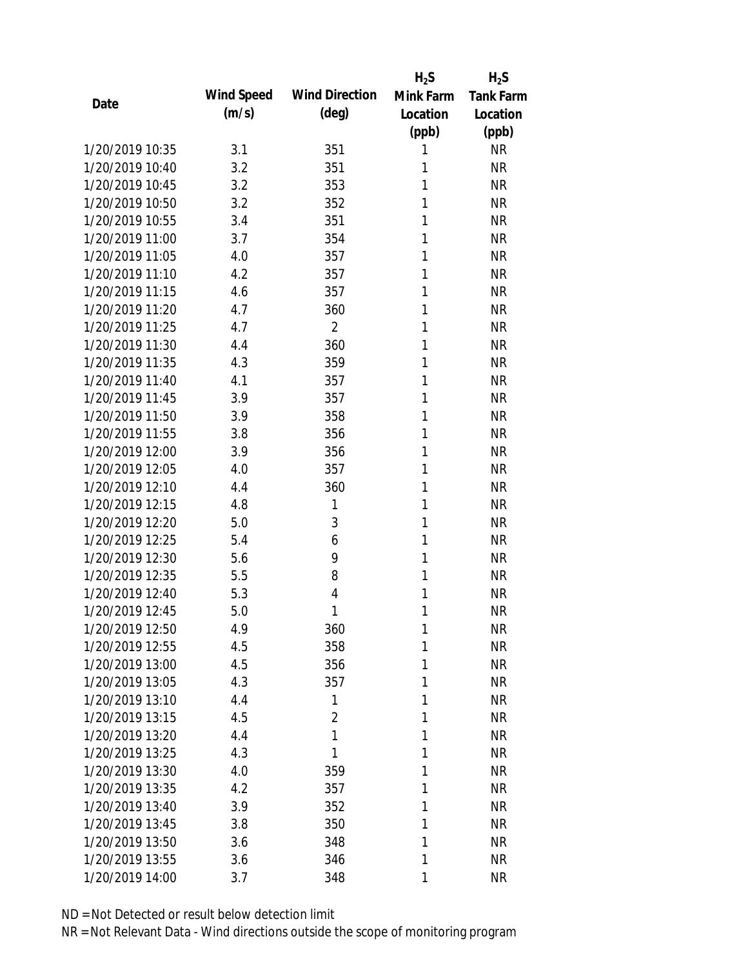|                 |            |                       | $H_2S$    | $H_2S$           |
|-----------------|------------|-----------------------|-----------|------------------|
| Date            | Wind Speed | <b>Wind Direction</b> | Mink Farm | <b>Tank Farm</b> |
|                 | (m/s)      | $(\text{deg})$        | Location  | Location         |
|                 |            |                       | (ppb)     | (ppb)            |
| 1/20/2019 10:35 | 3.1        | 351                   | 1         | <b>NR</b>        |
| 1/20/2019 10:40 | 3.2        | 351                   | 1         | <b>NR</b>        |
| 1/20/2019 10:45 | 3.2        | 353                   | 1         | <b>NR</b>        |
| 1/20/2019 10:50 | 3.2        | 352                   | 1         | <b>NR</b>        |
| 1/20/2019 10:55 | 3.4        | 351                   | 1         | <b>NR</b>        |
| 1/20/2019 11:00 | 3.7        | 354                   | 1         | <b>NR</b>        |
| 1/20/2019 11:05 | 4.0        | 357                   | 1         | <b>NR</b>        |
| 1/20/2019 11:10 | 4.2        | 357                   | 1         | <b>NR</b>        |
| 1/20/2019 11:15 | 4.6        | 357                   | 1         | <b>NR</b>        |
| 1/20/2019 11:20 | 4.7        | 360                   | 1         | <b>NR</b>        |
| 1/20/2019 11:25 | 4.7        | $\overline{2}$        | 1         | <b>NR</b>        |
| 1/20/2019 11:30 | 4.4        | 360                   | 1         | <b>NR</b>        |
| 1/20/2019 11:35 | 4.3        | 359                   | 1         | <b>NR</b>        |
| 1/20/2019 11:40 | 4.1        | 357                   | 1         | <b>NR</b>        |
| 1/20/2019 11:45 | 3.9        | 357                   | 1         | <b>NR</b>        |
| 1/20/2019 11:50 | 3.9        | 358                   | 1         | <b>NR</b>        |
| 1/20/2019 11:55 | 3.8        | 356                   | 1         | <b>NR</b>        |
| 1/20/2019 12:00 | 3.9        | 356                   | 1         | <b>NR</b>        |
| 1/20/2019 12:05 | 4.0        | 357                   | 1         | <b>NR</b>        |
| 1/20/2019 12:10 | 4.4        | 360                   | 1         | <b>NR</b>        |
| 1/20/2019 12:15 | 4.8        | 1                     | 1         | <b>NR</b>        |
| 1/20/2019 12:20 | 5.0        | 3                     | 1         | <b>NR</b>        |
| 1/20/2019 12:25 | 5.4        | 6                     | 1         | <b>NR</b>        |
| 1/20/2019 12:30 | 5.6        | 9                     | 1         | <b>NR</b>        |
| 1/20/2019 12:35 | 5.5        | 8                     | 1         | <b>NR</b>        |
| 1/20/2019 12:40 | 5.3        | 4                     | 1         | <b>NR</b>        |
| 1/20/2019 12:45 | 5.0        | 1                     | 1         | <b>NR</b>        |
| 1/20/2019 12:50 | 4.9        | 360                   | 1         | <b>NR</b>        |
| 1/20/2019 12:55 | 4.5        | 358                   | 1         | <b>NR</b>        |
| 1/20/2019 13:00 | 4.5        | 356                   | 1         | <b>NR</b>        |
| 1/20/2019 13:05 | 4.3        | 357                   | 1         | <b>NR</b>        |
| 1/20/2019 13:10 | 4.4        | 1                     | 1         | <b>NR</b>        |
| 1/20/2019 13:15 | 4.5        | $\overline{2}$        | 1         | <b>NR</b>        |
| 1/20/2019 13:20 | 4.4        | 1                     | 1         | <b>NR</b>        |
| 1/20/2019 13:25 | 4.3        | 1                     | 1         | <b>NR</b>        |
| 1/20/2019 13:30 | 4.0        | 359                   | 1         | <b>NR</b>        |
| 1/20/2019 13:35 | 4.2        | 357                   | 1         | <b>NR</b>        |
| 1/20/2019 13:40 | 3.9        | 352                   | 1         | <b>NR</b>        |
| 1/20/2019 13:45 | 3.8        | 350                   | 1         | <b>NR</b>        |
| 1/20/2019 13:50 | 3.6        | 348                   | 1         | <b>NR</b>        |
| 1/20/2019 13:55 | 3.6        | 346                   | 1         | <b>NR</b>        |
| 1/20/2019 14:00 | 3.7        | 348                   | 1         | <b>NR</b>        |
|                 |            |                       |           |                  |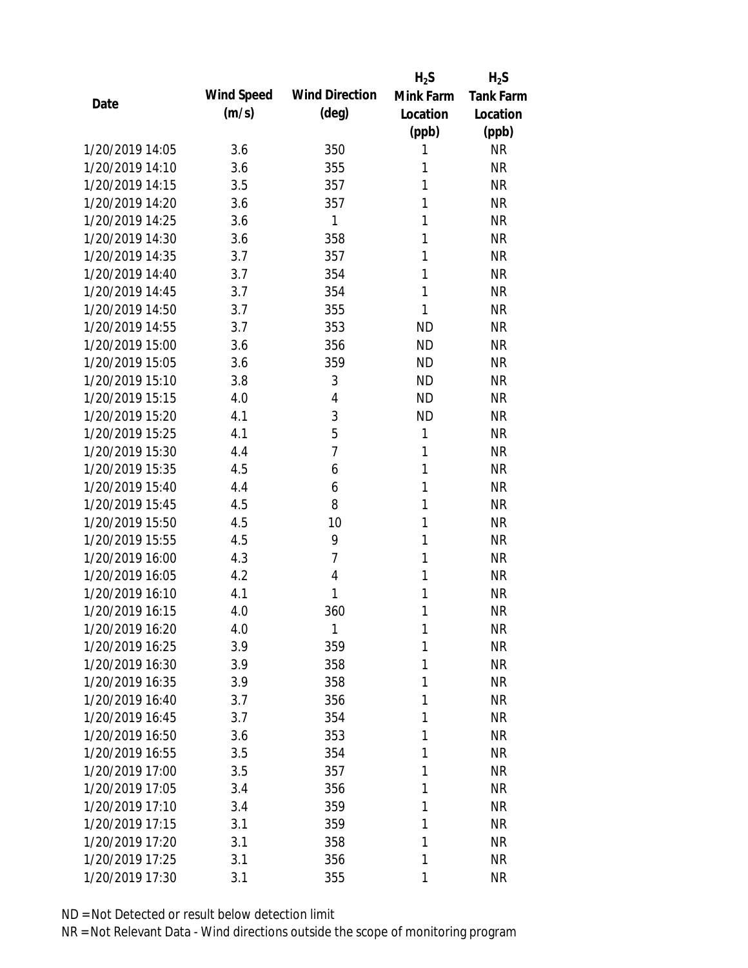|                 |            |                       | $H_2S$       | $H_2S$           |
|-----------------|------------|-----------------------|--------------|------------------|
| Date            | Wind Speed | <b>Wind Direction</b> | Mink Farm    | <b>Tank Farm</b> |
|                 | (m/s)      | $(\text{deg})$        | Location     | Location         |
|                 |            |                       | (ppb)        | (ppb)            |
| 1/20/2019 14:05 | 3.6        | 350                   | 1            | <b>NR</b>        |
| 1/20/2019 14:10 | 3.6        | 355                   | 1            | <b>NR</b>        |
| 1/20/2019 14:15 | 3.5        | 357                   | 1            | <b>NR</b>        |
| 1/20/2019 14:20 | 3.6        | 357                   | 1            | <b>NR</b>        |
| 1/20/2019 14:25 | 3.6        | 1                     | 1            | <b>NR</b>        |
| 1/20/2019 14:30 | 3.6        | 358                   | 1            | <b>NR</b>        |
| 1/20/2019 14:35 | 3.7        | 357                   | 1            | <b>NR</b>        |
| 1/20/2019 14:40 | 3.7        | 354                   | 1            | <b>NR</b>        |
| 1/20/2019 14:45 | 3.7        | 354                   | 1            | <b>NR</b>        |
| 1/20/2019 14:50 | 3.7        | 355                   | 1            | <b>NR</b>        |
| 1/20/2019 14:55 | 3.7        | 353                   | <b>ND</b>    | <b>NR</b>        |
| 1/20/2019 15:00 | 3.6        | 356                   | <b>ND</b>    | <b>NR</b>        |
| 1/20/2019 15:05 | 3.6        | 359                   | <b>ND</b>    | <b>NR</b>        |
| 1/20/2019 15:10 | 3.8        | 3                     | <b>ND</b>    | <b>NR</b>        |
| 1/20/2019 15:15 | 4.0        | $\overline{4}$        | <b>ND</b>    | <b>NR</b>        |
| 1/20/2019 15:20 | 4.1        | 3                     | <b>ND</b>    | <b>NR</b>        |
| 1/20/2019 15:25 | 4.1        | 5                     | 1            | <b>NR</b>        |
| 1/20/2019 15:30 | 4.4        | $\overline{7}$        | 1            | <b>NR</b>        |
| 1/20/2019 15:35 | 4.5        | 6                     | $\mathbf{1}$ | <b>NR</b>        |
| 1/20/2019 15:40 | 4.4        | 6                     | 1            | <b>NR</b>        |
| 1/20/2019 15:45 | 4.5        | 8                     | 1            | <b>NR</b>        |
| 1/20/2019 15:50 | 4.5        | 10                    | 1            | <b>NR</b>        |
| 1/20/2019 15:55 | 4.5        | 9                     | 1            | <b>NR</b>        |
| 1/20/2019 16:00 | 4.3        | $\overline{7}$        | 1            | <b>NR</b>        |
| 1/20/2019 16:05 | 4.2        | $\overline{4}$        | 1            | <b>NR</b>        |
| 1/20/2019 16:10 | 4.1        | 1                     | 1            | <b>NR</b>        |
| 1/20/2019 16:15 | 4.0        | 360                   | 1            | <b>NR</b>        |
| 1/20/2019 16:20 | 4.0        | 1                     | 1            | <b>NR</b>        |
| 1/20/2019 16:25 | 3.9        | 359                   | 1            | <b>NR</b>        |
| 1/20/2019 16:30 | 3.9        | 358                   | 1            | <b>NR</b>        |
| 1/20/2019 16:35 | 3.9        | 358                   | 1            | <b>NR</b>        |
| 1/20/2019 16:40 | 3.7        | 356                   | 1            | <b>NR</b>        |
| 1/20/2019 16:45 | 3.7        | 354                   | 1            | <b>NR</b>        |
| 1/20/2019 16:50 | 3.6        | 353                   | 1            | <b>NR</b>        |
| 1/20/2019 16:55 | 3.5        | 354                   | 1            | <b>NR</b>        |
| 1/20/2019 17:00 | 3.5        | 357                   | 1            | <b>NR</b>        |
| 1/20/2019 17:05 | 3.4        | 356                   | 1            | <b>NR</b>        |
| 1/20/2019 17:10 | 3.4        | 359                   | 1            | <b>NR</b>        |
| 1/20/2019 17:15 | 3.1        | 359                   | 1            | <b>NR</b>        |
| 1/20/2019 17:20 | 3.1        | 358                   | 1            | <b>NR</b>        |
| 1/20/2019 17:25 | 3.1        | 356                   | 1            | <b>NR</b>        |
| 1/20/2019 17:30 | 3.1        | 355                   | 1            | <b>NR</b>        |
|                 |            |                       |              |                  |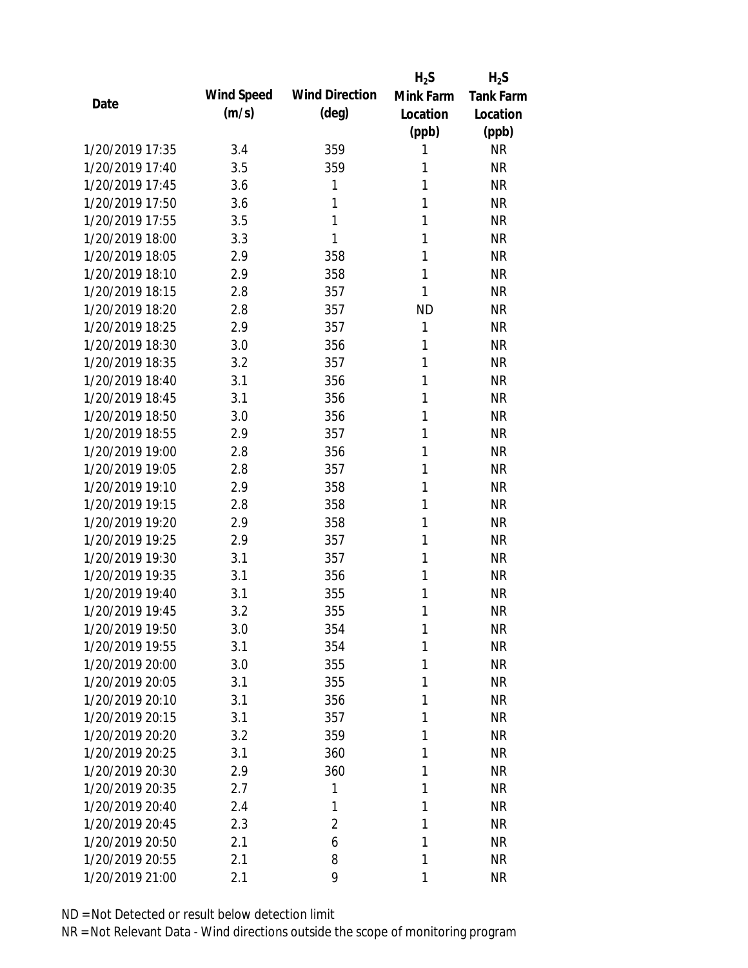|                 |            |                       | $H_2S$    | $H_2S$           |
|-----------------|------------|-----------------------|-----------|------------------|
| Date            | Wind Speed | <b>Wind Direction</b> | Mink Farm | <b>Tank Farm</b> |
|                 | (m/s)      | $(\text{deg})$        | Location  | Location         |
|                 |            |                       | (ppb)     | (ppb)            |
| 1/20/2019 17:35 | 3.4        | 359                   | 1         | <b>NR</b>        |
| 1/20/2019 17:40 | 3.5        | 359                   | 1         | <b>NR</b>        |
| 1/20/2019 17:45 | 3.6        | 1                     | 1         | <b>NR</b>        |
| 1/20/2019 17:50 | 3.6        | 1                     | 1         | <b>NR</b>        |
| 1/20/2019 17:55 | 3.5        | 1                     | 1         | <b>NR</b>        |
| 1/20/2019 18:00 | 3.3        | 1                     | 1         | <b>NR</b>        |
| 1/20/2019 18:05 | 2.9        | 358                   | 1         | <b>NR</b>        |
| 1/20/2019 18:10 | 2.9        | 358                   | 1         | <b>NR</b>        |
| 1/20/2019 18:15 | 2.8        | 357                   | 1         | <b>NR</b>        |
| 1/20/2019 18:20 | 2.8        | 357                   | <b>ND</b> | <b>NR</b>        |
| 1/20/2019 18:25 | 2.9        | 357                   | 1         | <b>NR</b>        |
| 1/20/2019 18:30 | 3.0        | 356                   | 1         | <b>NR</b>        |
| 1/20/2019 18:35 | 3.2        | 357                   | 1         | <b>NR</b>        |
| 1/20/2019 18:40 | 3.1        | 356                   | 1         | <b>NR</b>        |
| 1/20/2019 18:45 | 3.1        | 356                   | 1         | <b>NR</b>        |
| 1/20/2019 18:50 | 3.0        | 356                   | 1         | <b>NR</b>        |
| 1/20/2019 18:55 | 2.9        | 357                   | 1         | <b>NR</b>        |
| 1/20/2019 19:00 | 2.8        | 356                   | 1         | <b>NR</b>        |
| 1/20/2019 19:05 | 2.8        | 357                   | 1         | <b>NR</b>        |
| 1/20/2019 19:10 | 2.9        | 358                   | 1         | <b>NR</b>        |
| 1/20/2019 19:15 | 2.8        | 358                   | 1         | <b>NR</b>        |
| 1/20/2019 19:20 | 2.9        | 358                   | 1         | <b>NR</b>        |
| 1/20/2019 19:25 | 2.9        | 357                   | 1         | <b>NR</b>        |
| 1/20/2019 19:30 | 3.1        | 357                   | 1         | <b>NR</b>        |
| 1/20/2019 19:35 | 3.1        | 356                   | 1         | <b>NR</b>        |
| 1/20/2019 19:40 | 3.1        | 355                   | 1         | <b>NR</b>        |
| 1/20/2019 19:45 | 3.2        | 355                   | 1         | <b>NR</b>        |
| 1/20/2019 19:50 | 3.0        | 354                   | 1         | <b>NR</b>        |
| 1/20/2019 19:55 | 3.1        | 354                   | 1         | <b>NR</b>        |
| 1/20/2019 20:00 | 3.0        | 355                   | 1         | <b>NR</b>        |
| 1/20/2019 20:05 | 3.1        | 355                   | 1         | <b>NR</b>        |
| 1/20/2019 20:10 | 3.1        | 356                   | 1         | <b>NR</b>        |
| 1/20/2019 20:15 | 3.1        | 357                   | 1         | <b>NR</b>        |
| 1/20/2019 20:20 | 3.2        | 359                   | 1         | <b>NR</b>        |
| 1/20/2019 20:25 | 3.1        | 360                   | 1         | <b>NR</b>        |
| 1/20/2019 20:30 | 2.9        | 360                   | 1         | <b>NR</b>        |
| 1/20/2019 20:35 | 2.7        | 1                     | 1         | <b>NR</b>        |
| 1/20/2019 20:40 | 2.4        | 1                     | 1         | <b>NR</b>        |
| 1/20/2019 20:45 | 2.3        | $\overline{2}$        | 1         | <b>NR</b>        |
| 1/20/2019 20:50 |            | 6                     | 1         | <b>NR</b>        |
|                 | 2.1        |                       |           |                  |
| 1/20/2019 20:55 | 2.1        | 8                     | 1         | <b>NR</b>        |
| 1/20/2019 21:00 | 2.1        | 9                     | 1         | <b>NR</b>        |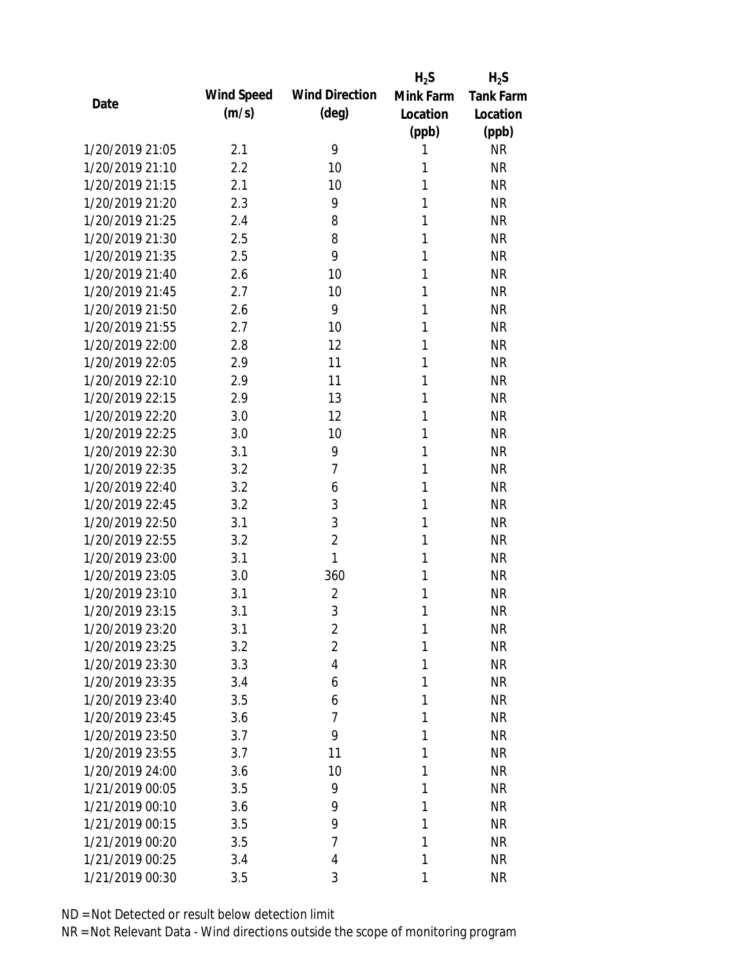|                 |            |                       | $H_2S$    | $H_2S$           |
|-----------------|------------|-----------------------|-----------|------------------|
| Date            | Wind Speed | <b>Wind Direction</b> | Mink Farm | <b>Tank Farm</b> |
|                 | (m/s)      | $(\text{deg})$        | Location  | Location         |
|                 |            |                       | (ppb)     | (ppb)            |
| 1/20/2019 21:05 | 2.1        | 9                     | 1         | <b>NR</b>        |
| 1/20/2019 21:10 | 2.2        | 10                    | 1         | <b>NR</b>        |
| 1/20/2019 21:15 | 2.1        | 10                    | 1         | <b>NR</b>        |
| 1/20/2019 21:20 | 2.3        | 9                     | 1         | <b>NR</b>        |
| 1/20/2019 21:25 | 2.4        | 8                     | 1         | <b>NR</b>        |
| 1/20/2019 21:30 | 2.5        | 8                     | 1         | <b>NR</b>        |
| 1/20/2019 21:35 | 2.5        | 9                     | 1         | <b>NR</b>        |
| 1/20/2019 21:40 | 2.6        | 10                    | 1         | <b>NR</b>        |
| 1/20/2019 21:45 | 2.7        | 10                    | 1         | <b>NR</b>        |
| 1/20/2019 21:50 | 2.6        | 9                     | 1         | <b>NR</b>        |
| 1/20/2019 21:55 | 2.7        | 10                    | 1         | <b>NR</b>        |
| 1/20/2019 22:00 | 2.8        | 12                    | 1         | <b>NR</b>        |
| 1/20/2019 22:05 | 2.9        | 11                    | 1         | <b>NR</b>        |
| 1/20/2019 22:10 | 2.9        | 11                    | 1         | <b>NR</b>        |
| 1/20/2019 22:15 | 2.9        | 13                    | 1         | <b>NR</b>        |
| 1/20/2019 22:20 | 3.0        | 12                    | 1         | <b>NR</b>        |
| 1/20/2019 22:25 | 3.0        | 10                    | 1         | <b>NR</b>        |
| 1/20/2019 22:30 | 3.1        | 9                     | 1         | <b>NR</b>        |
| 1/20/2019 22:35 | 3.2        | $\overline{7}$        | 1         | <b>NR</b>        |
| 1/20/2019 22:40 | 3.2        | 6                     | 1         | <b>NR</b>        |
| 1/20/2019 22:45 | 3.2        | 3                     | 1         | <b>NR</b>        |
| 1/20/2019 22:50 | 3.1        | 3                     | 1         | <b>NR</b>        |
| 1/20/2019 22:55 | 3.2        | $\overline{2}$        | 1         | <b>NR</b>        |
| 1/20/2019 23:00 | 3.1        | 1                     | 1         | <b>NR</b>        |
| 1/20/2019 23:05 | 3.0        | 360                   | 1         | <b>NR</b>        |
| 1/20/2019 23:10 | 3.1        | $\overline{2}$        | 1         | <b>NR</b>        |
| 1/20/2019 23:15 | 3.1        | 3                     | 1         | <b>NR</b>        |
| 1/20/2019 23:20 | 3.1        | $\overline{2}$        | 1         | <b>NR</b>        |
| 1/20/2019 23:25 | 3.2        | $\overline{2}$        | 1         | <b>NR</b>        |
| 1/20/2019 23:30 | 3.3        | 4                     | 1         | <b>NR</b>        |
| 1/20/2019 23:35 | 3.4        | 6                     | 1         | <b>NR</b>        |
| 1/20/2019 23:40 | 3.5        | 6                     | 1         | <b>NR</b>        |
| 1/20/2019 23:45 | 3.6        | 7                     | 1         | <b>NR</b>        |
| 1/20/2019 23:50 | 3.7        | 9                     | 1         | <b>NR</b>        |
| 1/20/2019 23:55 | 3.7        | 11                    | 1         | <b>NR</b>        |
| 1/20/2019 24:00 | 3.6        | 10                    | 1         | <b>NR</b>        |
| 1/21/2019 00:05 | 3.5        | 9                     | 1         | <b>NR</b>        |
| 1/21/2019 00:10 | 3.6        | 9                     | 1         | <b>NR</b>        |
| 1/21/2019 00:15 | 3.5        | 9                     | 1         | <b>NR</b>        |
| 1/21/2019 00:20 | 3.5        | $\overline{7}$        | 1         | <b>NR</b>        |
| 1/21/2019 00:25 | 3.4        | 4                     | 1         | <b>NR</b>        |
|                 |            |                       |           |                  |
| 1/21/2019 00:30 | 3.5        | 3                     | 1         | <b>NR</b>        |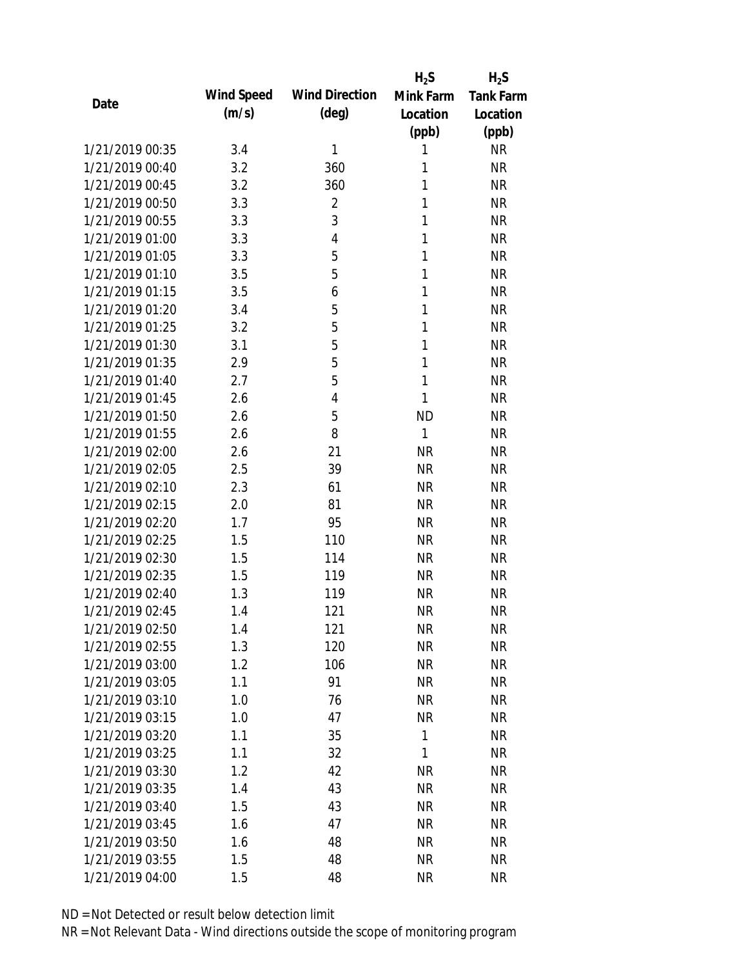|                 |            |                       | $H_2S$       | $H_2S$           |
|-----------------|------------|-----------------------|--------------|------------------|
| Date            | Wind Speed | <b>Wind Direction</b> | Mink Farm    | <b>Tank Farm</b> |
|                 | (m/s)      | (deg)                 | Location     | Location         |
|                 |            |                       | (ppb)        | (ppb)            |
| 1/21/2019 00:35 | 3.4        | 1                     | 1            | <b>NR</b>        |
| 1/21/2019 00:40 | 3.2        | 360                   | 1            | <b>NR</b>        |
| 1/21/2019 00:45 | 3.2        | 360                   | 1            | <b>NR</b>        |
| 1/21/2019 00:50 | 3.3        | 2                     | 1            | <b>NR</b>        |
| 1/21/2019 00:55 | 3.3        | 3                     | 1            | <b>NR</b>        |
| 1/21/2019 01:00 | 3.3        | 4                     | 1            | <b>NR</b>        |
| 1/21/2019 01:05 | 3.3        | 5                     | 1            | <b>NR</b>        |
| 1/21/2019 01:10 | 3.5        | 5                     | 1            | <b>NR</b>        |
| 1/21/2019 01:15 | 3.5        | 6                     | 1            | <b>NR</b>        |
| 1/21/2019 01:20 | 3.4        | 5                     | 1            | <b>NR</b>        |
| 1/21/2019 01:25 | 3.2        | 5                     | 1            | <b>NR</b>        |
| 1/21/2019 01:30 | 3.1        | 5                     | 1            | <b>NR</b>        |
| 1/21/2019 01:35 | 2.9        | 5                     | 1            | <b>NR</b>        |
| 1/21/2019 01:40 | 2.7        | 5                     | 1            | <b>NR</b>        |
| 1/21/2019 01:45 | 2.6        | 4                     | 1            | <b>NR</b>        |
| 1/21/2019 01:50 | 2.6        | 5                     | <b>ND</b>    | <b>NR</b>        |
| 1/21/2019 01:55 | 2.6        | 8                     | $\mathbf{1}$ | <b>NR</b>        |
| 1/21/2019 02:00 | 2.6        | 21                    | <b>NR</b>    | <b>NR</b>        |
| 1/21/2019 02:05 | 2.5        | 39                    | <b>NR</b>    | <b>NR</b>        |
| 1/21/2019 02:10 | 2.3        | 61                    | <b>NR</b>    | <b>NR</b>        |
| 1/21/2019 02:15 | 2.0        | 81                    | <b>NR</b>    | <b>NR</b>        |
| 1/21/2019 02:20 | 1.7        | 95                    | <b>NR</b>    | <b>NR</b>        |
| 1/21/2019 02:25 | 1.5        | 110                   | <b>NR</b>    | <b>NR</b>        |
| 1/21/2019 02:30 | 1.5        | 114                   | <b>NR</b>    | <b>NR</b>        |
| 1/21/2019 02:35 | 1.5        | 119                   | <b>NR</b>    | <b>NR</b>        |
| 1/21/2019 02:40 | 1.3        | 119                   | <b>NR</b>    | <b>NR</b>        |
| 1/21/2019 02:45 | 1.4        | 121                   | <b>NR</b>    | <b>NR</b>        |
| 1/21/2019 02:50 | 1.4        | 121                   | <b>NR</b>    | <b>NR</b>        |
| 1/21/2019 02:55 | 1.3        | 120                   | <b>NR</b>    | <b>NR</b>        |
| 1/21/2019 03:00 | 1.2        | 106                   | <b>NR</b>    | NR               |
| 1/21/2019 03:05 | 1.1        | 91                    | <b>NR</b>    | <b>NR</b>        |
| 1/21/2019 03:10 | 1.0        | 76                    | <b>NR</b>    | NR               |
| 1/21/2019 03:15 | 1.0        | 47                    | <b>NR</b>    | NR               |
| 1/21/2019 03:20 | 1.1        | 35                    | $\mathbf{1}$ | NR               |
| 1/21/2019 03:25 | 1.1        | 32                    | 1            | <b>NR</b>        |
| 1/21/2019 03:30 | 1.2        | 42                    | <b>NR</b>    | <b>NR</b>        |
| 1/21/2019 03:35 | 1.4        | 43                    | <b>NR</b>    | <b>NR</b>        |
|                 |            |                       |              |                  |
| 1/21/2019 03:40 | 1.5        | 43                    | <b>NR</b>    | <b>NR</b>        |
| 1/21/2019 03:45 | 1.6        | 47                    | <b>NR</b>    | <b>NR</b>        |
| 1/21/2019 03:50 | 1.6        | 48                    | <b>NR</b>    | <b>NR</b>        |
| 1/21/2019 03:55 | 1.5        | 48                    | <b>NR</b>    | <b>NR</b>        |
| 1/21/2019 04:00 | 1.5        | 48                    | <b>NR</b>    | <b>NR</b>        |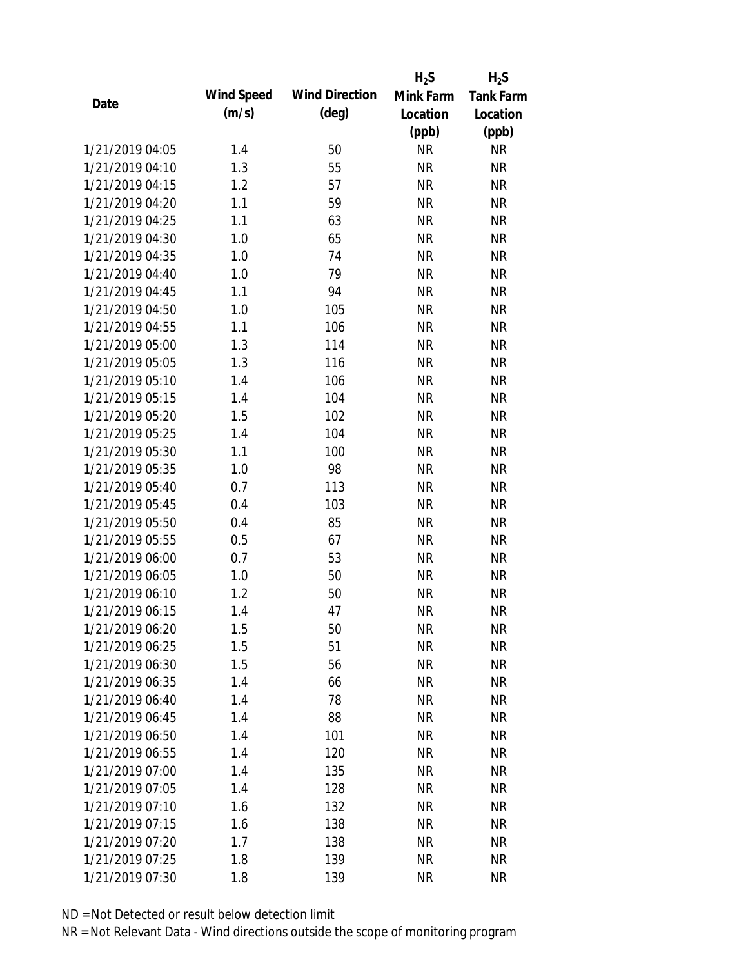|                 |            |                       | $H_2S$    | $H_2S$           |
|-----------------|------------|-----------------------|-----------|------------------|
| Date            | Wind Speed | <b>Wind Direction</b> | Mink Farm | <b>Tank Farm</b> |
|                 | (m/s)      | $(\text{deg})$        | Location  | Location         |
|                 |            |                       | (ppb)     | (ppb)            |
| 1/21/2019 04:05 | 1.4        | 50                    | <b>NR</b> | <b>NR</b>        |
| 1/21/2019 04:10 | 1.3        | 55                    | <b>NR</b> | <b>NR</b>        |
| 1/21/2019 04:15 | 1.2        | 57                    | <b>NR</b> | <b>NR</b>        |
| 1/21/2019 04:20 | 1.1        | 59                    | <b>NR</b> | <b>NR</b>        |
| 1/21/2019 04:25 | 1.1        | 63                    | <b>NR</b> | <b>NR</b>        |
| 1/21/2019 04:30 | 1.0        | 65                    | <b>NR</b> | <b>NR</b>        |
| 1/21/2019 04:35 | 1.0        | 74                    | <b>NR</b> | <b>NR</b>        |
| 1/21/2019 04:40 | 1.0        | 79                    | <b>NR</b> | <b>NR</b>        |
| 1/21/2019 04:45 | 1.1        | 94                    | <b>NR</b> | <b>NR</b>        |
| 1/21/2019 04:50 | 1.0        | 105                   | <b>NR</b> | <b>NR</b>        |
| 1/21/2019 04:55 | 1.1        | 106                   | <b>NR</b> | <b>NR</b>        |
| 1/21/2019 05:00 | 1.3        | 114                   | <b>NR</b> | <b>NR</b>        |
| 1/21/2019 05:05 | 1.3        | 116                   | <b>NR</b> | <b>NR</b>        |
| 1/21/2019 05:10 | 1.4        | 106                   | <b>NR</b> | <b>NR</b>        |
| 1/21/2019 05:15 | 1.4        | 104                   | <b>NR</b> | <b>NR</b>        |
| 1/21/2019 05:20 | 1.5        | 102                   | <b>NR</b> | <b>NR</b>        |
| 1/21/2019 05:25 | 1.4        | 104                   | <b>NR</b> | <b>NR</b>        |
| 1/21/2019 05:30 | 1.1        | 100                   | <b>NR</b> | <b>NR</b>        |
| 1/21/2019 05:35 | 1.0        | 98                    | <b>NR</b> | <b>NR</b>        |
| 1/21/2019 05:40 | 0.7        | 113                   | <b>NR</b> | <b>NR</b>        |
| 1/21/2019 05:45 | 0.4        | 103                   | <b>NR</b> | <b>NR</b>        |
| 1/21/2019 05:50 | 0.4        | 85                    | <b>NR</b> | <b>NR</b>        |
| 1/21/2019 05:55 | 0.5        | 67                    | <b>NR</b> | <b>NR</b>        |
| 1/21/2019 06:00 | 0.7        | 53                    | <b>NR</b> | <b>NR</b>        |
| 1/21/2019 06:05 | 1.0        | 50                    | <b>NR</b> | <b>NR</b>        |
| 1/21/2019 06:10 | 1.2        | 50                    | <b>NR</b> | <b>NR</b>        |
| 1/21/2019 06:15 | 1.4        | 47                    | <b>NR</b> | <b>NR</b>        |
| 1/21/2019 06:20 | 1.5        | 50                    | <b>NR</b> | <b>NR</b>        |
| 1/21/2019 06:25 | 1.5        | 51                    | <b>NR</b> | <b>NR</b>        |
| 1/21/2019 06:30 | 1.5        | 56                    | <b>NR</b> | <b>NR</b>        |
| 1/21/2019 06:35 | 1.4        | 66                    | <b>NR</b> | <b>NR</b>        |
| 1/21/2019 06:40 | 1.4        | 78                    | <b>NR</b> | NR               |
| 1/21/2019 06:45 | 1.4        | 88                    | <b>NR</b> | <b>NR</b>        |
| 1/21/2019 06:50 | 1.4        | 101                   | <b>NR</b> | <b>NR</b>        |
| 1/21/2019 06:55 | 1.4        | 120                   | <b>NR</b> | <b>NR</b>        |
| 1/21/2019 07:00 | 1.4        | 135                   | <b>NR</b> | <b>NR</b>        |
| 1/21/2019 07:05 | 1.4        | 128                   | <b>NR</b> | <b>NR</b>        |
| 1/21/2019 07:10 | 1.6        | 132                   | NR        | <b>NR</b>        |
| 1/21/2019 07:15 | 1.6        | 138                   | <b>NR</b> | <b>NR</b>        |
| 1/21/2019 07:20 | 1.7        | 138                   | <b>NR</b> | <b>NR</b>        |
| 1/21/2019 07:25 | 1.8        | 139                   | <b>NR</b> | <b>NR</b>        |
| 1/21/2019 07:30 | 1.8        | 139                   | <b>NR</b> | <b>NR</b>        |
|                 |            |                       |           |                  |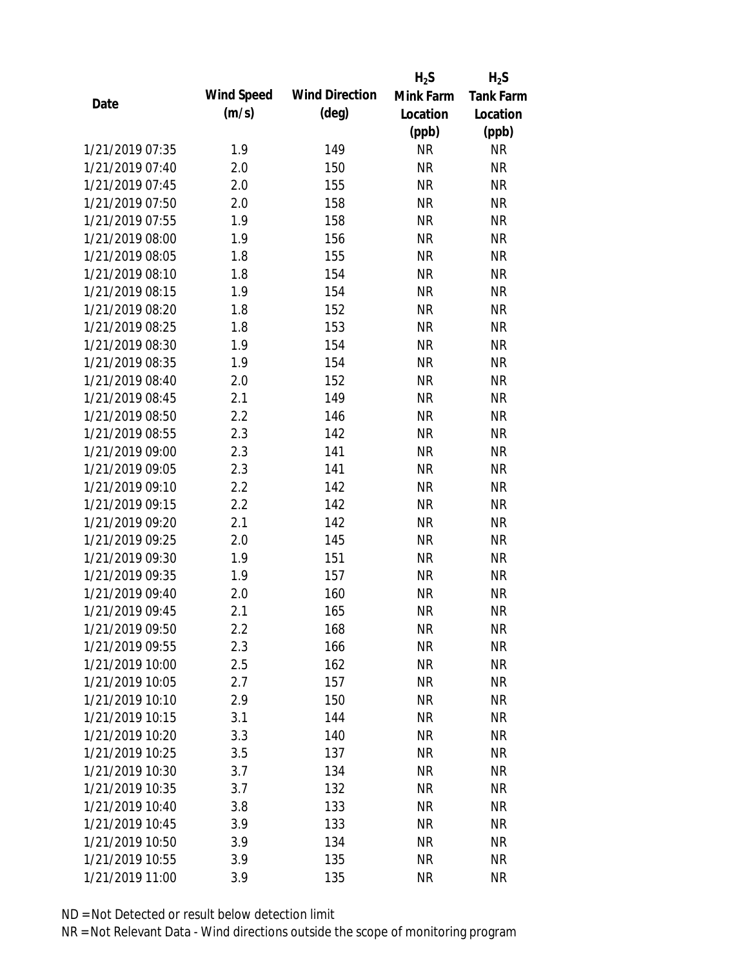|                 |            |                       | $H_2S$    | $H_2S$           |
|-----------------|------------|-----------------------|-----------|------------------|
| Date            | Wind Speed | <b>Wind Direction</b> | Mink Farm | <b>Tank Farm</b> |
|                 | (m/s)      | $(\text{deg})$        | Location  | Location         |
|                 |            |                       | (ppb)     | (ppb)            |
| 1/21/2019 07:35 | 1.9        | 149                   | <b>NR</b> | NR               |
| 1/21/2019 07:40 | 2.0        | 150                   | <b>NR</b> | <b>NR</b>        |
| 1/21/2019 07:45 | 2.0        | 155                   | <b>NR</b> | <b>NR</b>        |
| 1/21/2019 07:50 | 2.0        | 158                   | <b>NR</b> | <b>NR</b>        |
| 1/21/2019 07:55 | 1.9        | 158                   | <b>NR</b> | <b>NR</b>        |
| 1/21/2019 08:00 | 1.9        | 156                   | <b>NR</b> | <b>NR</b>        |
| 1/21/2019 08:05 | 1.8        | 155                   | <b>NR</b> | <b>NR</b>        |
| 1/21/2019 08:10 | 1.8        | 154                   | <b>NR</b> | <b>NR</b>        |
| 1/21/2019 08:15 | 1.9        | 154                   | <b>NR</b> | <b>NR</b>        |
| 1/21/2019 08:20 | 1.8        | 152                   | <b>NR</b> | <b>NR</b>        |
| 1/21/2019 08:25 | 1.8        | 153                   | <b>NR</b> | <b>NR</b>        |
| 1/21/2019 08:30 | 1.9        | 154                   | <b>NR</b> | <b>NR</b>        |
| 1/21/2019 08:35 | 1.9        | 154                   | <b>NR</b> | <b>NR</b>        |
| 1/21/2019 08:40 | 2.0        | 152                   | <b>NR</b> | <b>NR</b>        |
| 1/21/2019 08:45 | 2.1        | 149                   | <b>NR</b> | <b>NR</b>        |
| 1/21/2019 08:50 | 2.2        | 146                   | <b>NR</b> | <b>NR</b>        |
| 1/21/2019 08:55 | 2.3        | 142                   | <b>NR</b> | <b>NR</b>        |
| 1/21/2019 09:00 | 2.3        | 141                   | <b>NR</b> | <b>NR</b>        |
| 1/21/2019 09:05 | 2.3        | 141                   | <b>NR</b> | <b>NR</b>        |
| 1/21/2019 09:10 | 2.2        | 142                   | <b>NR</b> | <b>NR</b>        |
| 1/21/2019 09:15 | 2.2        | 142                   | <b>NR</b> | <b>NR</b>        |
| 1/21/2019 09:20 | 2.1        | 142                   | <b>NR</b> | <b>NR</b>        |
| 1/21/2019 09:25 | 2.0        | 145                   | <b>NR</b> | <b>NR</b>        |
| 1/21/2019 09:30 | 1.9        | 151                   | <b>NR</b> | <b>NR</b>        |
| 1/21/2019 09:35 | 1.9        | 157                   | <b>NR</b> | <b>NR</b>        |
| 1/21/2019 09:40 | 2.0        | 160                   | <b>NR</b> | <b>NR</b>        |
| 1/21/2019 09:45 | 2.1        | 165                   | <b>NR</b> | <b>NR</b>        |
| 1/21/2019 09:50 | $2.2\,$    | 168                   | <b>NR</b> | <b>NR</b>        |
| 1/21/2019 09:55 | 2.3        | 166                   | <b>NR</b> | <b>NR</b>        |
| 1/21/2019 10:00 | 2.5        | 162                   | <b>NR</b> | <b>NR</b>        |
| 1/21/2019 10:05 | 2.7        | 157                   | <b>NR</b> | <b>NR</b>        |
| 1/21/2019 10:10 | 2.9        | 150                   | <b>NR</b> | <b>NR</b>        |
| 1/21/2019 10:15 | 3.1        | 144                   | <b>NR</b> | <b>NR</b>        |
| 1/21/2019 10:20 | 3.3        | 140                   | <b>NR</b> | <b>NR</b>        |
| 1/21/2019 10:25 | 3.5        | 137                   | <b>NR</b> | <b>NR</b>        |
| 1/21/2019 10:30 | 3.7        | 134                   | <b>NR</b> | <b>NR</b>        |
| 1/21/2019 10:35 | 3.7        | 132                   | <b>NR</b> | <b>NR</b>        |
| 1/21/2019 10:40 | 3.8        | 133                   | <b>NR</b> | <b>NR</b>        |
| 1/21/2019 10:45 | 3.9        | 133                   | <b>NR</b> | <b>NR</b>        |
| 1/21/2019 10:50 | 3.9        | 134                   | <b>NR</b> | <b>NR</b>        |
| 1/21/2019 10:55 | 3.9        | 135                   | <b>NR</b> | <b>NR</b>        |
| 1/21/2019 11:00 | 3.9        | 135                   | <b>NR</b> | <b>NR</b>        |
|                 |            |                       |           |                  |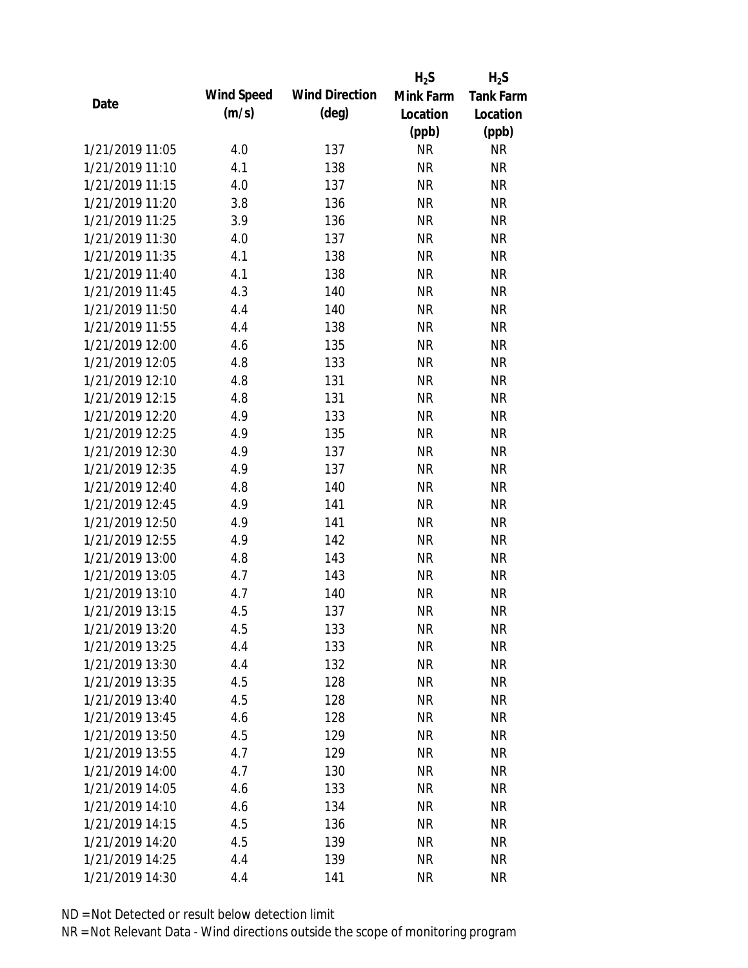|                 |            |                       | $H_2S$    | $H_2S$           |
|-----------------|------------|-----------------------|-----------|------------------|
| Date            | Wind Speed | <b>Wind Direction</b> | Mink Farm | <b>Tank Farm</b> |
|                 | (m/s)      | $(\text{deg})$        | Location  | Location         |
|                 |            |                       | (ppb)     | (ppb)            |
| 1/21/2019 11:05 | 4.0        | 137                   | <b>NR</b> | NR               |
| 1/21/2019 11:10 | 4.1        | 138                   | <b>NR</b> | <b>NR</b>        |
| 1/21/2019 11:15 | 4.0        | 137                   | <b>NR</b> | <b>NR</b>        |
| 1/21/2019 11:20 | 3.8        | 136                   | <b>NR</b> | <b>NR</b>        |
| 1/21/2019 11:25 | 3.9        | 136                   | <b>NR</b> | <b>NR</b>        |
| 1/21/2019 11:30 | 4.0        | 137                   | <b>NR</b> | <b>NR</b>        |
| 1/21/2019 11:35 | 4.1        | 138                   | <b>NR</b> | <b>NR</b>        |
| 1/21/2019 11:40 | 4.1        | 138                   | <b>NR</b> | <b>NR</b>        |
| 1/21/2019 11:45 | 4.3        | 140                   | <b>NR</b> | <b>NR</b>        |
| 1/21/2019 11:50 | 4.4        | 140                   | <b>NR</b> | <b>NR</b>        |
| 1/21/2019 11:55 | 4.4        | 138                   | <b>NR</b> | <b>NR</b>        |
| 1/21/2019 12:00 | 4.6        | 135                   | <b>NR</b> | <b>NR</b>        |
| 1/21/2019 12:05 | 4.8        | 133                   | <b>NR</b> | <b>NR</b>        |
| 1/21/2019 12:10 | 4.8        | 131                   | <b>NR</b> | <b>NR</b>        |
| 1/21/2019 12:15 | 4.8        | 131                   | <b>NR</b> | <b>NR</b>        |
| 1/21/2019 12:20 | 4.9        | 133                   | <b>NR</b> | <b>NR</b>        |
| 1/21/2019 12:25 | 4.9        | 135                   | <b>NR</b> | <b>NR</b>        |
| 1/21/2019 12:30 | 4.9        | 137                   | <b>NR</b> | <b>NR</b>        |
| 1/21/2019 12:35 | 4.9        | 137                   | <b>NR</b> | <b>NR</b>        |
| 1/21/2019 12:40 | 4.8        | 140                   | <b>NR</b> | <b>NR</b>        |
| 1/21/2019 12:45 | 4.9        | 141                   | <b>NR</b> | <b>NR</b>        |
| 1/21/2019 12:50 | 4.9        | 141                   | <b>NR</b> | <b>NR</b>        |
| 1/21/2019 12:55 | 4.9        | 142                   | <b>NR</b> | <b>NR</b>        |
| 1/21/2019 13:00 | 4.8        | 143                   | <b>NR</b> | <b>NR</b>        |
| 1/21/2019 13:05 | 4.7        | 143                   | <b>NR</b> | <b>NR</b>        |
| 1/21/2019 13:10 | 4.7        | 140                   | <b>NR</b> | <b>NR</b>        |
| 1/21/2019 13:15 | 4.5        | 137                   | <b>NR</b> | <b>NR</b>        |
| 1/21/2019 13:20 | 4.5        | 133                   | <b>NR</b> | <b>NR</b>        |
| 1/21/2019 13:25 | 4.4        | 133                   | <b>NR</b> | <b>NR</b>        |
| 1/21/2019 13:30 | 4.4        | 132                   | <b>NR</b> | <b>NR</b>        |
| 1/21/2019 13:35 | 4.5        | 128                   | <b>NR</b> | <b>NR</b>        |
| 1/21/2019 13:40 | 4.5        | 128                   | <b>NR</b> | NR               |
| 1/21/2019 13:45 | 4.6        | 128                   | <b>NR</b> | <b>NR</b>        |
| 1/21/2019 13:50 | 4.5        | 129                   | <b>NR</b> | NR               |
| 1/21/2019 13:55 | 4.7        | 129                   | <b>NR</b> | <b>NR</b>        |
| 1/21/2019 14:00 | 4.7        | 130                   | <b>NR</b> | <b>NR</b>        |
| 1/21/2019 14:05 | 4.6        | 133                   | <b>NR</b> | <b>NR</b>        |
| 1/21/2019 14:10 | 4.6        | 134                   | NR        | <b>NR</b>        |
| 1/21/2019 14:15 | 4.5        | 136                   | <b>NR</b> | <b>NR</b>        |
| 1/21/2019 14:20 | 4.5        | 139                   | <b>NR</b> | NR               |
| 1/21/2019 14:25 | 4.4        | 139                   | <b>NR</b> | <b>NR</b>        |
| 1/21/2019 14:30 | 4.4        | 141                   | <b>NR</b> | <b>NR</b>        |
|                 |            |                       |           |                  |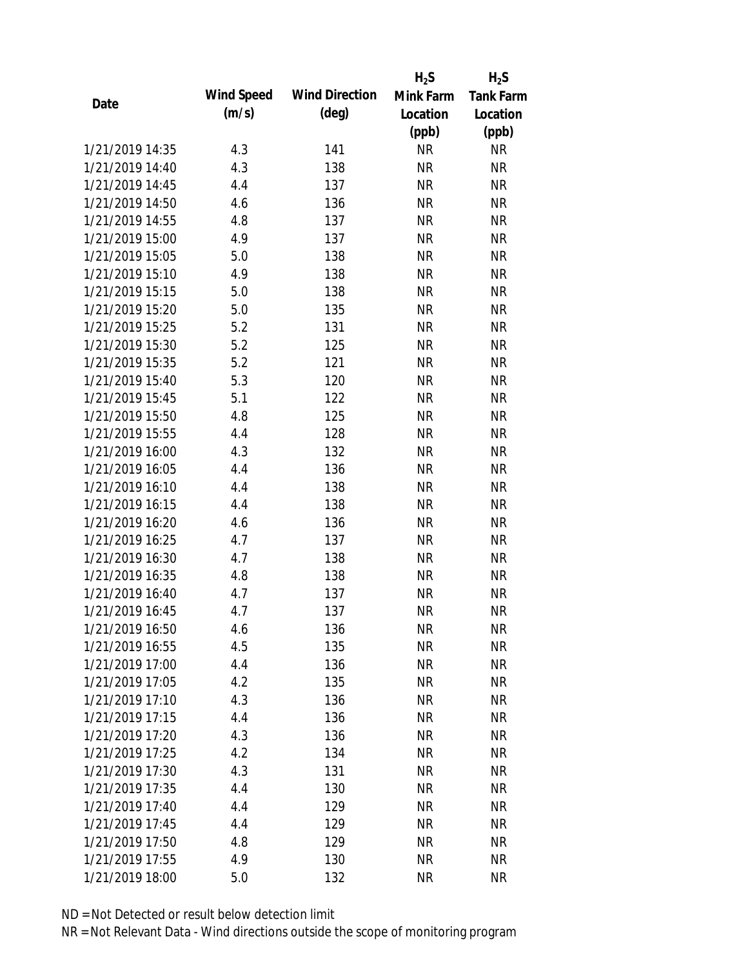|      |                 |            |                       | $H_2S$    | $H_2S$           |
|------|-----------------|------------|-----------------------|-----------|------------------|
| Date |                 | Wind Speed | <b>Wind Direction</b> | Mink Farm | <b>Tank Farm</b> |
|      |                 | (m/s)      | $(\text{deg})$        | Location  | Location         |
|      |                 |            |                       | (ppb)     | (ppb)            |
|      | 1/21/2019 14:35 | 4.3        | 141                   | <b>NR</b> | <b>NR</b>        |
|      | 1/21/2019 14:40 | 4.3        | 138                   | <b>NR</b> | <b>NR</b>        |
|      | 1/21/2019 14:45 | 4.4        | 137                   | <b>NR</b> | <b>NR</b>        |
|      | 1/21/2019 14:50 | 4.6        | 136                   | <b>NR</b> | <b>NR</b>        |
|      | 1/21/2019 14:55 | 4.8        | 137                   | <b>NR</b> | <b>NR</b>        |
|      | 1/21/2019 15:00 | 4.9        | 137                   | <b>NR</b> | <b>NR</b>        |
|      | 1/21/2019 15:05 | 5.0        | 138                   | <b>NR</b> | <b>NR</b>        |
|      | 1/21/2019 15:10 | 4.9        | 138                   | <b>NR</b> | <b>NR</b>        |
|      | 1/21/2019 15:15 | 5.0        | 138                   | <b>NR</b> | <b>NR</b>        |
|      | 1/21/2019 15:20 | 5.0        | 135                   | <b>NR</b> | <b>NR</b>        |
|      | 1/21/2019 15:25 | 5.2        | 131                   | <b>NR</b> | <b>NR</b>        |
|      | 1/21/2019 15:30 | 5.2        | 125                   | <b>NR</b> | <b>NR</b>        |
|      | 1/21/2019 15:35 | 5.2        | 121                   | <b>NR</b> | <b>NR</b>        |
|      | 1/21/2019 15:40 | 5.3        | 120                   | <b>NR</b> | <b>NR</b>        |
|      | 1/21/2019 15:45 | 5.1        | 122                   | <b>NR</b> | <b>NR</b>        |
|      | 1/21/2019 15:50 | 4.8        | 125                   | <b>NR</b> | <b>NR</b>        |
|      | 1/21/2019 15:55 | 4.4        | 128                   | <b>NR</b> | <b>NR</b>        |
|      | 1/21/2019 16:00 | 4.3        | 132                   | <b>NR</b> | <b>NR</b>        |
|      | 1/21/2019 16:05 | 4.4        | 136                   | <b>NR</b> | <b>NR</b>        |
|      | 1/21/2019 16:10 | 4.4        | 138                   | <b>NR</b> | <b>NR</b>        |
|      | 1/21/2019 16:15 | 4.4        | 138                   | <b>NR</b> | <b>NR</b>        |
|      | 1/21/2019 16:20 | 4.6        | 136                   | <b>NR</b> | <b>NR</b>        |
|      | 1/21/2019 16:25 | 4.7        | 137                   | <b>NR</b> | <b>NR</b>        |
|      | 1/21/2019 16:30 | 4.7        | 138                   | <b>NR</b> | <b>NR</b>        |
|      | 1/21/2019 16:35 | 4.8        | 138                   | <b>NR</b> | <b>NR</b>        |
|      | 1/21/2019 16:40 | 4.7        | 137                   | <b>NR</b> | <b>NR</b>        |
|      | 1/21/2019 16:45 | 4.7        | 137                   | <b>NR</b> | <b>NR</b>        |
|      | 1/21/2019 16:50 | 4.6        | 136                   | <b>NR</b> | <b>NR</b>        |
|      | 1/21/2019 16:55 | 4.5        | 135                   | <b>NR</b> | <b>NR</b>        |
|      | 1/21/2019 17:00 | 4.4        | 136                   | NR        | <b>NR</b>        |
|      | 1/21/2019 17:05 | 4.2        | 135                   | <b>NR</b> | <b>NR</b>        |
|      | 1/21/2019 17:10 | 4.3        | 136                   | <b>NR</b> | <b>NR</b>        |
|      | 1/21/2019 17:15 | 4.4        | 136                   | <b>NR</b> | <b>NR</b>        |
|      | 1/21/2019 17:20 | 4.3        | 136                   | <b>NR</b> | <b>NR</b>        |
|      | 1/21/2019 17:25 | 4.2        | 134                   | <b>NR</b> | <b>NR</b>        |
|      | 1/21/2019 17:30 | 4.3        | 131                   | <b>NR</b> | <b>NR</b>        |
|      | 1/21/2019 17:35 | 4.4        | 130                   | <b>NR</b> | <b>NR</b>        |
|      | 1/21/2019 17:40 | 4.4        | 129                   | NR        | <b>NR</b>        |
|      | 1/21/2019 17:45 | 4.4        | 129                   | <b>NR</b> | <b>NR</b>        |
|      | 1/21/2019 17:50 | 4.8        | 129                   | <b>NR</b> | <b>NR</b>        |
|      | 1/21/2019 17:55 | 4.9        | 130                   | <b>NR</b> | <b>NR</b>        |
|      | 1/21/2019 18:00 | 5.0        | 132                   | <b>NR</b> | <b>NR</b>        |
|      |                 |            |                       |           |                  |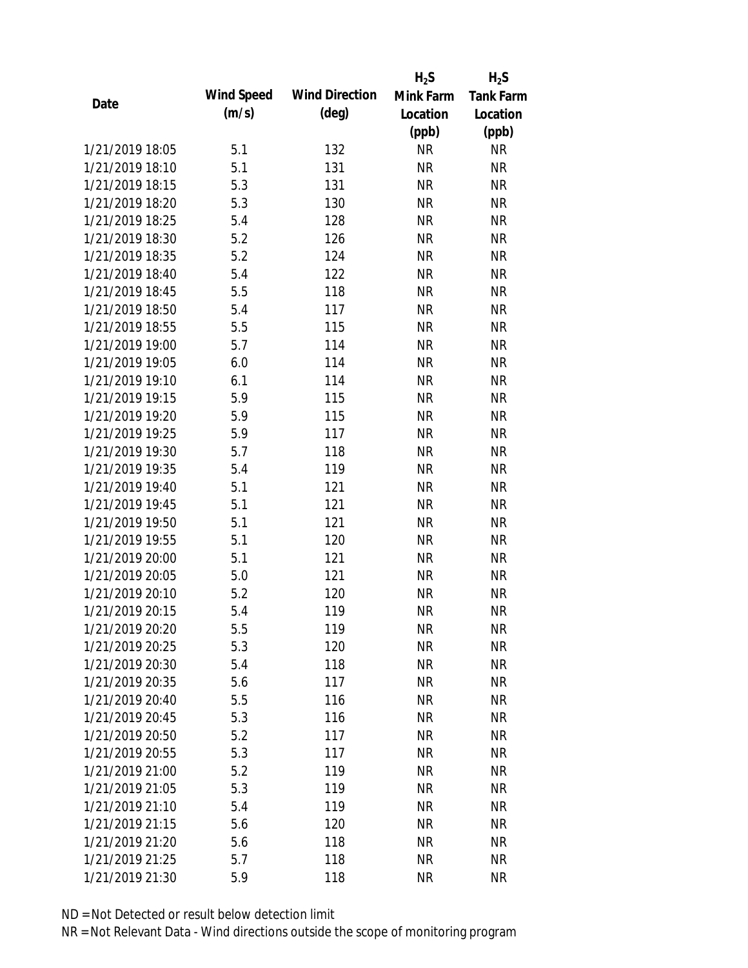|                 |            |                       | $H_2S$    | $H_2S$           |
|-----------------|------------|-----------------------|-----------|------------------|
|                 | Wind Speed | <b>Wind Direction</b> | Mink Farm | <b>Tank Farm</b> |
| Date            | (m/s)      | $(\text{deg})$        | Location  | Location         |
|                 |            |                       | (ppb)     | (ppb)            |
| 1/21/2019 18:05 | 5.1        | 132                   | <b>NR</b> | <b>NR</b>        |
| 1/21/2019 18:10 | 5.1        | 131                   | <b>NR</b> | <b>NR</b>        |
| 1/21/2019 18:15 | 5.3        | 131                   | <b>NR</b> | <b>NR</b>        |
| 1/21/2019 18:20 | 5.3        | 130                   | <b>NR</b> | <b>NR</b>        |
| 1/21/2019 18:25 | 5.4        | 128                   | <b>NR</b> | <b>NR</b>        |
| 1/21/2019 18:30 | 5.2        | 126                   | <b>NR</b> | <b>NR</b>        |
| 1/21/2019 18:35 | 5.2        | 124                   | <b>NR</b> | <b>NR</b>        |
| 1/21/2019 18:40 | 5.4        | 122                   | <b>NR</b> | <b>NR</b>        |
| 1/21/2019 18:45 | 5.5        | 118                   | <b>NR</b> | <b>NR</b>        |
| 1/21/2019 18:50 | 5.4        | 117                   | <b>NR</b> | <b>NR</b>        |
| 1/21/2019 18:55 | 5.5        | 115                   | <b>NR</b> | <b>NR</b>        |
| 1/21/2019 19:00 | 5.7        | 114                   | <b>NR</b> | <b>NR</b>        |
| 1/21/2019 19:05 | 6.0        | 114                   | <b>NR</b> | <b>NR</b>        |
| 1/21/2019 19:10 | 6.1        | 114                   | <b>NR</b> | <b>NR</b>        |
| 1/21/2019 19:15 | 5.9        | 115                   | <b>NR</b> | <b>NR</b>        |
| 1/21/2019 19:20 | 5.9        | 115                   | <b>NR</b> | <b>NR</b>        |
| 1/21/2019 19:25 | 5.9        | 117                   | <b>NR</b> | <b>NR</b>        |
| 1/21/2019 19:30 | 5.7        | 118                   | <b>NR</b> | <b>NR</b>        |
| 1/21/2019 19:35 | 5.4        | 119                   | <b>NR</b> | <b>NR</b>        |
| 1/21/2019 19:40 | 5.1        | 121                   | <b>NR</b> | <b>NR</b>        |
| 1/21/2019 19:45 | 5.1        | 121                   | <b>NR</b> | <b>NR</b>        |
| 1/21/2019 19:50 | 5.1        | 121                   | <b>NR</b> | <b>NR</b>        |
| 1/21/2019 19:55 | 5.1        | 120                   | <b>NR</b> | <b>NR</b>        |
| 1/21/2019 20:00 | 5.1        | 121                   | <b>NR</b> | <b>NR</b>        |
| 1/21/2019 20:05 | 5.0        | 121                   | <b>NR</b> | <b>NR</b>        |
| 1/21/2019 20:10 | 5.2        | 120                   | <b>NR</b> | <b>NR</b>        |
| 1/21/2019 20:15 | 5.4        | 119                   | <b>NR</b> | <b>NR</b>        |
| 1/21/2019 20:20 | 5.5        | 119                   | <b>NR</b> | <b>NR</b>        |
| 1/21/2019 20:25 | 5.3        | 120                   | <b>NR</b> | <b>NR</b>        |
| 1/21/2019 20:30 | 5.4        | 118                   | <b>NR</b> | <b>NR</b>        |
| 1/21/2019 20:35 | 5.6        | 117                   | <b>NR</b> | <b>NR</b>        |
| 1/21/2019 20:40 | 5.5        | 116                   | <b>NR</b> | <b>NR</b>        |
| 1/21/2019 20:45 | 5.3        | 116                   | <b>NR</b> | <b>NR</b>        |
| 1/21/2019 20:50 | 5.2        | 117                   | <b>NR</b> | <b>NR</b>        |
| 1/21/2019 20:55 | 5.3        | 117                   | <b>NR</b> | <b>NR</b>        |
| 1/21/2019 21:00 | 5.2        | 119                   | <b>NR</b> | <b>NR</b>        |
| 1/21/2019 21:05 | 5.3        | 119                   | <b>NR</b> | <b>NR</b>        |
| 1/21/2019 21:10 | 5.4        | 119                   | <b>NR</b> | <b>NR</b>        |
| 1/21/2019 21:15 | 5.6        | 120                   | <b>NR</b> | <b>NR</b>        |
| 1/21/2019 21:20 | 5.6        | 118                   | <b>NR</b> | <b>NR</b>        |
| 1/21/2019 21:25 | 5.7        | 118                   | <b>NR</b> | <b>NR</b>        |
| 1/21/2019 21:30 | 5.9        | 118                   | <b>NR</b> | <b>NR</b>        |
|                 |            |                       |           |                  |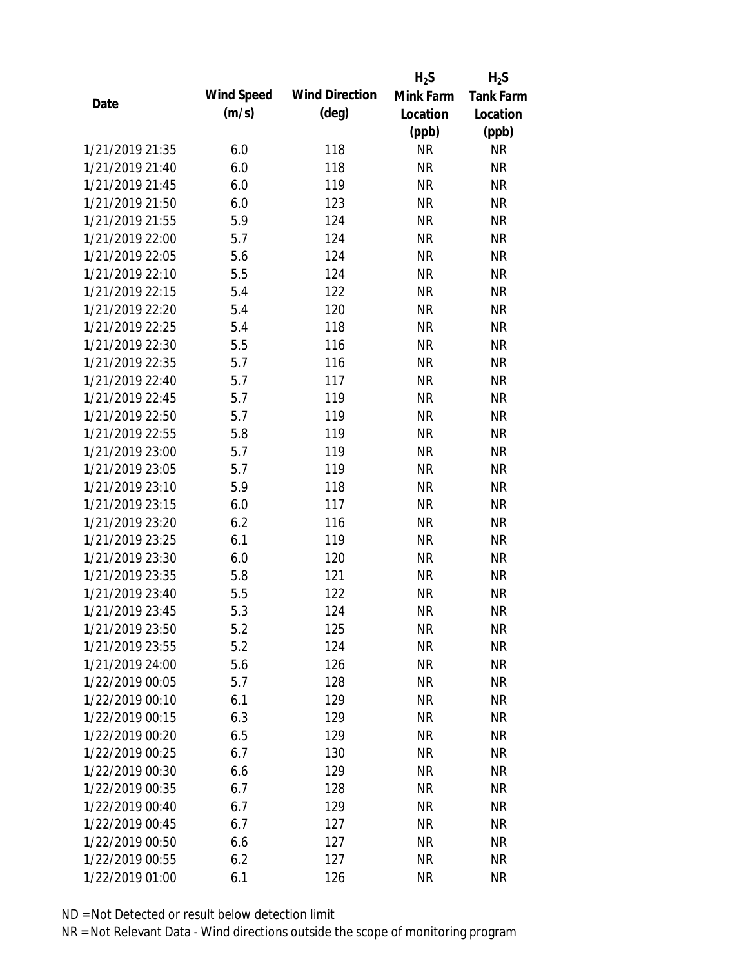|                 |            |                       | $H_2S$    | $H_2S$           |
|-----------------|------------|-----------------------|-----------|------------------|
| Date            | Wind Speed | <b>Wind Direction</b> | Mink Farm | <b>Tank Farm</b> |
|                 | (m/s)      | $(\text{deg})$        | Location  | Location         |
|                 |            |                       | (ppb)     | (ppb)            |
| 1/21/2019 21:35 | 6.0        | 118                   | <b>NR</b> | <b>NR</b>        |
| 1/21/2019 21:40 | 6.0        | 118                   | <b>NR</b> | <b>NR</b>        |
| 1/21/2019 21:45 | 6.0        | 119                   | <b>NR</b> | <b>NR</b>        |
| 1/21/2019 21:50 | 6.0        | 123                   | <b>NR</b> | <b>NR</b>        |
| 1/21/2019 21:55 | 5.9        | 124                   | <b>NR</b> | <b>NR</b>        |
| 1/21/2019 22:00 | 5.7        | 124                   | <b>NR</b> | <b>NR</b>        |
| 1/21/2019 22:05 | 5.6        | 124                   | <b>NR</b> | <b>NR</b>        |
| 1/21/2019 22:10 | 5.5        | 124                   | <b>NR</b> | <b>NR</b>        |
| 1/21/2019 22:15 | 5.4        | 122                   | <b>NR</b> | <b>NR</b>        |
| 1/21/2019 22:20 | 5.4        | 120                   | <b>NR</b> | <b>NR</b>        |
| 1/21/2019 22:25 | 5.4        | 118                   | <b>NR</b> | <b>NR</b>        |
| 1/21/2019 22:30 | 5.5        | 116                   | <b>NR</b> | <b>NR</b>        |
| 1/21/2019 22:35 | 5.7        | 116                   | <b>NR</b> | <b>NR</b>        |
| 1/21/2019 22:40 | 5.7        | 117                   | <b>NR</b> | <b>NR</b>        |
| 1/21/2019 22:45 | 5.7        | 119                   | <b>NR</b> | <b>NR</b>        |
| 1/21/2019 22:50 | 5.7        | 119                   | <b>NR</b> | <b>NR</b>        |
| 1/21/2019 22:55 | 5.8        | 119                   | <b>NR</b> | <b>NR</b>        |
| 1/21/2019 23:00 | 5.7        | 119                   | <b>NR</b> | <b>NR</b>        |
| 1/21/2019 23:05 | 5.7        | 119                   | <b>NR</b> | <b>NR</b>        |
| 1/21/2019 23:10 | 5.9        | 118                   | <b>NR</b> | <b>NR</b>        |
| 1/21/2019 23:15 | 6.0        | 117                   | <b>NR</b> | <b>NR</b>        |
| 1/21/2019 23:20 | 6.2        | 116                   | <b>NR</b> | <b>NR</b>        |
| 1/21/2019 23:25 | 6.1        | 119                   | <b>NR</b> | <b>NR</b>        |
| 1/21/2019 23:30 | 6.0        | 120                   | <b>NR</b> | <b>NR</b>        |
| 1/21/2019 23:35 | 5.8        | 121                   | <b>NR</b> | <b>NR</b>        |
| 1/21/2019 23:40 | 5.5        | 122                   | <b>NR</b> | <b>NR</b>        |
| 1/21/2019 23:45 | 5.3        | 124                   | <b>NR</b> | <b>NR</b>        |
| 1/21/2019 23:50 | 5.2        | 125                   | <b>NR</b> | <b>NR</b>        |
| 1/21/2019 23:55 | 5.2        | 124                   | <b>NR</b> | <b>NR</b>        |
| 1/21/2019 24:00 | 5.6        | 126                   | <b>NR</b> | <b>NR</b>        |
| 1/22/2019 00:05 | 5.7        | 128                   | <b>NR</b> | <b>NR</b>        |
| 1/22/2019 00:10 | 6.1        | 129                   | <b>NR</b> | <b>NR</b>        |
| 1/22/2019 00:15 | 6.3        | 129                   | <b>NR</b> | <b>NR</b>        |
| 1/22/2019 00:20 | 6.5        | 129                   | <b>NR</b> | <b>NR</b>        |
| 1/22/2019 00:25 | 6.7        | 130                   | <b>NR</b> | <b>NR</b>        |
| 1/22/2019 00:30 | 6.6        | 129                   | <b>NR</b> | <b>NR</b>        |
| 1/22/2019 00:35 | 6.7        | 128                   | <b>NR</b> | NR               |
| 1/22/2019 00:40 | 6.7        | 129                   | <b>NR</b> | NR               |
| 1/22/2019 00:45 | 6.7        | 127                   | <b>NR</b> | NR               |
| 1/22/2019 00:50 | 6.6        | 127                   | <b>NR</b> | NR               |
| 1/22/2019 00:55 | 6.2        | 127                   | <b>NR</b> | <b>NR</b>        |
| 1/22/2019 01:00 | 6.1        | 126                   | <b>NR</b> | <b>NR</b>        |
|                 |            |                       |           |                  |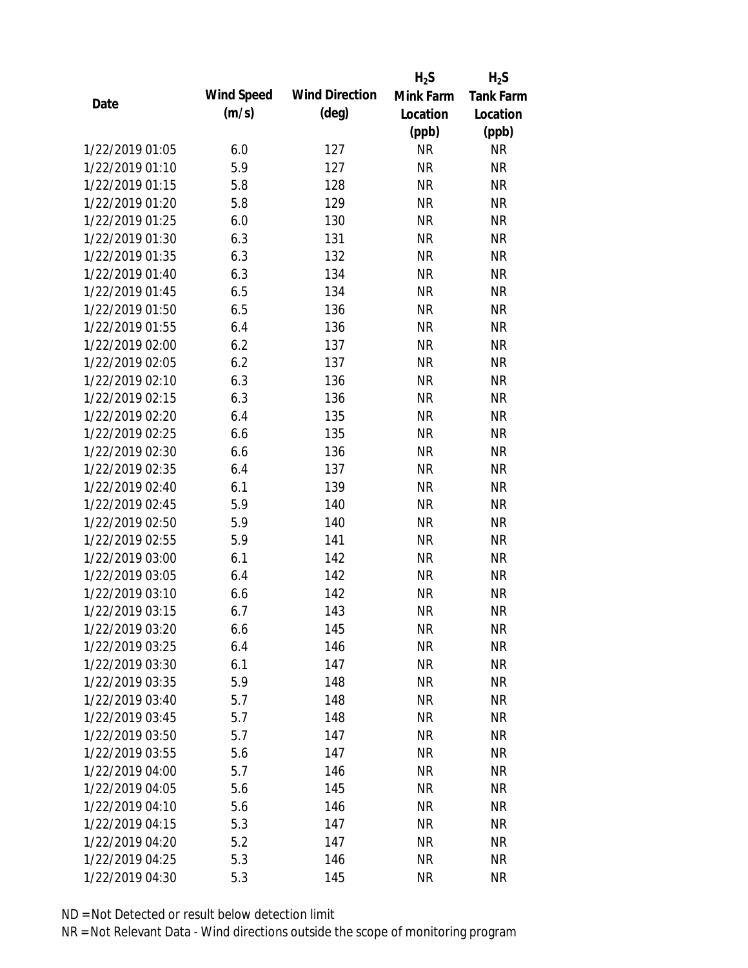|                 |            |                       | $H_2S$    | $H_2S$           |
|-----------------|------------|-----------------------|-----------|------------------|
|                 | Wind Speed | <b>Wind Direction</b> | Mink Farm | <b>Tank Farm</b> |
| Date            | (m/s)      | $(\text{deg})$        | Location  | Location         |
|                 |            |                       | (ppb)     | (ppb)            |
| 1/22/2019 01:05 | 6.0        | 127                   | <b>NR</b> | <b>NR</b>        |
| 1/22/2019 01:10 | 5.9        | 127                   | <b>NR</b> | <b>NR</b>        |
| 1/22/2019 01:15 | 5.8        | 128                   | <b>NR</b> | <b>NR</b>        |
| 1/22/2019 01:20 | 5.8        | 129                   | <b>NR</b> | <b>NR</b>        |
| 1/22/2019 01:25 | 6.0        | 130                   | <b>NR</b> | <b>NR</b>        |
| 1/22/2019 01:30 | 6.3        | 131                   | <b>NR</b> | <b>NR</b>        |
| 1/22/2019 01:35 | 6.3        | 132                   | <b>NR</b> | <b>NR</b>        |
| 1/22/2019 01:40 | 6.3        | 134                   | <b>NR</b> | <b>NR</b>        |
| 1/22/2019 01:45 | 6.5        | 134                   | <b>NR</b> | <b>NR</b>        |
| 1/22/2019 01:50 | 6.5        | 136                   | <b>NR</b> | <b>NR</b>        |
| 1/22/2019 01:55 | 6.4        | 136                   | <b>NR</b> | <b>NR</b>        |
| 1/22/2019 02:00 | 6.2        | 137                   | <b>NR</b> | <b>NR</b>        |
| 1/22/2019 02:05 | 6.2        | 137                   | <b>NR</b> | <b>NR</b>        |
| 1/22/2019 02:10 | 6.3        | 136                   | <b>NR</b> | <b>NR</b>        |
| 1/22/2019 02:15 | 6.3        | 136                   | <b>NR</b> | <b>NR</b>        |
| 1/22/2019 02:20 | 6.4        | 135                   | <b>NR</b> | <b>NR</b>        |
| 1/22/2019 02:25 | 6.6        | 135                   | <b>NR</b> | <b>NR</b>        |
| 1/22/2019 02:30 | 6.6        | 136                   | <b>NR</b> | <b>NR</b>        |
| 1/22/2019 02:35 | 6.4        | 137                   | <b>NR</b> | <b>NR</b>        |
| 1/22/2019 02:40 | 6.1        | 139                   | <b>NR</b> | <b>NR</b>        |
| 1/22/2019 02:45 | 5.9        | 140                   | <b>NR</b> | <b>NR</b>        |
| 1/22/2019 02:50 | 5.9        | 140                   | <b>NR</b> | <b>NR</b>        |
| 1/22/2019 02:55 | 5.9        | 141                   | <b>NR</b> | <b>NR</b>        |
| 1/22/2019 03:00 | 6.1        | 142                   | <b>NR</b> | <b>NR</b>        |
| 1/22/2019 03:05 | 6.4        | 142                   | <b>NR</b> | <b>NR</b>        |
| 1/22/2019 03:10 | 6.6        | 142                   | <b>NR</b> | <b>NR</b>        |
| 1/22/2019 03:15 | 6.7        | 143                   | <b>NR</b> | <b>NR</b>        |
| 1/22/2019 03:20 | 6.6        | 145                   | <b>NR</b> | <b>NR</b>        |
| 1/22/2019 03:25 | 6.4        | 146                   | <b>NR</b> | <b>NR</b>        |
| 1/22/2019 03:30 | 6.1        | 147                   | <b>NR</b> | <b>NR</b>        |
| 1/22/2019 03:35 | 5.9        | 148                   | <b>NR</b> | <b>NR</b>        |
| 1/22/2019 03:40 | 5.7        | 148                   | <b>NR</b> | <b>NR</b>        |
| 1/22/2019 03:45 | 5.7        | 148                   | <b>NR</b> | <b>NR</b>        |
| 1/22/2019 03:50 | 5.7        | 147                   | <b>NR</b> | <b>NR</b>        |
| 1/22/2019 03:55 | 5.6        | 147                   | <b>NR</b> | <b>NR</b>        |
| 1/22/2019 04:00 | 5.7        | 146                   | <b>NR</b> | <b>NR</b>        |
| 1/22/2019 04:05 | 5.6        | 145                   | <b>NR</b> | NR               |
| 1/22/2019 04:10 | 5.6        | 146                   | <b>NR</b> | NR               |
| 1/22/2019 04:15 | 5.3        | 147                   | <b>NR</b> | NR               |
| 1/22/2019 04:20 | 5.2        | 147                   | <b>NR</b> | NR               |
| 1/22/2019 04:25 | 5.3        | 146                   | <b>NR</b> | <b>NR</b>        |
| 1/22/2019 04:30 | 5.3        | 145                   | <b>NR</b> | <b>NR</b>        |
|                 |            |                       |           |                  |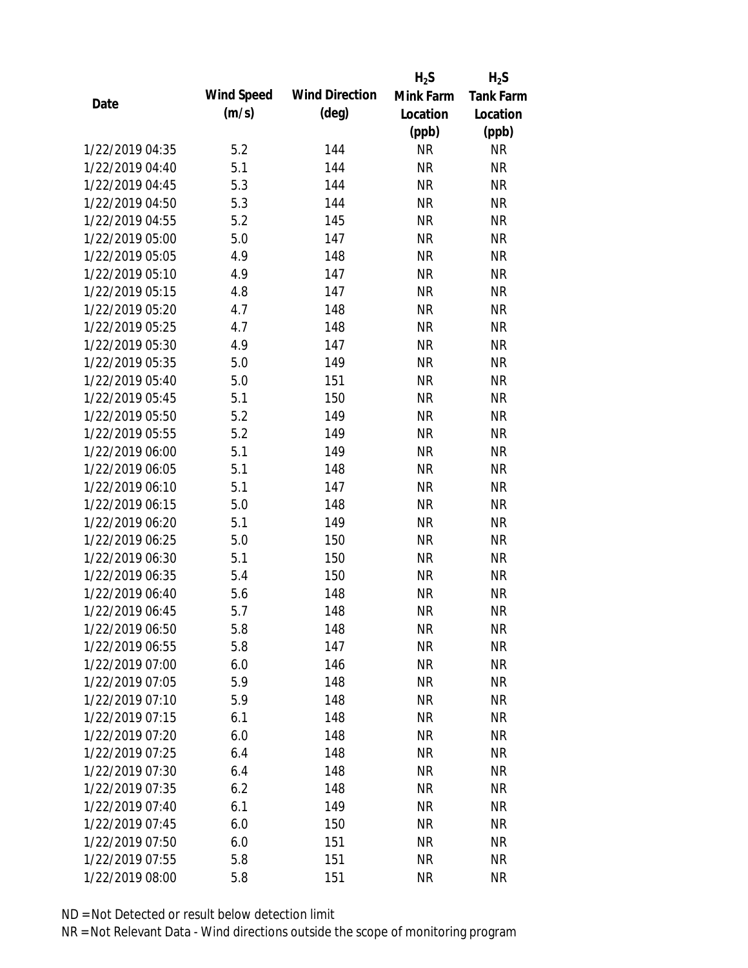|                 |            |                       | $H_2S$    | $H_2S$           |
|-----------------|------------|-----------------------|-----------|------------------|
| Date            | Wind Speed | <b>Wind Direction</b> | Mink Farm | <b>Tank Farm</b> |
|                 | (m/s)      | $(\text{deg})$        | Location  | Location         |
|                 |            |                       | (ppb)     | (ppb)            |
| 1/22/2019 04:35 | 5.2        | 144                   | <b>NR</b> | NR               |
| 1/22/2019 04:40 | 5.1        | 144                   | <b>NR</b> | <b>NR</b>        |
| 1/22/2019 04:45 | 5.3        | 144                   | <b>NR</b> | <b>NR</b>        |
| 1/22/2019 04:50 | 5.3        | 144                   | <b>NR</b> | <b>NR</b>        |
| 1/22/2019 04:55 | 5.2        | 145                   | <b>NR</b> | <b>NR</b>        |
| 1/22/2019 05:00 | 5.0        | 147                   | <b>NR</b> | <b>NR</b>        |
| 1/22/2019 05:05 | 4.9        | 148                   | <b>NR</b> | <b>NR</b>        |
| 1/22/2019 05:10 | 4.9        | 147                   | <b>NR</b> | <b>NR</b>        |
| 1/22/2019 05:15 | 4.8        | 147                   | <b>NR</b> | <b>NR</b>        |
| 1/22/2019 05:20 | 4.7        | 148                   | <b>NR</b> | <b>NR</b>        |
| 1/22/2019 05:25 | 4.7        | 148                   | <b>NR</b> | <b>NR</b>        |
| 1/22/2019 05:30 | 4.9        | 147                   | <b>NR</b> | <b>NR</b>        |
| 1/22/2019 05:35 | 5.0        | 149                   | <b>NR</b> | <b>NR</b>        |
| 1/22/2019 05:40 | 5.0        | 151                   | <b>NR</b> | <b>NR</b>        |
| 1/22/2019 05:45 | 5.1        | 150                   | <b>NR</b> | <b>NR</b>        |
| 1/22/2019 05:50 | 5.2        | 149                   | <b>NR</b> | <b>NR</b>        |
| 1/22/2019 05:55 | 5.2        | 149                   | <b>NR</b> | <b>NR</b>        |
| 1/22/2019 06:00 | 5.1        | 149                   | <b>NR</b> | <b>NR</b>        |
| 1/22/2019 06:05 | 5.1        | 148                   | <b>NR</b> | <b>NR</b>        |
| 1/22/2019 06:10 | 5.1        | 147                   | <b>NR</b> | <b>NR</b>        |
| 1/22/2019 06:15 | 5.0        | 148                   | <b>NR</b> | <b>NR</b>        |
| 1/22/2019 06:20 | 5.1        | 149                   | <b>NR</b> | <b>NR</b>        |
| 1/22/2019 06:25 | 5.0        | 150                   | <b>NR</b> | <b>NR</b>        |
| 1/22/2019 06:30 | 5.1        | 150                   | <b>NR</b> | <b>NR</b>        |
| 1/22/2019 06:35 | 5.4        | 150                   | <b>NR</b> | <b>NR</b>        |
| 1/22/2019 06:40 | 5.6        | 148                   | <b>NR</b> | <b>NR</b>        |
| 1/22/2019 06:45 | 5.7        | 148                   | <b>NR</b> | <b>NR</b>        |
| 1/22/2019 06:50 | 5.8        | 148                   | <b>NR</b> | <b>NR</b>        |
| 1/22/2019 06:55 | 5.8        | 147                   | <b>NR</b> | <b>NR</b>        |
| 1/22/2019 07:00 | 6.0        | 146                   | <b>NR</b> | <b>NR</b>        |
| 1/22/2019 07:05 | 5.9        | 148                   | <b>NR</b> | <b>NR</b>        |
| 1/22/2019 07:10 | 5.9        | 148                   | <b>NR</b> | <b>NR</b>        |
| 1/22/2019 07:15 | 6.1        | 148                   | <b>NR</b> | <b>NR</b>        |
| 1/22/2019 07:20 | 6.0        | 148                   | <b>NR</b> | <b>NR</b>        |
| 1/22/2019 07:25 | 6.4        | 148                   | <b>NR</b> | <b>NR</b>        |
| 1/22/2019 07:30 | 6.4        | 148                   | <b>NR</b> | <b>NR</b>        |
| 1/22/2019 07:35 | 6.2        | 148                   | <b>NR</b> | <b>NR</b>        |
| 1/22/2019 07:40 | 6.1        | 149                   | NR        | <b>NR</b>        |
| 1/22/2019 07:45 | 6.0        | 150                   | <b>NR</b> | <b>NR</b>        |
| 1/22/2019 07:50 | 6.0        | 151                   | <b>NR</b> | <b>NR</b>        |
| 1/22/2019 07:55 | 5.8        | 151                   | <b>NR</b> | <b>NR</b>        |
| 1/22/2019 08:00 |            |                       | <b>NR</b> | <b>NR</b>        |
|                 | 5.8        | 151                   |           |                  |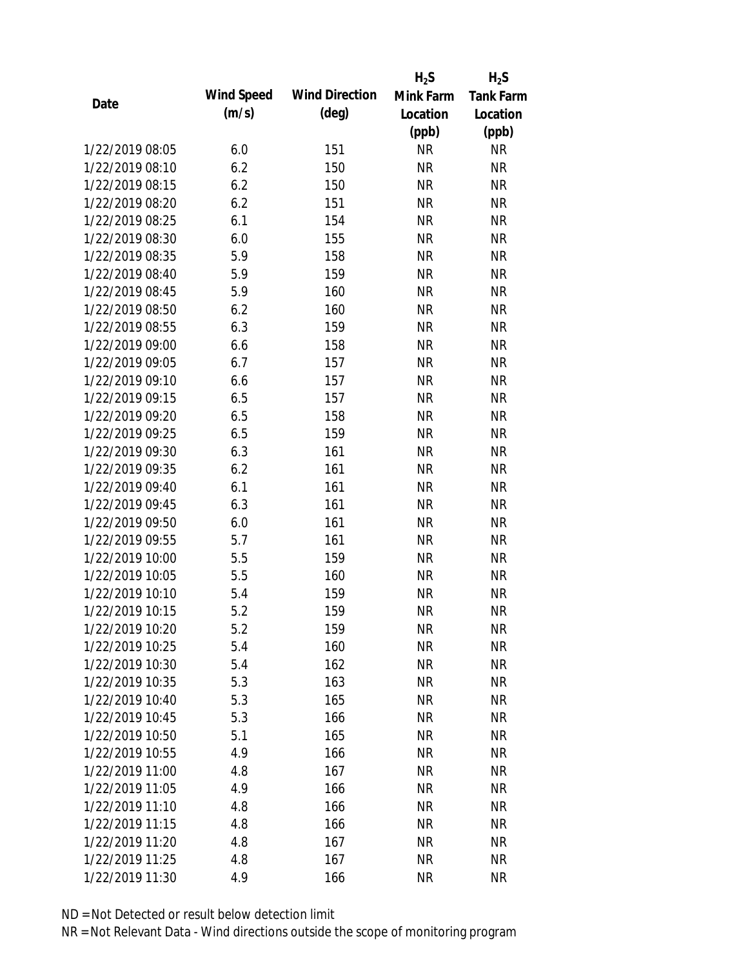|                 |            |                       | $H_2S$    | $H_2S$           |
|-----------------|------------|-----------------------|-----------|------------------|
| Date            | Wind Speed | <b>Wind Direction</b> | Mink Farm | <b>Tank Farm</b> |
|                 | (m/s)      | $(\text{deg})$        | Location  | Location         |
|                 |            |                       | (ppb)     | (ppb)            |
| 1/22/2019 08:05 | 6.0        | 151                   | <b>NR</b> | <b>NR</b>        |
| 1/22/2019 08:10 | 6.2        | 150                   | <b>NR</b> | <b>NR</b>        |
| 1/22/2019 08:15 | 6.2        | 150                   | <b>NR</b> | <b>NR</b>        |
| 1/22/2019 08:20 | 6.2        | 151                   | <b>NR</b> | <b>NR</b>        |
| 1/22/2019 08:25 | 6.1        | 154                   | <b>NR</b> | <b>NR</b>        |
| 1/22/2019 08:30 | 6.0        | 155                   | <b>NR</b> | <b>NR</b>        |
| 1/22/2019 08:35 | 5.9        | 158                   | <b>NR</b> | <b>NR</b>        |
| 1/22/2019 08:40 | 5.9        | 159                   | <b>NR</b> | <b>NR</b>        |
| 1/22/2019 08:45 | 5.9        | 160                   | <b>NR</b> | <b>NR</b>        |
| 1/22/2019 08:50 | 6.2        | 160                   | <b>NR</b> | <b>NR</b>        |
| 1/22/2019 08:55 | 6.3        | 159                   | <b>NR</b> | <b>NR</b>        |
| 1/22/2019 09:00 | 6.6        | 158                   | <b>NR</b> | <b>NR</b>        |
| 1/22/2019 09:05 | 6.7        | 157                   | <b>NR</b> | <b>NR</b>        |
| 1/22/2019 09:10 | 6.6        | 157                   | <b>NR</b> | <b>NR</b>        |
| 1/22/2019 09:15 | 6.5        | 157                   | <b>NR</b> | <b>NR</b>        |
| 1/22/2019 09:20 | 6.5        | 158                   | <b>NR</b> | <b>NR</b>        |
| 1/22/2019 09:25 | 6.5        | 159                   | <b>NR</b> | <b>NR</b>        |
| 1/22/2019 09:30 | 6.3        | 161                   | <b>NR</b> | <b>NR</b>        |
| 1/22/2019 09:35 | 6.2        | 161                   | <b>NR</b> | <b>NR</b>        |
| 1/22/2019 09:40 | 6.1        | 161                   | <b>NR</b> | <b>NR</b>        |
| 1/22/2019 09:45 | 6.3        | 161                   | <b>NR</b> | <b>NR</b>        |
| 1/22/2019 09:50 | 6.0        | 161                   | <b>NR</b> | <b>NR</b>        |
| 1/22/2019 09:55 | 5.7        | 161                   | <b>NR</b> | <b>NR</b>        |
| 1/22/2019 10:00 | 5.5        | 159                   | <b>NR</b> | <b>NR</b>        |
| 1/22/2019 10:05 | 5.5        | 160                   | <b>NR</b> | <b>NR</b>        |
| 1/22/2019 10:10 | 5.4        | 159                   | <b>NR</b> | <b>NR</b>        |
| 1/22/2019 10:15 | 5.2        | 159                   | <b>NR</b> | <b>NR</b>        |
| 1/22/2019 10:20 | 5.2        | 159                   | <b>NR</b> | <b>NR</b>        |
| 1/22/2019 10:25 | 5.4        | 160                   | <b>NR</b> | <b>NR</b>        |
| 1/22/2019 10:30 | 5.4        | 162                   | <b>NR</b> | <b>NR</b>        |
| 1/22/2019 10:35 | 5.3        | 163                   | <b>NR</b> | <b>NR</b>        |
| 1/22/2019 10:40 | 5.3        | 165                   | <b>NR</b> | NR               |
| 1/22/2019 10:45 | 5.3        | 166                   | <b>NR</b> | <b>NR</b>        |
| 1/22/2019 10:50 | 5.1        | 165                   | <b>NR</b> | <b>NR</b>        |
| 1/22/2019 10:55 | 4.9        | 166                   | <b>NR</b> | <b>NR</b>        |
| 1/22/2019 11:00 | 4.8        | 167                   | <b>NR</b> | <b>NR</b>        |
| 1/22/2019 11:05 | 4.9        | 166                   | <b>NR</b> | <b>NR</b>        |
| 1/22/2019 11:10 | 4.8        | 166                   | NR        | <b>NR</b>        |
| 1/22/2019 11:15 | 4.8        | 166                   | <b>NR</b> | <b>NR</b>        |
| 1/22/2019 11:20 | 4.8        | 167                   | <b>NR</b> | <b>NR</b>        |
| 1/22/2019 11:25 | 4.8        | 167                   | <b>NR</b> | <b>NR</b>        |
| 1/22/2019 11:30 | 4.9        | 166                   | <b>NR</b> | <b>NR</b>        |
|                 |            |                       |           |                  |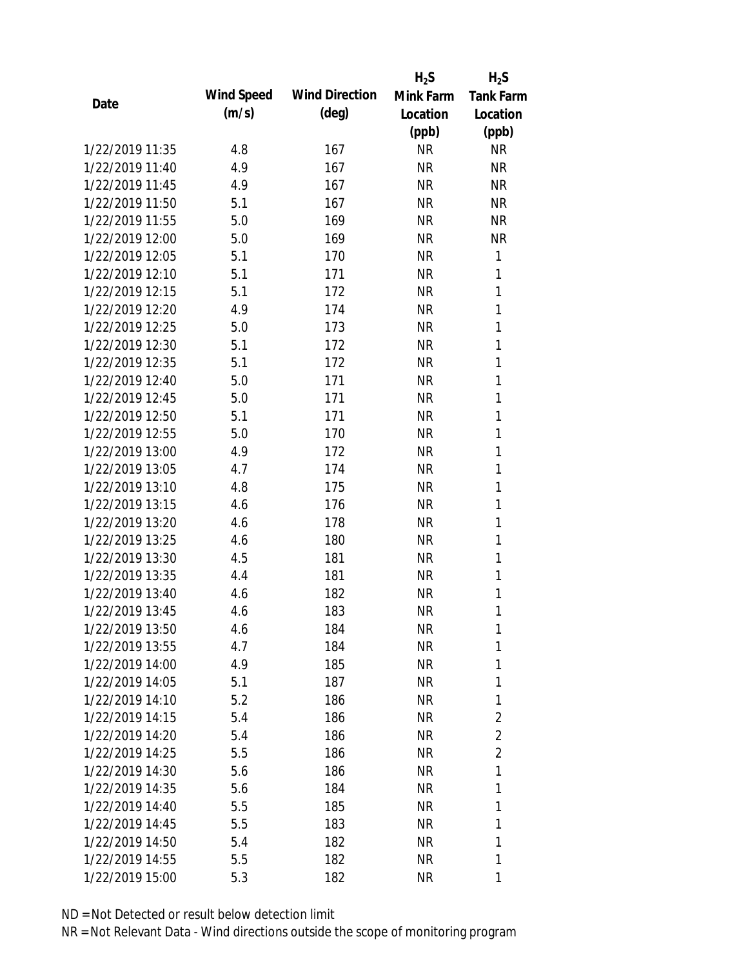|                 |            |                       | $H_2S$    | $H_2S$           |
|-----------------|------------|-----------------------|-----------|------------------|
| Date            | Wind Speed | <b>Wind Direction</b> | Mink Farm | <b>Tank Farm</b> |
|                 | (m/s)      | $(\text{deg})$        | Location  | Location         |
|                 |            |                       | (ppb)     | (ppb)            |
| 1/22/2019 11:35 | 4.8        | 167                   | <b>NR</b> | <b>NR</b>        |
| 1/22/2019 11:40 | 4.9        | 167                   | <b>NR</b> | <b>NR</b>        |
| 1/22/2019 11:45 | 4.9        | 167                   | <b>NR</b> | <b>NR</b>        |
| 1/22/2019 11:50 | 5.1        | 167                   | <b>NR</b> | <b>NR</b>        |
| 1/22/2019 11:55 | 5.0        | 169                   | <b>NR</b> | <b>NR</b>        |
| 1/22/2019 12:00 | 5.0        | 169                   | <b>NR</b> | <b>NR</b>        |
| 1/22/2019 12:05 | 5.1        | 170                   | <b>NR</b> | 1                |
| 1/22/2019 12:10 | 5.1        | 171                   | <b>NR</b> | 1                |
| 1/22/2019 12:15 | 5.1        | 172                   | <b>NR</b> | 1                |
| 1/22/2019 12:20 | 4.9        | 174                   | <b>NR</b> | 1                |
| 1/22/2019 12:25 | 5.0        | 173                   | <b>NR</b> | 1                |
| 1/22/2019 12:30 | 5.1        | 172                   | <b>NR</b> | 1                |
| 1/22/2019 12:35 | 5.1        | 172                   | <b>NR</b> | 1                |
| 1/22/2019 12:40 | 5.0        | 171                   | <b>NR</b> | 1                |
| 1/22/2019 12:45 | 5.0        | 171                   | <b>NR</b> | 1                |
| 1/22/2019 12:50 | 5.1        | 171                   | <b>NR</b> | 1                |
| 1/22/2019 12:55 | 5.0        | 170                   | <b>NR</b> | 1                |
| 1/22/2019 13:00 | 4.9        | 172                   | <b>NR</b> | 1                |
| 1/22/2019 13:05 | 4.7        | 174                   | <b>NR</b> | $\mathbf{1}$     |
| 1/22/2019 13:10 | 4.8        | 175                   | <b>NR</b> | 1                |
| 1/22/2019 13:15 | 4.6        | 176                   | <b>NR</b> | 1                |
| 1/22/2019 13:20 | 4.6        | 178                   | <b>NR</b> | 1                |
| 1/22/2019 13:25 | 4.6        | 180                   | <b>NR</b> | 1                |
| 1/22/2019 13:30 | 4.5        | 181                   | <b>NR</b> | 1                |
| 1/22/2019 13:35 | 4.4        | 181                   | <b>NR</b> | 1                |
| 1/22/2019 13:40 | 4.6        | 182                   | <b>NR</b> | 1                |
| 1/22/2019 13:45 | 4.6        | 183                   | <b>NR</b> | 1                |
| 1/22/2019 13:50 | 4.6        | 184                   | <b>NR</b> | 1                |
| 1/22/2019 13:55 | 4.7        | 184                   | NR        | 1                |
| 1/22/2019 14:00 | 4.9        | 185                   | NR        | 1                |
| 1/22/2019 14:05 | 5.1        | 187                   | NR        | 1                |
| 1/22/2019 14:10 | 5.2        | 186                   | NR        | 1                |
| 1/22/2019 14:15 | 5.4        | 186                   | NR        | $\overline{2}$   |
| 1/22/2019 14:20 | 5.4        | 186                   | NR        | $\overline{2}$   |
| 1/22/2019 14:25 | 5.5        | 186                   | NR        | $\overline{2}$   |
| 1/22/2019 14:30 | 5.6        | 186                   | NR        | 1                |
| 1/22/2019 14:35 | 5.6        | 184                   | NR        | 1                |
| 1/22/2019 14:40 | 5.5        | 185                   | NR        | 1                |
| 1/22/2019 14:45 | 5.5        | 183                   | NR.       | 1                |
| 1/22/2019 14:50 | 5.4        | 182                   | NR        | 1                |
| 1/22/2019 14:55 | 5.5        | 182                   | <b>NR</b> | 1                |
| 1/22/2019 15:00 | 5.3        | 182                   | <b>NR</b> | 1                |
|                 |            |                       |           |                  |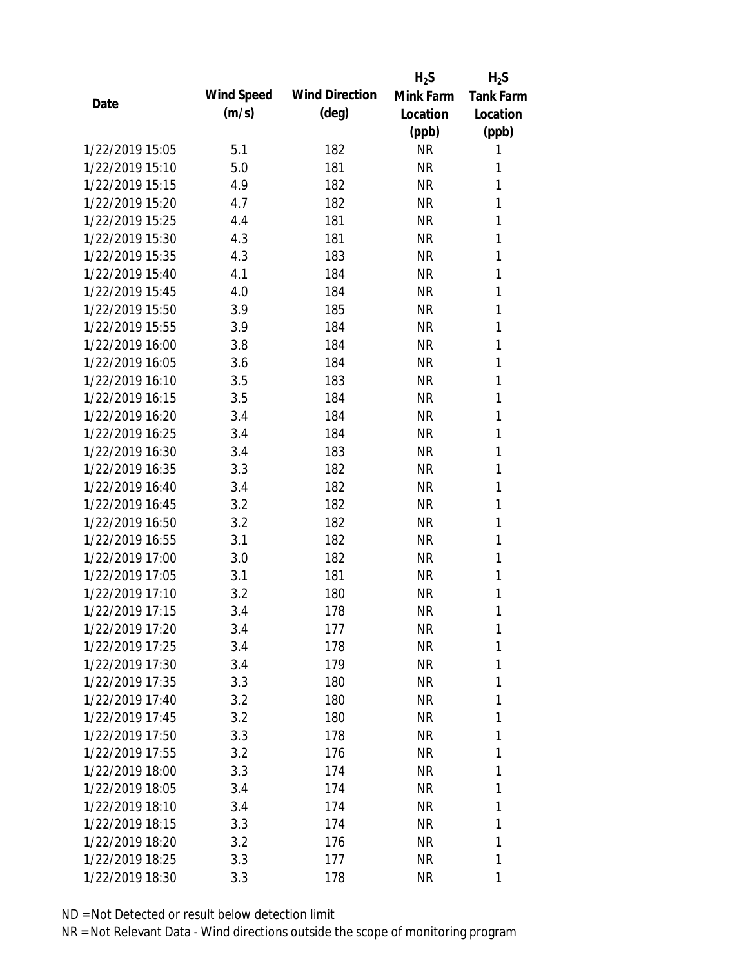|                 |            |                       | $H_2S$    | $H_2S$           |
|-----------------|------------|-----------------------|-----------|------------------|
|                 | Wind Speed | <b>Wind Direction</b> | Mink Farm | <b>Tank Farm</b> |
| Date            | (m/s)      | $(\text{deg})$        | Location  | Location         |
|                 |            |                       | (ppb)     | (ppb)            |
| 1/22/2019 15:05 | 5.1        | 182                   | <b>NR</b> | 1                |
| 1/22/2019 15:10 | 5.0        | 181                   | <b>NR</b> | 1                |
| 1/22/2019 15:15 | 4.9        | 182                   | <b>NR</b> | 1                |
| 1/22/2019 15:20 | 4.7        | 182                   | <b>NR</b> | 1                |
| 1/22/2019 15:25 | 4.4        | 181                   | <b>NR</b> | 1                |
| 1/22/2019 15:30 | 4.3        | 181                   | <b>NR</b> | 1                |
| 1/22/2019 15:35 | 4.3        | 183                   | <b>NR</b> | 1                |
| 1/22/2019 15:40 | 4.1        | 184                   | <b>NR</b> | 1                |
| 1/22/2019 15:45 | 4.0        | 184                   | <b>NR</b> | 1                |
| 1/22/2019 15:50 | 3.9        | 185                   | <b>NR</b> | 1                |
| 1/22/2019 15:55 | 3.9        | 184                   | <b>NR</b> | 1                |
| 1/22/2019 16:00 | 3.8        | 184                   | <b>NR</b> | 1                |
| 1/22/2019 16:05 | 3.6        | 184                   | <b>NR</b> | 1                |
| 1/22/2019 16:10 | 3.5        | 183                   | <b>NR</b> | 1                |
| 1/22/2019 16:15 | 3.5        | 184                   | <b>NR</b> | 1                |
| 1/22/2019 16:20 | 3.4        | 184                   | <b>NR</b> | 1                |
| 1/22/2019 16:25 | 3.4        | 184                   | <b>NR</b> | 1                |
| 1/22/2019 16:30 | 3.4        | 183                   | <b>NR</b> | 1                |
| 1/22/2019 16:35 | 3.3        | 182                   | <b>NR</b> | 1                |
| 1/22/2019 16:40 | 3.4        | 182                   | <b>NR</b> | 1                |
| 1/22/2019 16:45 | 3.2        | 182                   | <b>NR</b> | 1                |
| 1/22/2019 16:50 | 3.2        | 182                   | <b>NR</b> | 1                |
| 1/22/2019 16:55 | 3.1        | 182                   | <b>NR</b> | 1                |
| 1/22/2019 17:00 | 3.0        | 182                   | <b>NR</b> | 1                |
| 1/22/2019 17:05 | 3.1        | 181                   | <b>NR</b> | 1                |
| 1/22/2019 17:10 | 3.2        | 180                   | <b>NR</b> | 1                |
| 1/22/2019 17:15 | 3.4        | 178                   | <b>NR</b> | 1                |
| 1/22/2019 17:20 | 3.4        | 177                   | <b>NR</b> | 1                |
| 1/22/2019 17:25 | 3.4        | 178                   | <b>NR</b> | 1                |
| 1/22/2019 17:30 | 3.4        | 179                   | <b>NR</b> | 1                |
| 1/22/2019 17:35 | 3.3        | 180                   | NR        | 1                |
| 1/22/2019 17:40 | 3.2        | 180                   | NR        | 1                |
| 1/22/2019 17:45 | 3.2        | 180                   | NR        | 1                |
| 1/22/2019 17:50 | 3.3        | 178                   | <b>NR</b> | 1                |
| 1/22/2019 17:55 | 3.2        | 176                   | <b>NR</b> | 1                |
| 1/22/2019 18:00 | 3.3        | 174                   | NR        | 1                |
| 1/22/2019 18:05 | 3.4        | 174                   | NR        | 1                |
| 1/22/2019 18:10 | 3.4        | 174                   | NR        | 1                |
| 1/22/2019 18:15 | 3.3        | 174                   | NR        | 1                |
| 1/22/2019 18:20 | 3.2        | 176                   | <b>NR</b> | 1                |
| 1/22/2019 18:25 | 3.3        | 177                   | <b>NR</b> | 1                |
| 1/22/2019 18:30 | 3.3        | 178                   | <b>NR</b> | 1                |
|                 |            |                       |           |                  |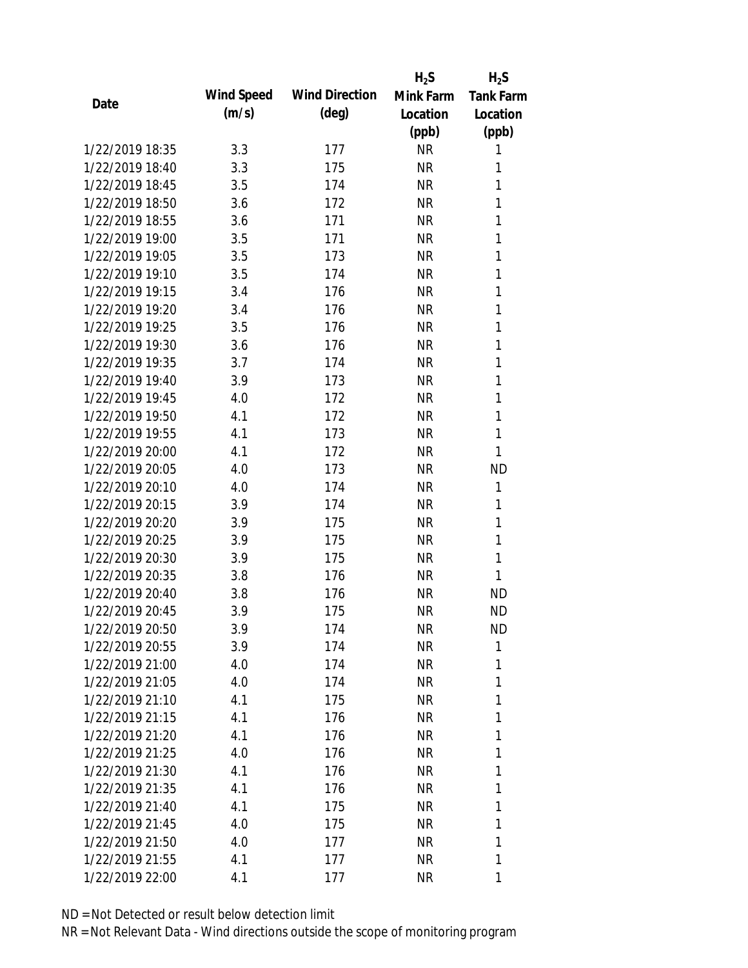|                 |            |                       | $H_2S$    | $H_2S$           |
|-----------------|------------|-----------------------|-----------|------------------|
| Date            | Wind Speed | <b>Wind Direction</b> | Mink Farm | <b>Tank Farm</b> |
|                 | (m/s)      | $(\text{deg})$        | Location  | Location         |
|                 |            |                       | (ppb)     | (ppb)            |
| 1/22/2019 18:35 | 3.3        | 177                   | <b>NR</b> | 1                |
| 1/22/2019 18:40 | 3.3        | 175                   | <b>NR</b> | 1                |
| 1/22/2019 18:45 | 3.5        | 174                   | <b>NR</b> | 1                |
| 1/22/2019 18:50 | 3.6        | 172                   | <b>NR</b> | 1                |
| 1/22/2019 18:55 | 3.6        | 171                   | <b>NR</b> | 1                |
| 1/22/2019 19:00 | 3.5        | 171                   | <b>NR</b> | 1                |
| 1/22/2019 19:05 | 3.5        | 173                   | <b>NR</b> | 1                |
| 1/22/2019 19:10 | 3.5        | 174                   | <b>NR</b> | 1                |
| 1/22/2019 19:15 | 3.4        | 176                   | <b>NR</b> | 1                |
| 1/22/2019 19:20 | 3.4        | 176                   | <b>NR</b> | 1                |
| 1/22/2019 19:25 | 3.5        | 176                   | <b>NR</b> | 1                |
| 1/22/2019 19:30 | 3.6        | 176                   | <b>NR</b> | 1                |
| 1/22/2019 19:35 | 3.7        | 174                   | <b>NR</b> | 1                |
| 1/22/2019 19:40 | 3.9        | 173                   | <b>NR</b> | 1                |
| 1/22/2019 19:45 | 4.0        | 172                   | <b>NR</b> | 1                |
| 1/22/2019 19:50 | 4.1        | 172                   | <b>NR</b> | 1                |
| 1/22/2019 19:55 | 4.1        | 173                   | <b>NR</b> | 1                |
| 1/22/2019 20:00 | 4.1        | 172                   | <b>NR</b> | 1                |
| 1/22/2019 20:05 | 4.0        | 173                   | <b>NR</b> | <b>ND</b>        |
| 1/22/2019 20:10 | 4.0        | 174                   | <b>NR</b> | 1                |
| 1/22/2019 20:15 | 3.9        | 174                   | <b>NR</b> | 1                |
| 1/22/2019 20:20 | 3.9        | 175                   | <b>NR</b> | 1                |
| 1/22/2019 20:25 | 3.9        | 175                   | <b>NR</b> | 1                |
| 1/22/2019 20:30 | 3.9        | 175                   | <b>NR</b> | 1                |
| 1/22/2019 20:35 | 3.8        | 176                   | <b>NR</b> | 1                |
| 1/22/2019 20:40 | 3.8        | 176                   | <b>NR</b> | <b>ND</b>        |
| 1/22/2019 20:45 | 3.9        | 175                   | <b>NR</b> | <b>ND</b>        |
| 1/22/2019 20:50 | 3.9        | 174                   | <b>NR</b> | <b>ND</b>        |
| 1/22/2019 20:55 | 3.9        | 174                   | <b>NR</b> | 1                |
| 1/22/2019 21:00 | 4.0        | 174                   | NR        | 1                |
| 1/22/2019 21:05 | 4.0        | 174                   | NR        | 1                |
| 1/22/2019 21:10 | 4.1        | 175                   | <b>NR</b> | 1                |
| 1/22/2019 21:15 | 4.1        | 176                   | <b>NR</b> | 1                |
| 1/22/2019 21:20 | 4.1        | 176                   | <b>NR</b> | 1                |
| 1/22/2019 21:25 | 4.0        | 176                   | <b>NR</b> | 1                |
| 1/22/2019 21:30 | 4.1        | 176                   | NR        | 1                |
| 1/22/2019 21:35 | 4.1        | 176                   | NR        | 1                |
| 1/22/2019 21:40 | 4.1        | 175                   | NR        | 1                |
| 1/22/2019 21:45 | 4.0        | 175                   | <b>NR</b> | 1                |
| 1/22/2019 21:50 | 4.0        | 177                   | <b>NR</b> | 1                |
| 1/22/2019 21:55 | 4.1        | 177                   | <b>NR</b> | 1                |
| 1/22/2019 22:00 | 4.1        | 177                   | <b>NR</b> | 1                |
|                 |            |                       |           |                  |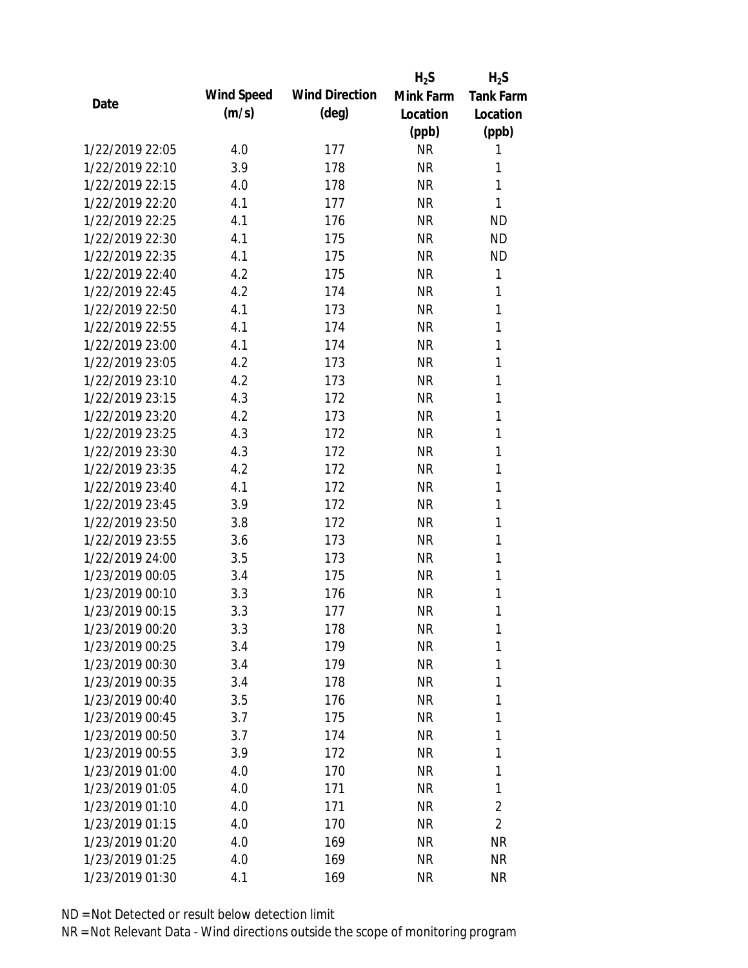|                 |            |                       | $H_2S$    | $H_2S$           |
|-----------------|------------|-----------------------|-----------|------------------|
| Date            | Wind Speed | <b>Wind Direction</b> | Mink Farm | <b>Tank Farm</b> |
|                 | (m/s)      | $(\text{deg})$        | Location  | Location         |
|                 |            |                       | (ppb)     | (ppb)            |
| 1/22/2019 22:05 | 4.0        | 177                   | <b>NR</b> | 1                |
| 1/22/2019 22:10 | 3.9        | 178                   | <b>NR</b> | 1                |
| 1/22/2019 22:15 | 4.0        | 178                   | <b>NR</b> | 1                |
| 1/22/2019 22:20 | 4.1        | 177                   | <b>NR</b> | 1                |
| 1/22/2019 22:25 | 4.1        | 176                   | <b>NR</b> | <b>ND</b>        |
| 1/22/2019 22:30 | 4.1        | 175                   | <b>NR</b> | <b>ND</b>        |
| 1/22/2019 22:35 | 4.1        | 175                   | <b>NR</b> | <b>ND</b>        |
| 1/22/2019 22:40 | 4.2        | 175                   | <b>NR</b> | 1                |
| 1/22/2019 22:45 | 4.2        | 174                   | <b>NR</b> | 1                |
| 1/22/2019 22:50 | 4.1        | 173                   | <b>NR</b> | 1                |
| 1/22/2019 22:55 | 4.1        | 174                   | <b>NR</b> | 1                |
| 1/22/2019 23:00 | 4.1        | 174                   | <b>NR</b> | 1                |
| 1/22/2019 23:05 | 4.2        | 173                   | <b>NR</b> | 1                |
| 1/22/2019 23:10 | 4.2        | 173                   | <b>NR</b> | 1                |
| 1/22/2019 23:15 | 4.3        | 172                   | <b>NR</b> | 1                |
| 1/22/2019 23:20 | 4.2        | 173                   | <b>NR</b> | 1                |
| 1/22/2019 23:25 | 4.3        | 172                   | <b>NR</b> | 1                |
| 1/22/2019 23:30 | 4.3        | 172                   | <b>NR</b> | 1                |
| 1/22/2019 23:35 | 4.2        | 172                   | <b>NR</b> | 1                |
| 1/22/2019 23:40 | 4.1        | 172                   | <b>NR</b> | 1                |
| 1/22/2019 23:45 | 3.9        | 172                   | <b>NR</b> | 1                |
| 1/22/2019 23:50 | 3.8        | 172                   | <b>NR</b> | 1                |
| 1/22/2019 23:55 | 3.6        | 173                   | <b>NR</b> | 1                |
| 1/22/2019 24:00 | 3.5        | 173                   | <b>NR</b> | 1                |
| 1/23/2019 00:05 | 3.4        | 175                   | <b>NR</b> | 1                |
| 1/23/2019 00:10 | 3.3        | 176                   | <b>NR</b> | 1                |
| 1/23/2019 00:15 | 3.3        | 177                   | <b>NR</b> | 1                |
| 1/23/2019 00:20 | 3.3        | 178                   | <b>NR</b> | 1                |
| 1/23/2019 00:25 | 3.4        | 179                   | <b>NR</b> | 1                |
| 1/23/2019 00:30 | 3.4        | 179                   | <b>NR</b> | 1                |
| 1/23/2019 00:35 | 3.4        | 178                   | <b>NR</b> | 1                |
| 1/23/2019 00:40 | 3.5        | 176                   | <b>NR</b> | 1                |
| 1/23/2019 00:45 | 3.7        | 175                   | <b>NR</b> | 1                |
| 1/23/2019 00:50 | 3.7        | 174                   | <b>NR</b> | 1                |
| 1/23/2019 00:55 | 3.9        | 172                   | <b>NR</b> | 1                |
| 1/23/2019 01:00 | 4.0        | 170                   | <b>NR</b> | 1                |
| 1/23/2019 01:05 | 4.0        | 171                   | <b>NR</b> | 1                |
| 1/23/2019 01:10 | 4.0        | 171                   | NR        | $\overline{2}$   |
| 1/23/2019 01:15 | 4.0        | 170                   | <b>NR</b> | $\overline{2}$   |
| 1/23/2019 01:20 | 4.0        | 169                   | <b>NR</b> | <b>NR</b>        |
| 1/23/2019 01:25 | 4.0        | 169                   | <b>NR</b> | <b>NR</b>        |
| 1/23/2019 01:30 | 4.1        | 169                   | <b>NR</b> | <b>NR</b>        |
|                 |            |                       |           |                  |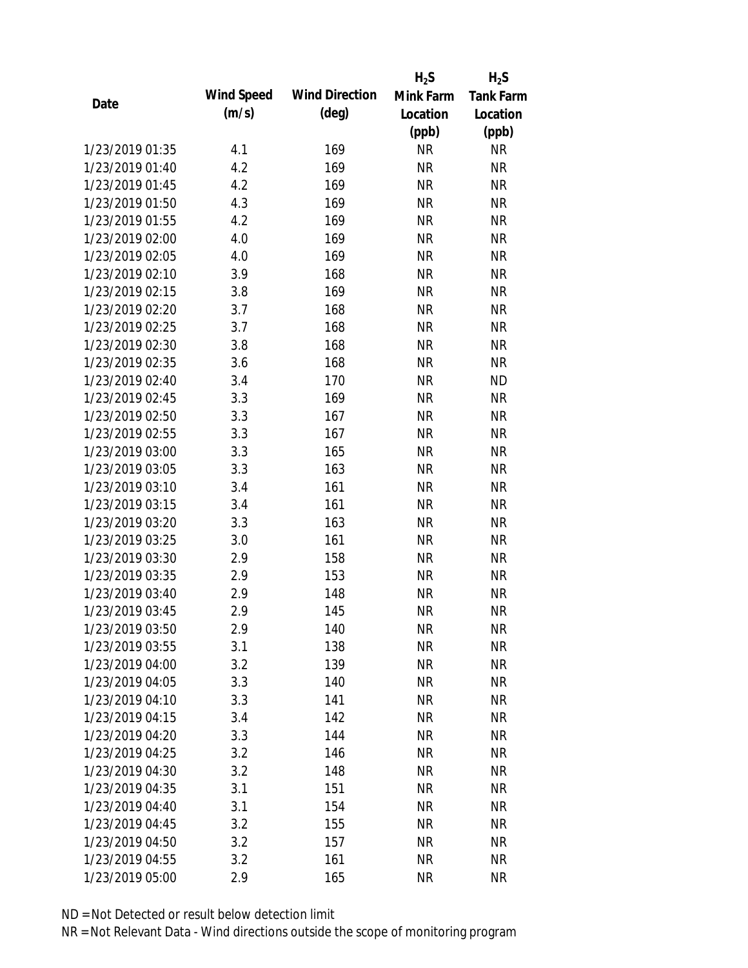|                 |            |                       | $H_2S$    | $H_2S$           |
|-----------------|------------|-----------------------|-----------|------------------|
| Date            | Wind Speed | <b>Wind Direction</b> | Mink Farm | <b>Tank Farm</b> |
|                 | (m/s)      | $(\text{deg})$        | Location  | Location         |
|                 |            |                       | (ppb)     | (ppb)            |
| 1/23/2019 01:35 | 4.1        | 169                   | <b>NR</b> | NR               |
| 1/23/2019 01:40 | 4.2        | 169                   | <b>NR</b> | <b>NR</b>        |
| 1/23/2019 01:45 | 4.2        | 169                   | <b>NR</b> | <b>NR</b>        |
| 1/23/2019 01:50 | 4.3        | 169                   | <b>NR</b> | <b>NR</b>        |
| 1/23/2019 01:55 | 4.2        | 169                   | <b>NR</b> | <b>NR</b>        |
| 1/23/2019 02:00 | 4.0        | 169                   | <b>NR</b> | <b>NR</b>        |
| 1/23/2019 02:05 | 4.0        | 169                   | <b>NR</b> | <b>NR</b>        |
| 1/23/2019 02:10 | 3.9        | 168                   | <b>NR</b> | <b>NR</b>        |
| 1/23/2019 02:15 | 3.8        | 169                   | <b>NR</b> | <b>NR</b>        |
| 1/23/2019 02:20 | 3.7        | 168                   | <b>NR</b> | <b>NR</b>        |
| 1/23/2019 02:25 | 3.7        | 168                   | <b>NR</b> | <b>NR</b>        |
| 1/23/2019 02:30 | 3.8        | 168                   | <b>NR</b> | <b>NR</b>        |
| 1/23/2019 02:35 | 3.6        | 168                   | <b>NR</b> | <b>NR</b>        |
| 1/23/2019 02:40 | 3.4        | 170                   | <b>NR</b> | <b>ND</b>        |
| 1/23/2019 02:45 | 3.3        | 169                   | <b>NR</b> | <b>NR</b>        |
| 1/23/2019 02:50 | 3.3        | 167                   | <b>NR</b> | <b>NR</b>        |
| 1/23/2019 02:55 | 3.3        | 167                   | <b>NR</b> | <b>NR</b>        |
| 1/23/2019 03:00 | 3.3        | 165                   | <b>NR</b> | <b>NR</b>        |
| 1/23/2019 03:05 | 3.3        | 163                   | <b>NR</b> | <b>NR</b>        |
| 1/23/2019 03:10 | 3.4        | 161                   | <b>NR</b> | <b>NR</b>        |
| 1/23/2019 03:15 | 3.4        | 161                   | <b>NR</b> | <b>NR</b>        |
| 1/23/2019 03:20 | 3.3        | 163                   | <b>NR</b> | <b>NR</b>        |
| 1/23/2019 03:25 | 3.0        | 161                   | <b>NR</b> | <b>NR</b>        |
| 1/23/2019 03:30 | 2.9        | 158                   | <b>NR</b> | <b>NR</b>        |
| 1/23/2019 03:35 | 2.9        | 153                   | <b>NR</b> | <b>NR</b>        |
| 1/23/2019 03:40 | 2.9        | 148                   | <b>NR</b> | <b>NR</b>        |
| 1/23/2019 03:45 | 2.9        | 145                   | <b>NR</b> | <b>NR</b>        |
| 1/23/2019 03:50 | 2.9        | 140                   | <b>NR</b> | <b>NR</b>        |
| 1/23/2019 03:55 | 3.1        | 138                   | <b>NR</b> | <b>NR</b>        |
| 1/23/2019 04:00 | 3.2        | 139                   | <b>NR</b> | <b>NR</b>        |
| 1/23/2019 04:05 | 3.3        | 140                   | <b>NR</b> | <b>NR</b>        |
| 1/23/2019 04:10 | 3.3        | 141                   | <b>NR</b> | <b>NR</b>        |
| 1/23/2019 04:15 | 3.4        | 142                   | <b>NR</b> | <b>NR</b>        |
| 1/23/2019 04:20 | 3.3        | 144                   | <b>NR</b> | <b>NR</b>        |
| 1/23/2019 04:25 | 3.2        | 146                   | <b>NR</b> | <b>NR</b>        |
| 1/23/2019 04:30 | 3.2        | 148                   | <b>NR</b> | <b>NR</b>        |
| 1/23/2019 04:35 | 3.1        | 151                   | <b>NR</b> | <b>NR</b>        |
| 1/23/2019 04:40 | 3.1        | 154                   | NR        | <b>NR</b>        |
| 1/23/2019 04:45 | 3.2        | 155                   | <b>NR</b> | <b>NR</b>        |
| 1/23/2019 04:50 | 3.2        | 157                   | <b>NR</b> | <b>NR</b>        |
| 1/23/2019 04:55 | 3.2        | 161                   | <b>NR</b> | <b>NR</b>        |
| 1/23/2019 05:00 | 2.9        | 165                   | <b>NR</b> | <b>NR</b>        |
|                 |            |                       |           |                  |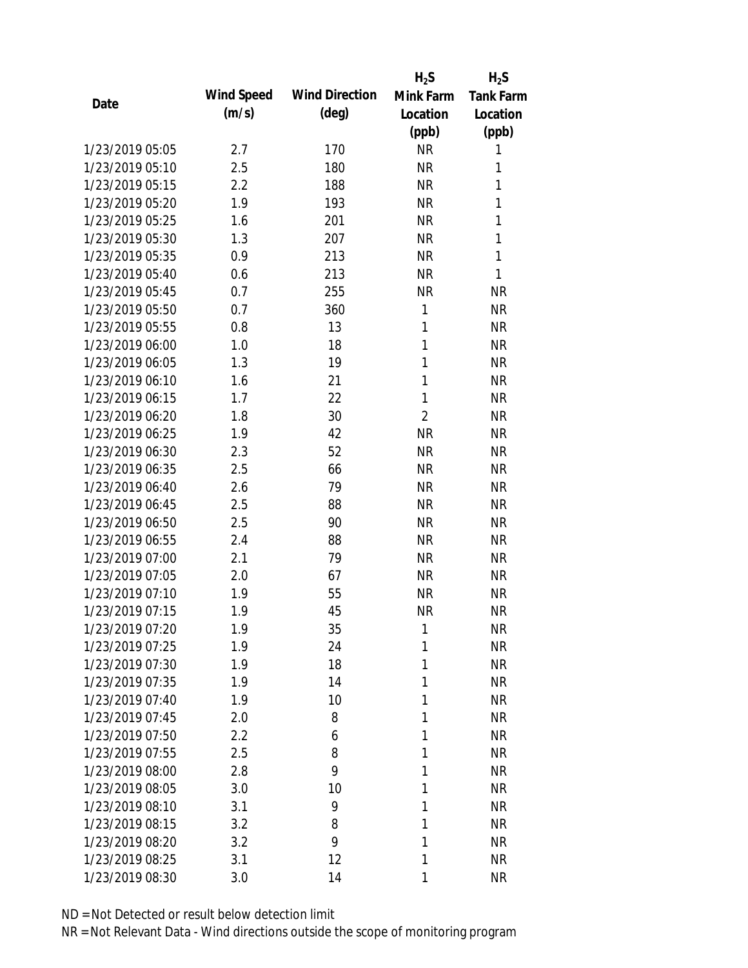|                 |            |                       | $H_2S$         | $H_2S$           |
|-----------------|------------|-----------------------|----------------|------------------|
| Date            | Wind Speed | <b>Wind Direction</b> | Mink Farm      | <b>Tank Farm</b> |
|                 | (m/s)      | $(\text{deg})$        | Location       | Location         |
|                 |            |                       | (ppb)          | (ppb)            |
| 1/23/2019 05:05 | 2.7        | 170                   | <b>NR</b>      | 1                |
| 1/23/2019 05:10 | 2.5        | 180                   | <b>NR</b>      | 1                |
| 1/23/2019 05:15 | 2.2        | 188                   | <b>NR</b>      | 1                |
| 1/23/2019 05:20 | 1.9        | 193                   | <b>NR</b>      | 1                |
| 1/23/2019 05:25 | 1.6        | 201                   | <b>NR</b>      | 1                |
| 1/23/2019 05:30 | 1.3        | 207                   | <b>NR</b>      | 1                |
| 1/23/2019 05:35 | 0.9        | 213                   | <b>NR</b>      | 1                |
| 1/23/2019 05:40 | 0.6        | 213                   | <b>NR</b>      | 1                |
| 1/23/2019 05:45 | 0.7        | 255                   | <b>NR</b>      | <b>NR</b>        |
| 1/23/2019 05:50 | 0.7        | 360                   | 1              | <b>NR</b>        |
| 1/23/2019 05:55 | 0.8        | 13                    | 1              | <b>NR</b>        |
| 1/23/2019 06:00 | 1.0        | 18                    | 1              | <b>NR</b>        |
| 1/23/2019 06:05 | 1.3        | 19                    | 1              | <b>NR</b>        |
| 1/23/2019 06:10 | 1.6        | 21                    | 1              | <b>NR</b>        |
| 1/23/2019 06:15 | 1.7        | 22                    | 1              | <b>NR</b>        |
| 1/23/2019 06:20 | 1.8        | 30                    | $\overline{2}$ | <b>NR</b>        |
| 1/23/2019 06:25 | 1.9        | 42                    | <b>NR</b>      | <b>NR</b>        |
| 1/23/2019 06:30 | 2.3        | 52                    | <b>NR</b>      | <b>NR</b>        |
| 1/23/2019 06:35 | 2.5        | 66                    | <b>NR</b>      | <b>NR</b>        |
| 1/23/2019 06:40 | 2.6        | 79                    | <b>NR</b>      | <b>NR</b>        |
| 1/23/2019 06:45 | 2.5        | 88                    | <b>NR</b>      | <b>NR</b>        |
| 1/23/2019 06:50 | 2.5        | 90                    | <b>NR</b>      | <b>NR</b>        |
| 1/23/2019 06:55 | 2.4        | 88                    | <b>NR</b>      | <b>NR</b>        |
| 1/23/2019 07:00 | 2.1        | 79                    | <b>NR</b>      | <b>NR</b>        |
| 1/23/2019 07:05 | 2.0        | 67                    | <b>NR</b>      | <b>NR</b>        |
| 1/23/2019 07:10 | 1.9        | 55                    | <b>NR</b>      | <b>NR</b>        |
| 1/23/2019 07:15 | 1.9        | 45                    | <b>NR</b>      | <b>NR</b>        |
| 1/23/2019 07:20 | 1.9        | 35                    | 1              | <b>NR</b>        |
| 1/23/2019 07:25 | 1.9        | 24                    | 1              | <b>NR</b>        |
| 1/23/2019 07:30 | 1.9        | 18                    | 1              | <b>NR</b>        |
| 1/23/2019 07:35 | 1.9        | 14                    | 1              | <b>NR</b>        |
| 1/23/2019 07:40 | 1.9        | 10                    | 1              | <b>NR</b>        |
| 1/23/2019 07:45 | 2.0        | 8                     | 1              | <b>NR</b>        |
| 1/23/2019 07:50 | 2.2        | 6                     | 1              | <b>NR</b>        |
| 1/23/2019 07:55 | 2.5        | 8                     | 1              | <b>NR</b>        |
| 1/23/2019 08:00 | 2.8        | 9                     | 1              | <b>NR</b>        |
| 1/23/2019 08:05 | 3.0        | 10                    | 1              | <b>NR</b>        |
| 1/23/2019 08:10 | 3.1        | 9                     | 1              | <b>NR</b>        |
| 1/23/2019 08:15 | 3.2        | 8                     | 1              | <b>NR</b>        |
| 1/23/2019 08:20 | 3.2        | 9                     | 1              | <b>NR</b>        |
| 1/23/2019 08:25 | 3.1        | 12                    | 1              | <b>NR</b>        |
| 1/23/2019 08:30 | 3.0        | 14                    | 1              | <b>NR</b>        |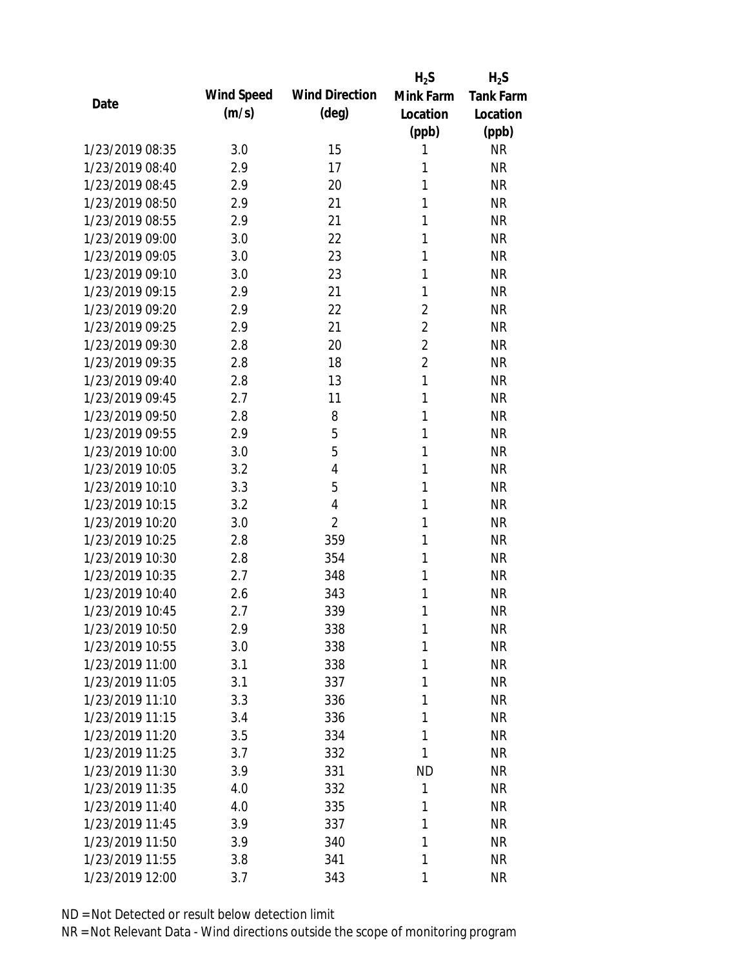|                 |            |                       | $H_2S$         | $H_2S$           |
|-----------------|------------|-----------------------|----------------|------------------|
| Date            | Wind Speed | <b>Wind Direction</b> | Mink Farm      | <b>Tank Farm</b> |
|                 | (m/s)      | $(\text{deg})$        | Location       | Location         |
|                 |            |                       | (ppb)          | (ppb)            |
| 1/23/2019 08:35 | 3.0        | 15                    | 1              | <b>NR</b>        |
| 1/23/2019 08:40 | 2.9        | 17                    | 1              | <b>NR</b>        |
| 1/23/2019 08:45 | 2.9        | 20                    | 1              | <b>NR</b>        |
| 1/23/2019 08:50 | 2.9        | 21                    | 1              | <b>NR</b>        |
| 1/23/2019 08:55 | 2.9        | 21                    | 1              | <b>NR</b>        |
| 1/23/2019 09:00 | 3.0        | 22                    | 1              | <b>NR</b>        |
| 1/23/2019 09:05 | 3.0        | 23                    | 1              | <b>NR</b>        |
| 1/23/2019 09:10 | 3.0        | 23                    | 1              | <b>NR</b>        |
| 1/23/2019 09:15 | 2.9        | 21                    | 1              | <b>NR</b>        |
| 1/23/2019 09:20 | 2.9        | 22                    | $\overline{2}$ | <b>NR</b>        |
| 1/23/2019 09:25 | 2.9        | 21                    | $\overline{2}$ | <b>NR</b>        |
| 1/23/2019 09:30 | 2.8        | 20                    | $\overline{2}$ | <b>NR</b>        |
| 1/23/2019 09:35 | 2.8        | 18                    | $\overline{2}$ | <b>NR</b>        |
| 1/23/2019 09:40 | 2.8        | 13                    | 1              | <b>NR</b>        |
| 1/23/2019 09:45 | 2.7        | 11                    | 1              | <b>NR</b>        |
| 1/23/2019 09:50 | 2.8        | 8                     | 1              | <b>NR</b>        |
| 1/23/2019 09:55 | 2.9        | 5                     | 1              | <b>NR</b>        |
| 1/23/2019 10:00 | 3.0        | 5                     | 1              | <b>NR</b>        |
| 1/23/2019 10:05 | 3.2        | $\overline{4}$        | 1              | <b>NR</b>        |
| 1/23/2019 10:10 | 3.3        | 5                     | 1              | <b>NR</b>        |
| 1/23/2019 10:15 | 3.2        | $\overline{4}$        | 1              | <b>NR</b>        |
| 1/23/2019 10:20 | 3.0        | $\overline{2}$        | 1              | <b>NR</b>        |
| 1/23/2019 10:25 | 2.8        | 359                   | 1              | <b>NR</b>        |
| 1/23/2019 10:30 | 2.8        | 354                   | 1              | <b>NR</b>        |
| 1/23/2019 10:35 | 2.7        | 348                   | 1              | <b>NR</b>        |
| 1/23/2019 10:40 | 2.6        | 343                   | 1              | <b>NR</b>        |
| 1/23/2019 10:45 | 2.7        | 339                   | 1              | <b>NR</b>        |
| 1/23/2019 10:50 | 2.9        | 338                   | 1              | <b>NR</b>        |
| 1/23/2019 10:55 | 3.0        | 338                   | 1              | <b>NR</b>        |
| 1/23/2019 11:00 | 3.1        | 338                   | 1              | <b>NR</b>        |
| 1/23/2019 11:05 | 3.1        | 337                   | 1              | <b>NR</b>        |
| 1/23/2019 11:10 | 3.3        | 336                   | 1              | <b>NR</b>        |
| 1/23/2019 11:15 | 3.4        | 336                   | 1              | <b>NR</b>        |
| 1/23/2019 11:20 | 3.5        | 334                   | 1              | <b>NR</b>        |
| 1/23/2019 11:25 | 3.7        | 332                   | 1              | <b>NR</b>        |
| 1/23/2019 11:30 | 3.9        | 331                   | <b>ND</b>      | <b>NR</b>        |
| 1/23/2019 11:35 | 4.0        | 332                   | 1              | <b>NR</b>        |
| 1/23/2019 11:40 | 4.0        | 335                   | 1              | <b>NR</b>        |
| 1/23/2019 11:45 | 3.9        | 337                   | 1              | <b>NR</b>        |
| 1/23/2019 11:50 | 3.9        | 340                   | 1              | <b>NR</b>        |
| 1/23/2019 11:55 | 3.8        | 341                   | 1              | <b>NR</b>        |
| 1/23/2019 12:00 | 3.7        | 343                   | 1              | <b>NR</b>        |
|                 |            |                       |                |                  |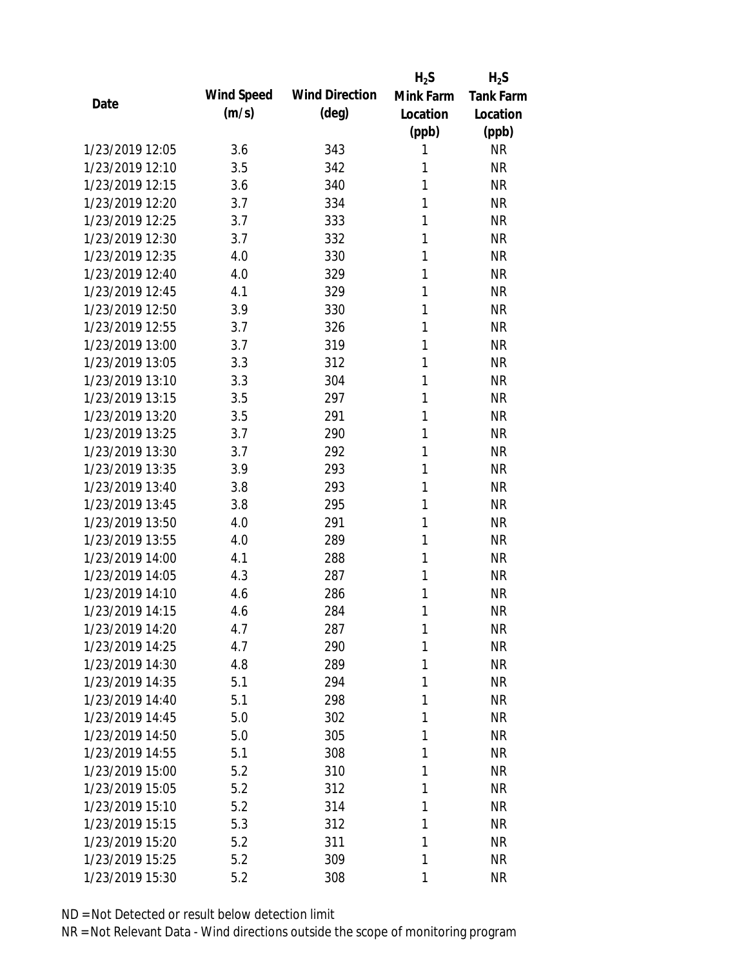|                 |            |                       | $H_2S$    | $H_2S$           |
|-----------------|------------|-----------------------|-----------|------------------|
| Date            | Wind Speed | <b>Wind Direction</b> | Mink Farm | <b>Tank Farm</b> |
|                 | (m/s)      | $(\text{deg})$        | Location  | Location         |
|                 |            |                       | (ppb)     | (ppb)            |
| 1/23/2019 12:05 | 3.6        | 343                   | 1         | <b>NR</b>        |
| 1/23/2019 12:10 | 3.5        | 342                   | 1         | <b>NR</b>        |
| 1/23/2019 12:15 | 3.6        | 340                   | 1         | <b>NR</b>        |
| 1/23/2019 12:20 | 3.7        | 334                   | 1         | <b>NR</b>        |
| 1/23/2019 12:25 | 3.7        | 333                   | 1         | <b>NR</b>        |
| 1/23/2019 12:30 | 3.7        | 332                   | 1         | <b>NR</b>        |
| 1/23/2019 12:35 | 4.0        | 330                   | 1         | <b>NR</b>        |
| 1/23/2019 12:40 | 4.0        | 329                   | 1         | <b>NR</b>        |
| 1/23/2019 12:45 | 4.1        | 329                   | 1         | <b>NR</b>        |
| 1/23/2019 12:50 | 3.9        | 330                   | 1         | <b>NR</b>        |
| 1/23/2019 12:55 | 3.7        | 326                   | 1         | <b>NR</b>        |
| 1/23/2019 13:00 | 3.7        | 319                   | 1         | <b>NR</b>        |
| 1/23/2019 13:05 | 3.3        | 312                   | 1         | <b>NR</b>        |
| 1/23/2019 13:10 | 3.3        | 304                   | 1         | <b>NR</b>        |
| 1/23/2019 13:15 | 3.5        | 297                   | 1         | <b>NR</b>        |
| 1/23/2019 13:20 | 3.5        | 291                   | 1         | <b>NR</b>        |
| 1/23/2019 13:25 | 3.7        | 290                   | 1         | <b>NR</b>        |
| 1/23/2019 13:30 | 3.7        | 292                   | 1         | <b>NR</b>        |
| 1/23/2019 13:35 | 3.9        | 293                   | 1         | <b>NR</b>        |
| 1/23/2019 13:40 | 3.8        | 293                   | 1         | <b>NR</b>        |
| 1/23/2019 13:45 | 3.8        | 295                   | 1         | <b>NR</b>        |
| 1/23/2019 13:50 | 4.0        | 291                   | 1         | <b>NR</b>        |
| 1/23/2019 13:55 | 4.0        | 289                   | 1         | <b>NR</b>        |
| 1/23/2019 14:00 | 4.1        | 288                   | 1         | <b>NR</b>        |
| 1/23/2019 14:05 | 4.3        | 287                   | 1         | <b>NR</b>        |
| 1/23/2019 14:10 | 4.6        | 286                   | 1         | <b>NR</b>        |
| 1/23/2019 14:15 | 4.6        | 284                   | 1         | <b>NR</b>        |
| 1/23/2019 14:20 | 4.7        | 287                   | 1         | <b>NR</b>        |
| 1/23/2019 14:25 | 4.7        | 290                   | 1         | <b>NR</b>        |
| 1/23/2019 14:30 | 4.8        | 289                   | 1         | <b>NR</b>        |
| 1/23/2019 14:35 | 5.1        | 294                   | 1         | <b>NR</b>        |
| 1/23/2019 14:40 | 5.1        | 298                   | 1         | <b>NR</b>        |
| 1/23/2019 14:45 | 5.0        | 302                   | 1         | <b>NR</b>        |
| 1/23/2019 14:50 | 5.0        | 305                   | 1         | <b>NR</b>        |
| 1/23/2019 14:55 | 5.1        | 308                   | 1         | <b>NR</b>        |
| 1/23/2019 15:00 | 5.2        | 310                   | 1         | <b>NR</b>        |
| 1/23/2019 15:05 |            |                       |           |                  |
| 1/23/2019 15:10 | 5.2        | 312                   | 1<br>1    | <b>NR</b>        |
|                 | 5.2        | 314                   |           | <b>NR</b>        |
| 1/23/2019 15:15 | 5.3        | 312                   | 1         | <b>NR</b>        |
| 1/23/2019 15:20 | 5.2        | 311                   | 1         | <b>NR</b>        |
| 1/23/2019 15:25 | 5.2        | 309                   | 1         | <b>NR</b>        |
| 1/23/2019 15:30 | 5.2        | 308                   | 1         | <b>NR</b>        |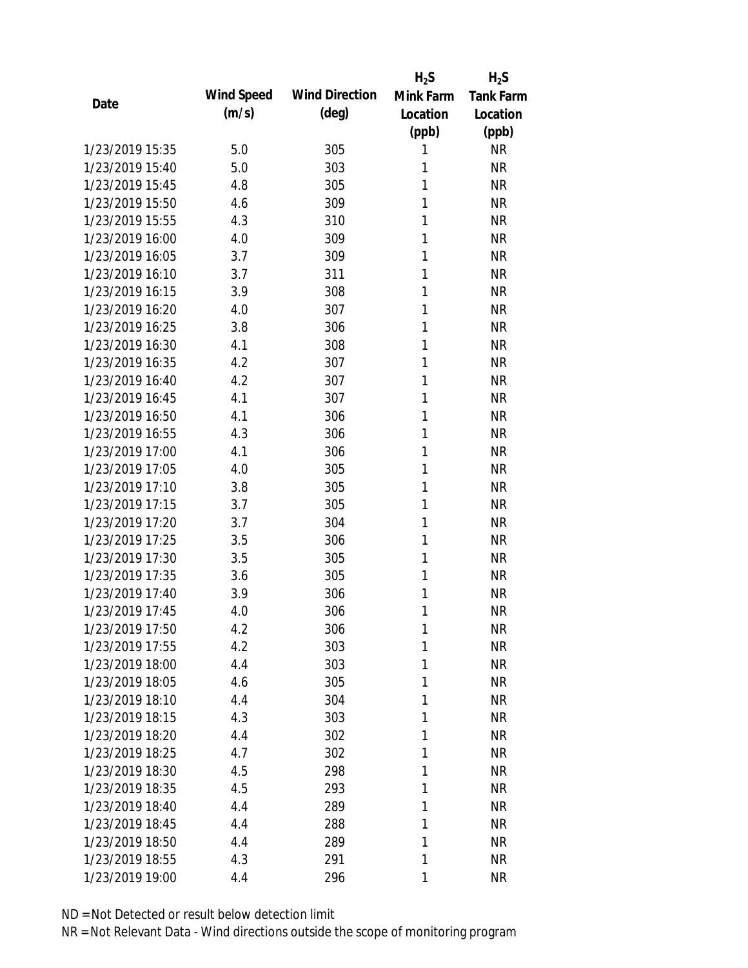|                 |            |                       | $H_2S$    | $H_2S$           |
|-----------------|------------|-----------------------|-----------|------------------|
| Date            | Wind Speed | <b>Wind Direction</b> | Mink Farm | <b>Tank Farm</b> |
|                 | (m/s)      | $(\text{deg})$        | Location  | Location         |
|                 |            |                       | (ppb)     | (ppb)            |
| 1/23/2019 15:35 | 5.0        | 305                   | 1         | <b>NR</b>        |
| 1/23/2019 15:40 | 5.0        | 303                   | 1         | <b>NR</b>        |
| 1/23/2019 15:45 | 4.8        | 305                   | 1         | <b>NR</b>        |
| 1/23/2019 15:50 | 4.6        | 309                   | 1         | <b>NR</b>        |
| 1/23/2019 15:55 | 4.3        | 310                   | 1         | <b>NR</b>        |
| 1/23/2019 16:00 | 4.0        | 309                   | 1         | <b>NR</b>        |
| 1/23/2019 16:05 | 3.7        | 309                   | 1         | <b>NR</b>        |
| 1/23/2019 16:10 | 3.7        | 311                   | 1         | <b>NR</b>        |
| 1/23/2019 16:15 | 3.9        | 308                   | 1         | <b>NR</b>        |
| 1/23/2019 16:20 | 4.0        | 307                   | 1         | <b>NR</b>        |
| 1/23/2019 16:25 | 3.8        | 306                   | 1         | <b>NR</b>        |
| 1/23/2019 16:30 | 4.1        | 308                   | 1         | <b>NR</b>        |
| 1/23/2019 16:35 | 4.2        | 307                   | 1         | <b>NR</b>        |
| 1/23/2019 16:40 | 4.2        | 307                   | 1         | <b>NR</b>        |
| 1/23/2019 16:45 | 4.1        | 307                   | 1         | <b>NR</b>        |
| 1/23/2019 16:50 | 4.1        | 306                   | 1         | <b>NR</b>        |
| 1/23/2019 16:55 | 4.3        | 306                   | 1         | <b>NR</b>        |
| 1/23/2019 17:00 | 4.1        | 306                   | 1         | <b>NR</b>        |
| 1/23/2019 17:05 | 4.0        | 305                   | 1         | <b>NR</b>        |
| 1/23/2019 17:10 | 3.8        | 305                   | 1         | <b>NR</b>        |
| 1/23/2019 17:15 | 3.7        | 305                   | 1         | <b>NR</b>        |
| 1/23/2019 17:20 | 3.7        | 304                   | 1         | <b>NR</b>        |
| 1/23/2019 17:25 | 3.5        | 306                   | 1         | <b>NR</b>        |
| 1/23/2019 17:30 | 3.5        | 305                   | 1         | <b>NR</b>        |
| 1/23/2019 17:35 | 3.6        | 305                   | 1         | <b>NR</b>        |
| 1/23/2019 17:40 | 3.9        | 306                   | 1         | <b>NR</b>        |
| 1/23/2019 17:45 | 4.0        | 306                   | 1         | <b>NR</b>        |
| 1/23/2019 17:50 | 4.2        | 306                   | 1         | <b>NR</b>        |
| 1/23/2019 17:55 | 4.2        | 303                   | 1         | <b>NR</b>        |
| 1/23/2019 18:00 | 4.4        | 303                   | 1         | <b>NR</b>        |
| 1/23/2019 18:05 | 4.6        | 305                   | 1         | <b>NR</b>        |
| 1/23/2019 18:10 | 4.4        | 304                   | 1         | <b>NR</b>        |
| 1/23/2019 18:15 | 4.3        | 303                   | 1         | <b>NR</b>        |
| 1/23/2019 18:20 | 4.4        | 302                   | 1         | <b>NR</b>        |
| 1/23/2019 18:25 | 4.7        | 302                   | 1         | <b>NR</b>        |
| 1/23/2019 18:30 | 4.5        | 298                   | 1         | <b>NR</b>        |
| 1/23/2019 18:35 | 4.5        | 293                   | 1         | <b>NR</b>        |
| 1/23/2019 18:40 | 4.4        | 289                   | 1         | <b>NR</b>        |
| 1/23/2019 18:45 | 4.4        | 288                   | 1         | <b>NR</b>        |
| 1/23/2019 18:50 | 4.4        | 289                   | 1         | <b>NR</b>        |
| 1/23/2019 18:55 | 4.3        | 291                   | 1         | <b>NR</b>        |
| 1/23/2019 19:00 | 4.4        | 296                   | 1         | <b>NR</b>        |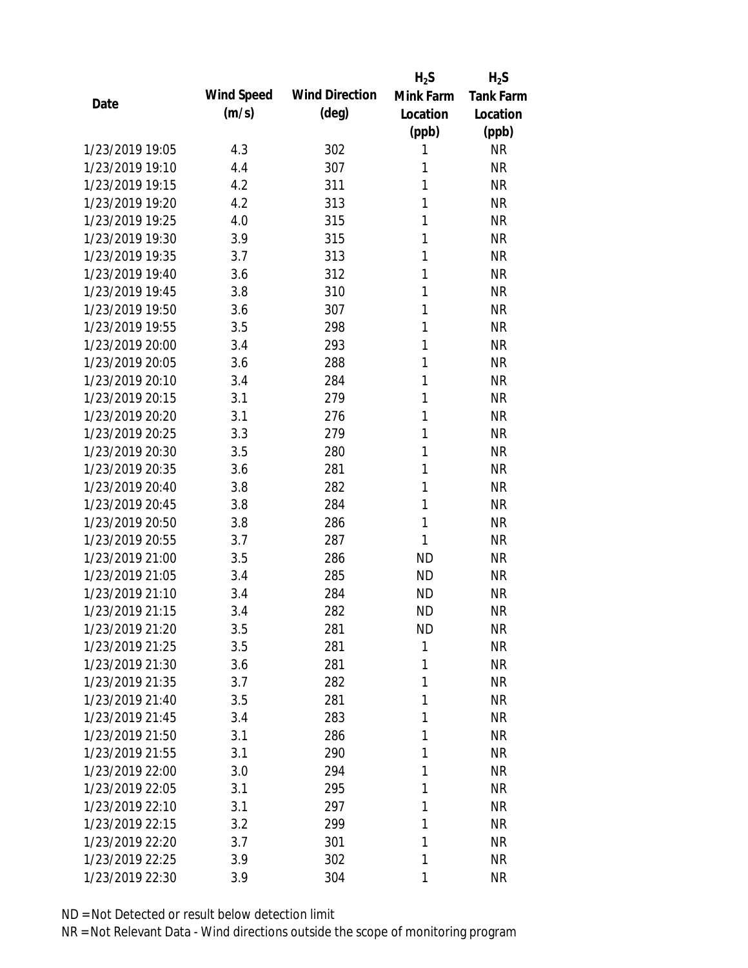|                 |            |                       | $H_2S$    | $H_2S$           |
|-----------------|------------|-----------------------|-----------|------------------|
| Date            | Wind Speed | <b>Wind Direction</b> | Mink Farm | <b>Tank Farm</b> |
|                 | (m/s)      | $(\text{deg})$        | Location  | Location         |
|                 |            |                       | (ppb)     | (ppb)            |
| 1/23/2019 19:05 | 4.3        | 302                   | 1         | <b>NR</b>        |
| 1/23/2019 19:10 | 4.4        | 307                   | 1         | <b>NR</b>        |
| 1/23/2019 19:15 | 4.2        | 311                   | 1         | <b>NR</b>        |
| 1/23/2019 19:20 | 4.2        | 313                   | 1         | <b>NR</b>        |
| 1/23/2019 19:25 | 4.0        | 315                   | 1         | <b>NR</b>        |
| 1/23/2019 19:30 | 3.9        | 315                   | 1         | <b>NR</b>        |
| 1/23/2019 19:35 | 3.7        | 313                   | 1         | <b>NR</b>        |
| 1/23/2019 19:40 | 3.6        | 312                   | 1         | <b>NR</b>        |
| 1/23/2019 19:45 | 3.8        | 310                   | 1         | <b>NR</b>        |
| 1/23/2019 19:50 | 3.6        | 307                   | 1         | <b>NR</b>        |
| 1/23/2019 19:55 | 3.5        | 298                   | 1         | <b>NR</b>        |
| 1/23/2019 20:00 | 3.4        | 293                   | 1         | <b>NR</b>        |
| 1/23/2019 20:05 | 3.6        | 288                   | 1         | <b>NR</b>        |
| 1/23/2019 20:10 | 3.4        | 284                   | 1         | <b>NR</b>        |
| 1/23/2019 20:15 | 3.1        | 279                   | 1         | <b>NR</b>        |
| 1/23/2019 20:20 | 3.1        | 276                   | 1         | <b>NR</b>        |
| 1/23/2019 20:25 | 3.3        | 279                   | 1         | <b>NR</b>        |
| 1/23/2019 20:30 | 3.5        | 280                   | 1         | <b>NR</b>        |
| 1/23/2019 20:35 | 3.6        | 281                   | 1         | <b>NR</b>        |
| 1/23/2019 20:40 | 3.8        | 282                   | 1         | <b>NR</b>        |
| 1/23/2019 20:45 | 3.8        | 284                   | 1         | <b>NR</b>        |
| 1/23/2019 20:50 | 3.8        | 286                   | 1         | <b>NR</b>        |
| 1/23/2019 20:55 | 3.7        | 287                   | 1         | <b>NR</b>        |
| 1/23/2019 21:00 | 3.5        | 286                   | <b>ND</b> | <b>NR</b>        |
| 1/23/2019 21:05 | 3.4        | 285                   | <b>ND</b> | <b>NR</b>        |
| 1/23/2019 21:10 | 3.4        | 284                   | <b>ND</b> | <b>NR</b>        |
| 1/23/2019 21:15 | 3.4        | 282                   | <b>ND</b> | <b>NR</b>        |
| 1/23/2019 21:20 | 3.5        | 281                   | <b>ND</b> | <b>NR</b>        |
| 1/23/2019 21:25 | 3.5        | 281                   | 1         | <b>NR</b>        |
| 1/23/2019 21:30 | 3.6        | 281                   | 1         | <b>NR</b>        |
| 1/23/2019 21:35 | 3.7        | 282                   | 1         | <b>NR</b>        |
| 1/23/2019 21:40 | 3.5        | 281                   | 1         | <b>NR</b>        |
| 1/23/2019 21:45 | 3.4        | 283                   | 1         | <b>NR</b>        |
| 1/23/2019 21:50 | 3.1        | 286                   | 1         | <b>NR</b>        |
| 1/23/2019 21:55 | 3.1        | 290                   | 1         | <b>NR</b>        |
| 1/23/2019 22:00 | 3.0        | 294                   | 1         | <b>NR</b>        |
| 1/23/2019 22:05 | 3.1        | 295                   | 1         | <b>NR</b>        |
| 1/23/2019 22:10 | 3.1        | 297                   | 1         | <b>NR</b>        |
| 1/23/2019 22:15 | 3.2        | 299                   | 1         | <b>NR</b>        |
| 1/23/2019 22:20 | 3.7        | 301                   | 1         | <b>NR</b>        |
| 1/23/2019 22:25 | 3.9        | 302                   | 1         | <b>NR</b>        |
| 1/23/2019 22:30 | 3.9        | 304                   | 1         | <b>NR</b>        |
|                 |            |                       |           |                  |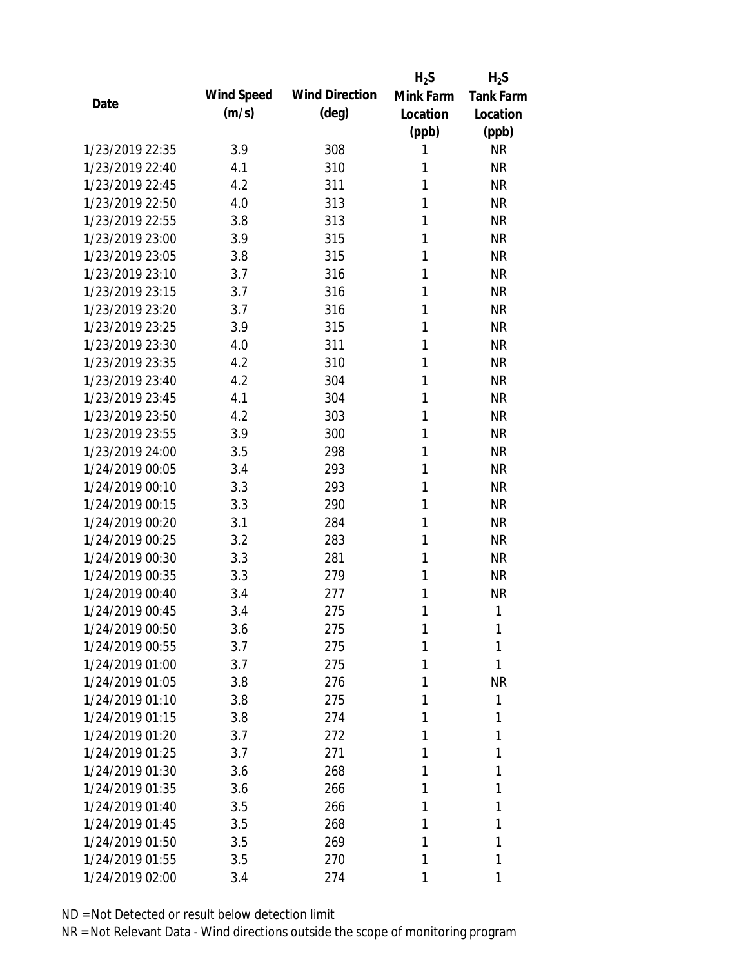|                 |            |                       | $H_2S$    | $H_2S$           |
|-----------------|------------|-----------------------|-----------|------------------|
| Date            | Wind Speed | <b>Wind Direction</b> | Mink Farm | <b>Tank Farm</b> |
|                 | (m/s)      | $(\text{deg})$        | Location  | Location         |
|                 |            |                       | (ppb)     | (ppb)            |
| 1/23/2019 22:35 | 3.9        | 308                   | 1         | <b>NR</b>        |
| 1/23/2019 22:40 | 4.1        | 310                   | 1         | <b>NR</b>        |
| 1/23/2019 22:45 | 4.2        | 311                   | 1         | <b>NR</b>        |
| 1/23/2019 22:50 | 4.0        | 313                   | 1         | <b>NR</b>        |
| 1/23/2019 22:55 | 3.8        | 313                   | 1         | <b>NR</b>        |
| 1/23/2019 23:00 | 3.9        | 315                   | 1         | <b>NR</b>        |
| 1/23/2019 23:05 | 3.8        | 315                   | 1         | <b>NR</b>        |
| 1/23/2019 23:10 | 3.7        | 316                   | 1         | <b>NR</b>        |
| 1/23/2019 23:15 | 3.7        | 316                   | 1         | <b>NR</b>        |
| 1/23/2019 23:20 | 3.7        | 316                   | 1         | <b>NR</b>        |
| 1/23/2019 23:25 | 3.9        | 315                   | 1         | <b>NR</b>        |
| 1/23/2019 23:30 | 4.0        | 311                   | 1         | <b>NR</b>        |
| 1/23/2019 23:35 | 4.2        | 310                   | 1         | <b>NR</b>        |
| 1/23/2019 23:40 | 4.2        | 304                   | 1         | <b>NR</b>        |
| 1/23/2019 23:45 | 4.1        | 304                   | 1         | <b>NR</b>        |
| 1/23/2019 23:50 | 4.2        | 303                   | 1         | <b>NR</b>        |
| 1/23/2019 23:55 | 3.9        | 300                   | 1         | <b>NR</b>        |
| 1/23/2019 24:00 | 3.5        | 298                   | 1         | <b>NR</b>        |
| 1/24/2019 00:05 | 3.4        | 293                   | 1         | <b>NR</b>        |
| 1/24/2019 00:10 | 3.3        | 293                   | 1         | <b>NR</b>        |
| 1/24/2019 00:15 | 3.3        | 290                   | 1         | <b>NR</b>        |
| 1/24/2019 00:20 | 3.1        | 284                   | 1         | <b>NR</b>        |
| 1/24/2019 00:25 | 3.2        | 283                   | 1         | <b>NR</b>        |
| 1/24/2019 00:30 | 3.3        | 281                   | 1         | <b>NR</b>        |
| 1/24/2019 00:35 | 3.3        | 279                   | 1         | <b>NR</b>        |
| 1/24/2019 00:40 | 3.4        | 277                   | 1         | <b>NR</b>        |
| 1/24/2019 00:45 | 3.4        | 275                   | 1         | 1                |
| 1/24/2019 00:50 | 3.6        | 275                   | 1         | 1                |
| 1/24/2019 00:55 | 3.7        | 275                   | 1         | 1                |
| 1/24/2019 01:00 | 3.7        | 275                   | 1         | 1                |
| 1/24/2019 01:05 | 3.8        | 276                   | 1         | <b>NR</b>        |
| 1/24/2019 01:10 | 3.8        | 275                   | 1         | 1                |
| 1/24/2019 01:15 | 3.8        | 274                   | 1         | 1                |
| 1/24/2019 01:20 | 3.7        | 272                   | 1         | 1                |
| 1/24/2019 01:25 | 3.7        | 271                   | 1         | 1                |
| 1/24/2019 01:30 | 3.6        | 268                   | 1         | 1                |
| 1/24/2019 01:35 | 3.6        | 266                   | 1         | 1                |
| 1/24/2019 01:40 | 3.5        | 266                   | 1         | 1                |
| 1/24/2019 01:45 |            | 268                   | 1         | 1                |
| 1/24/2019 01:50 | 3.5        |                       | 1         | 1                |
|                 | 3.5        | 269                   |           | 1                |
| 1/24/2019 01:55 | 3.5        | 270                   | 1         |                  |
| 1/24/2019 02:00 | 3.4        | 274                   | 1         | 1                |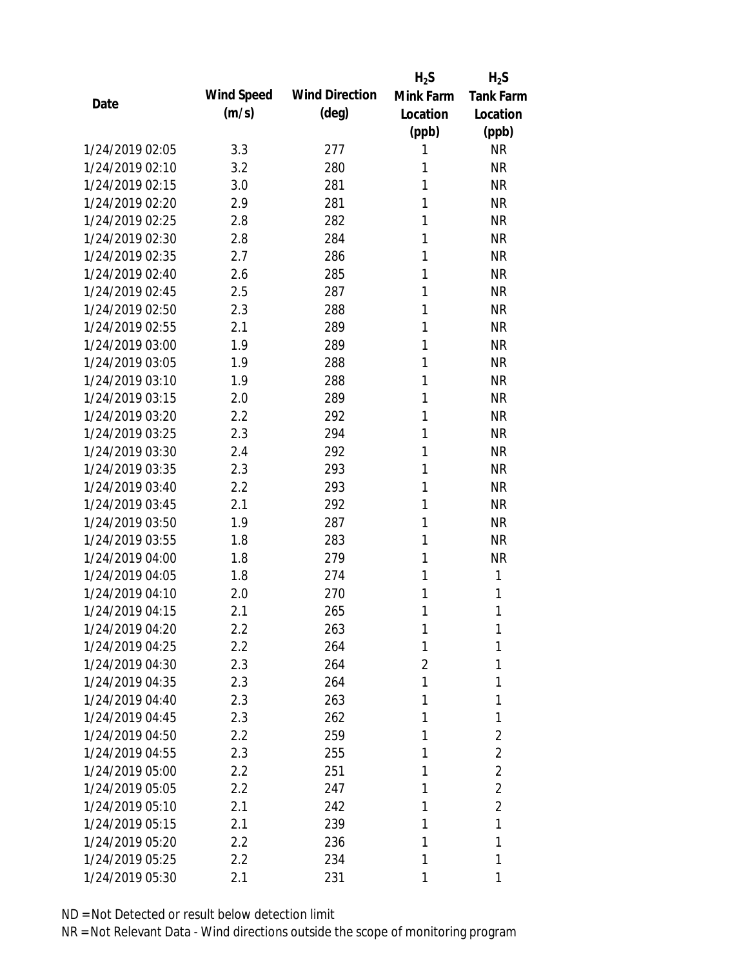|      |                 |            |                       | $H_2S$         | $H_2S$           |
|------|-----------------|------------|-----------------------|----------------|------------------|
| Date |                 | Wind Speed | <b>Wind Direction</b> | Mink Farm      | <b>Tank Farm</b> |
|      |                 | (m/s)      | $(\text{deg})$        | Location       | Location         |
|      |                 |            |                       | (ppb)          | (ppb)            |
|      | 1/24/2019 02:05 | 3.3        | 277                   | 1              | <b>NR</b>        |
|      | 1/24/2019 02:10 | 3.2        | 280                   | 1              | <b>NR</b>        |
|      | 1/24/2019 02:15 | 3.0        | 281                   | 1              | <b>NR</b>        |
|      | 1/24/2019 02:20 | 2.9        | 281                   | 1              | <b>NR</b>        |
|      | 1/24/2019 02:25 | 2.8        | 282                   | 1              | <b>NR</b>        |
|      | 1/24/2019 02:30 | 2.8        | 284                   | 1              | <b>NR</b>        |
|      | 1/24/2019 02:35 | 2.7        | 286                   | 1              | <b>NR</b>        |
|      | 1/24/2019 02:40 | 2.6        | 285                   | 1              | <b>NR</b>        |
|      | 1/24/2019 02:45 | 2.5        | 287                   | 1              | <b>NR</b>        |
|      | 1/24/2019 02:50 | 2.3        | 288                   | 1              | <b>NR</b>        |
|      | 1/24/2019 02:55 | 2.1        | 289                   | 1              | <b>NR</b>        |
|      | 1/24/2019 03:00 | 1.9        | 289                   | 1              | <b>NR</b>        |
|      | 1/24/2019 03:05 | 1.9        | 288                   | 1              | <b>NR</b>        |
|      | 1/24/2019 03:10 | 1.9        | 288                   | 1              | <b>NR</b>        |
|      | 1/24/2019 03:15 | 2.0        | 289                   | 1              | <b>NR</b>        |
|      | 1/24/2019 03:20 | 2.2        | 292                   | 1              | <b>NR</b>        |
|      | 1/24/2019 03:25 | 2.3        | 294                   | 1              | <b>NR</b>        |
|      | 1/24/2019 03:30 | 2.4        | 292                   | 1              | <b>NR</b>        |
|      | 1/24/2019 03:35 | 2.3        | 293                   | 1              | <b>NR</b>        |
|      | 1/24/2019 03:40 | 2.2        | 293                   | 1              | <b>NR</b>        |
|      | 1/24/2019 03:45 | 2.1        | 292                   | 1              | <b>NR</b>        |
|      | 1/24/2019 03:50 | 1.9        | 287                   | 1              | <b>NR</b>        |
|      | 1/24/2019 03:55 | 1.8        | 283                   | 1              | <b>NR</b>        |
|      | 1/24/2019 04:00 | 1.8        | 279                   | 1              | <b>NR</b>        |
|      | 1/24/2019 04:05 | 1.8        | 274                   | 1              | 1                |
|      | 1/24/2019 04:10 | 2.0        | 270                   | 1              | 1                |
|      | 1/24/2019 04:15 | 2.1        | 265                   | 1              | 1                |
|      | 1/24/2019 04:20 | $2.2\,$    | 263                   | 1              | 1                |
|      | 1/24/2019 04:25 | 2.2        | 264                   | 1              | 1                |
|      | 1/24/2019 04:30 | 2.3        | 264                   | $\overline{2}$ | 1                |
|      | 1/24/2019 04:35 | 2.3        | 264                   | 1              | 1                |
|      | 1/24/2019 04:40 | 2.3        | 263                   | 1              | 1                |
|      | 1/24/2019 04:45 | 2.3        | 262                   | 1              | 1                |
|      | 1/24/2019 04:50 | 2.2        | 259                   | 1              | 2                |
|      | 1/24/2019 04:55 | 2.3        | 255                   | 1              | $\overline{2}$   |
|      | 1/24/2019 05:00 | $2.2\,$    | 251                   | 1              | 2                |
|      | 1/24/2019 05:05 | 2.2        | 247                   | 1              | $\overline{2}$   |
|      | 1/24/2019 05:10 | 2.1        | 242                   | 1              | $\overline{2}$   |
|      | 1/24/2019 05:15 | 2.1        | 239                   | 1              | 1                |
|      | 1/24/2019 05:20 | 2.2        | 236                   | 1              | 1                |
|      | 1/24/2019 05:25 | 2.2        | 234                   | 1              | 1                |
|      | 1/24/2019 05:30 | 2.1        | 231                   | 1              | 1                |
|      |                 |            |                       |                |                  |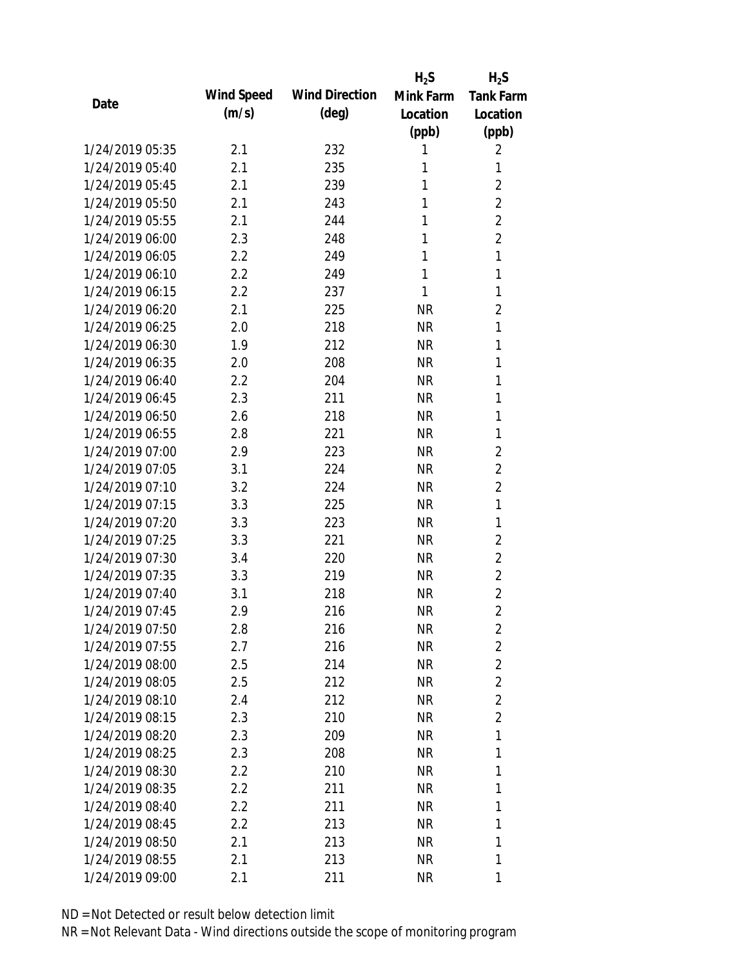|                 |            |                       | $H_2S$    | $H_2S$           |
|-----------------|------------|-----------------------|-----------|------------------|
| Date            | Wind Speed | <b>Wind Direction</b> | Mink Farm | <b>Tank Farm</b> |
|                 | (m/s)      | $(\text{deg})$        | Location  | Location         |
|                 |            |                       | (ppb)     | (ppb)            |
| 1/24/2019 05:35 | 2.1        | 232                   | 1         | 2                |
| 1/24/2019 05:40 | 2.1        | 235                   | 1         | 1                |
| 1/24/2019 05:45 | 2.1        | 239                   | 1         | $\overline{2}$   |
| 1/24/2019 05:50 | 2.1        | 243                   | 1         | $\overline{2}$   |
| 1/24/2019 05:55 | 2.1        | 244                   | 1         | $\overline{2}$   |
| 1/24/2019 06:00 | 2.3        | 248                   | 1         | $\overline{2}$   |
| 1/24/2019 06:05 | 2.2        | 249                   | 1         | 1                |
| 1/24/2019 06:10 | 2.2        | 249                   | 1         | 1                |
| 1/24/2019 06:15 | 2.2        | 237                   | 1         | 1                |
| 1/24/2019 06:20 | 2.1        | 225                   | <b>NR</b> | $\overline{2}$   |
| 1/24/2019 06:25 | 2.0        | 218                   | <b>NR</b> | $\mathbf{1}$     |
| 1/24/2019 06:30 | 1.9        | 212                   | <b>NR</b> | 1                |
| 1/24/2019 06:35 | 2.0        | 208                   | <b>NR</b> | 1                |
| 1/24/2019 06:40 | 2.2        | 204                   | <b>NR</b> | 1                |
| 1/24/2019 06:45 | 2.3        | 211                   | <b>NR</b> | 1                |
| 1/24/2019 06:50 | 2.6        | 218                   | <b>NR</b> | 1                |
| 1/24/2019 06:55 | 2.8        | 221                   | <b>NR</b> | 1                |
| 1/24/2019 07:00 | 2.9        | 223                   | <b>NR</b> | $\overline{2}$   |
| 1/24/2019 07:05 | 3.1        | 224                   | <b>NR</b> | $\overline{2}$   |
| 1/24/2019 07:10 | 3.2        | 224                   | <b>NR</b> | 2                |
| 1/24/2019 07:15 | 3.3        | 225                   | <b>NR</b> | $\mathbf{1}$     |
| 1/24/2019 07:20 | 3.3        | 223                   | <b>NR</b> | 1                |
| 1/24/2019 07:25 | 3.3        | 221                   | <b>NR</b> | 2                |
| 1/24/2019 07:30 | 3.4        | 220                   | <b>NR</b> | $\overline{2}$   |
| 1/24/2019 07:35 | 3.3        | 219                   | <b>NR</b> | $\overline{2}$   |
| 1/24/2019 07:40 | 3.1        | 218                   | <b>NR</b> | $\overline{2}$   |
| 1/24/2019 07:45 | 2.9        | 216                   | <b>NR</b> | $\overline{2}$   |
| 1/24/2019 07:50 | 2.8        | 216                   | <b>NR</b> | 2                |
| 1/24/2019 07:55 | 2.7        | 216                   | <b>NR</b> | $\overline{2}$   |
| 1/24/2019 08:00 | 2.5        | 214                   | NR        | $\overline{2}$   |
| 1/24/2019 08:05 | 2.5        | 212                   | NR        | $\overline{2}$   |
| 1/24/2019 08:10 | 2.4        | 212                   | NR        | $\overline{2}$   |
| 1/24/2019 08:15 | 2.3        | 210                   | NR        | $\overline{2}$   |
| 1/24/2019 08:20 | 2.3        | 209                   | <b>NR</b> | 1                |
| 1/24/2019 08:25 | 2.3        | 208                   | <b>NR</b> | 1                |
| 1/24/2019 08:30 | $2.2\,$    | 210                   | <b>NR</b> | 1                |
| 1/24/2019 08:35 | $2.2\,$    | 211                   | NR        | 1                |
| 1/24/2019 08:40 | $2.2\,$    | 211                   | NR        | 1                |
| 1/24/2019 08:45 | 2.2        | 213                   | NR        | 1                |
| 1/24/2019 08:50 | 2.1        | 213                   | <b>NR</b> | 1                |
| 1/24/2019 08:55 | 2.1        | 213                   | <b>NR</b> | 1                |
| 1/24/2019 09:00 | 2.1        | 211                   | <b>NR</b> | 1                |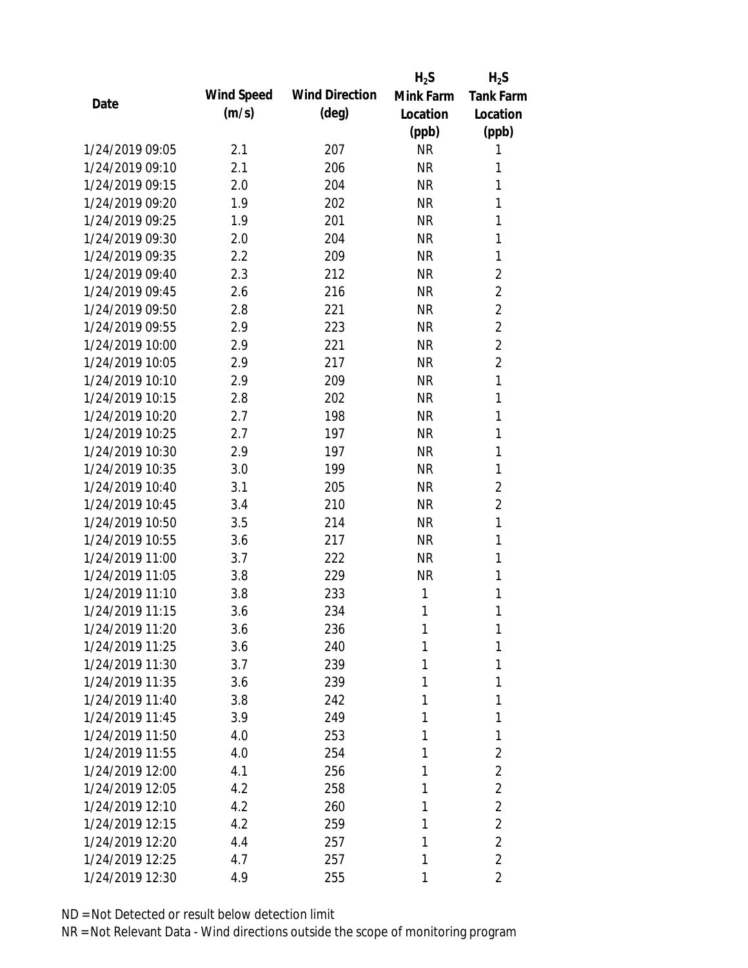|                 |            |                       | $H_2S$    | $H_2S$           |
|-----------------|------------|-----------------------|-----------|------------------|
| Date            | Wind Speed | <b>Wind Direction</b> | Mink Farm | <b>Tank Farm</b> |
|                 | (m/s)      | $(\text{deg})$        | Location  | Location         |
|                 |            |                       | (ppb)     | (ppb)            |
| 1/24/2019 09:05 | 2.1        | 207                   | <b>NR</b> | 1                |
| 1/24/2019 09:10 | 2.1        | 206                   | <b>NR</b> | 1                |
| 1/24/2019 09:15 | 2.0        | 204                   | <b>NR</b> | 1                |
| 1/24/2019 09:20 | 1.9        | 202                   | <b>NR</b> | 1                |
| 1/24/2019 09:25 | 1.9        | 201                   | <b>NR</b> | 1                |
| 1/24/2019 09:30 | 2.0        | 204                   | <b>NR</b> | 1                |
| 1/24/2019 09:35 | 2.2        | 209                   | <b>NR</b> | 1                |
| 1/24/2019 09:40 | 2.3        | 212                   | <b>NR</b> | 2                |
| 1/24/2019 09:45 | 2.6        | 216                   | <b>NR</b> | $\overline{2}$   |
| 1/24/2019 09:50 | 2.8        | 221                   | <b>NR</b> | $\overline{2}$   |
| 1/24/2019 09:55 | 2.9        | 223                   | <b>NR</b> | $\overline{2}$   |
| 1/24/2019 10:00 | 2.9        | 221                   | <b>NR</b> | $\overline{2}$   |
| 1/24/2019 10:05 | 2.9        | 217                   | <b>NR</b> | $\overline{2}$   |
| 1/24/2019 10:10 | 2.9        | 209                   | <b>NR</b> | 1                |
| 1/24/2019 10:15 | 2.8        | 202                   | <b>NR</b> | $\mathbf{1}$     |
| 1/24/2019 10:20 | 2.7        | 198                   | <b>NR</b> | 1                |
| 1/24/2019 10:25 | 2.7        | 197                   | <b>NR</b> | 1                |
| 1/24/2019 10:30 | 2.9        | 197                   | <b>NR</b> | 1                |
| 1/24/2019 10:35 | 3.0        | 199                   | <b>NR</b> | 1                |
| 1/24/2019 10:40 | 3.1        | 205                   | <b>NR</b> | $\overline{2}$   |
| 1/24/2019 10:45 | 3.4        | 210                   | <b>NR</b> | $\overline{2}$   |
| 1/24/2019 10:50 | 3.5        | 214                   | <b>NR</b> | 1                |
| 1/24/2019 10:55 | 3.6        | 217                   | <b>NR</b> | 1                |
| 1/24/2019 11:00 | 3.7        | 222                   | <b>NR</b> | 1                |
| 1/24/2019 11:05 | 3.8        | 229                   | <b>NR</b> | 1                |
| 1/24/2019 11:10 | 3.8        | 233                   | 1         | 1                |
| 1/24/2019 11:15 | 3.6        | 234                   | 1         | 1                |
| 1/24/2019 11:20 | 3.6        | 236                   | 1         | 1                |
| 1/24/2019 11:25 | 3.6        | 240                   | 1         | 1                |
| 1/24/2019 11:30 | 3.7        | 239                   | 1         | 1                |
| 1/24/2019 11:35 | 3.6        | 239                   | 1         | 1                |
| 1/24/2019 11:40 | 3.8        | 242                   | 1         | 1                |
| 1/24/2019 11:45 | 3.9        | 249                   | 1         | 1                |
| 1/24/2019 11:50 | 4.0        | 253                   | 1         | 1                |
| 1/24/2019 11:55 | 4.0        | 254                   | 1         | $\overline{2}$   |
| 1/24/2019 12:00 | 4.1        | 256                   | 1         | 2                |
| 1/24/2019 12:05 | 4.2        | 258                   | 1         | $\overline{2}$   |
| 1/24/2019 12:10 | 4.2        | 260                   | 1         | $\overline{2}$   |
| 1/24/2019 12:15 | 4.2        | 259                   | 1         | $\overline{2}$   |
| 1/24/2019 12:20 | 4.4        | 257                   | 1         | $\overline{2}$   |
| 1/24/2019 12:25 | 4.7        | 257                   | 1         | $\overline{2}$   |
| 1/24/2019 12:30 | 4.9        | 255                   | 1         | 2                |
|                 |            |                       |           |                  |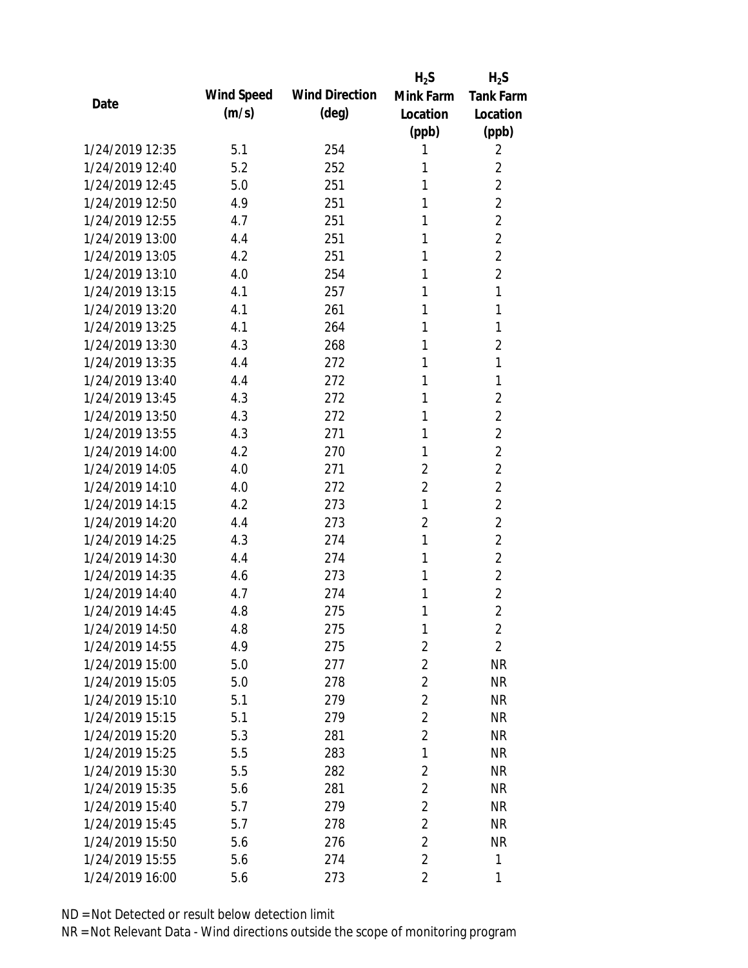|                 |            |                       | $H_2S$                  | $H_2S$           |
|-----------------|------------|-----------------------|-------------------------|------------------|
| Date            | Wind Speed | <b>Wind Direction</b> | Mink Farm               | <b>Tank Farm</b> |
|                 | (m/s)      | $(\text{deg})$        | Location                | Location         |
|                 |            |                       | (ppb)                   | (ppb)            |
| 1/24/2019 12:35 | 5.1        | 254                   | 1                       | 2                |
| 1/24/2019 12:40 | 5.2        | 252                   | 1                       | $\overline{2}$   |
| 1/24/2019 12:45 | 5.0        | 251                   | 1                       | $\overline{2}$   |
| 1/24/2019 12:50 | 4.9        | 251                   | 1                       | $\overline{2}$   |
| 1/24/2019 12:55 | 4.7        | 251                   | 1                       | $\overline{2}$   |
| 1/24/2019 13:00 | 4.4        | 251                   | 1                       | $\overline{2}$   |
| 1/24/2019 13:05 | 4.2        | 251                   | 1                       | $\overline{2}$   |
| 1/24/2019 13:10 | 4.0        | 254                   | 1                       | $\overline{2}$   |
| 1/24/2019 13:15 | 4.1        | 257                   | 1                       | 1                |
| 1/24/2019 13:20 | 4.1        | 261                   | 1                       | 1                |
| 1/24/2019 13:25 | 4.1        | 264                   | 1                       | 1                |
| 1/24/2019 13:30 | 4.3        | 268                   | 1                       | 2                |
| 1/24/2019 13:35 | 4.4        | 272                   | 1                       | 1                |
| 1/24/2019 13:40 | 4.4        | 272                   | 1                       | 1                |
| 1/24/2019 13:45 | 4.3        | 272                   | 1                       | $\overline{2}$   |
| 1/24/2019 13:50 | 4.3        | 272                   | 1                       | 2                |
| 1/24/2019 13:55 | 4.3        | 271                   | 1                       | $\overline{2}$   |
| 1/24/2019 14:00 | 4.2        | 270                   | 1                       | $\overline{2}$   |
| 1/24/2019 14:05 | 4.0        | 271                   | $\overline{2}$          | $\overline{2}$   |
| 1/24/2019 14:10 | 4.0        | 272                   | 2                       | $\overline{2}$   |
| 1/24/2019 14:15 | 4.2        | 273                   | 1                       | $\overline{2}$   |
| 1/24/2019 14:20 | 4.4        | 273                   | 2                       | $\overline{2}$   |
| 1/24/2019 14:25 | 4.3        | 274                   | 1                       | $\overline{2}$   |
| 1/24/2019 14:30 | 4.4        | 274                   | 1                       | $\overline{2}$   |
| 1/24/2019 14:35 | 4.6        | 273                   | 1                       | $\overline{2}$   |
| 1/24/2019 14:40 | 4.7        | 274                   | 1                       | $\overline{2}$   |
| 1/24/2019 14:45 | 4.8        | 275                   | 1                       | $\overline{2}$   |
| 1/24/2019 14:50 | 4.8        | 275                   | 1                       | $\overline{2}$   |
| 1/24/2019 14:55 | 4.9        | 275                   | $\overline{2}$          | $\overline{2}$   |
| 1/24/2019 15:00 | 5.0        | 277                   | $\overline{2}$          | <b>NR</b>        |
| 1/24/2019 15:05 | 5.0        | 278                   | 2                       | <b>NR</b>        |
| 1/24/2019 15:10 | 5.1        | 279                   | $\overline{2}$          | <b>NR</b>        |
| 1/24/2019 15:15 | 5.1        | 279                   | $\overline{2}$          | <b>NR</b>        |
| 1/24/2019 15:20 | 5.3        | 281                   | $\overline{2}$          | <b>NR</b>        |
| 1/24/2019 15:25 | 5.5        | 283                   | 1                       | <b>NR</b>        |
| 1/24/2019 15:30 | 5.5        | 282                   | $\overline{2}$          | <b>NR</b>        |
| 1/24/2019 15:35 | 5.6        | 281                   | $\overline{2}$          | <b>NR</b>        |
| 1/24/2019 15:40 | 5.7        | 279                   | $\overline{2}$          | <b>NR</b>        |
| 1/24/2019 15:45 | 5.7        | 278                   | $\overline{2}$          | <b>NR</b>        |
| 1/24/2019 15:50 | 5.6        | 276                   | $\overline{2}$          | <b>NR</b>        |
| 1/24/2019 15:55 | 5.6        | 274                   | $\overline{2}$          | 1                |
| 1/24/2019 16:00 | 5.6        | 273                   | $\overline{\mathbf{2}}$ | 1                |
|                 |            |                       |                         |                  |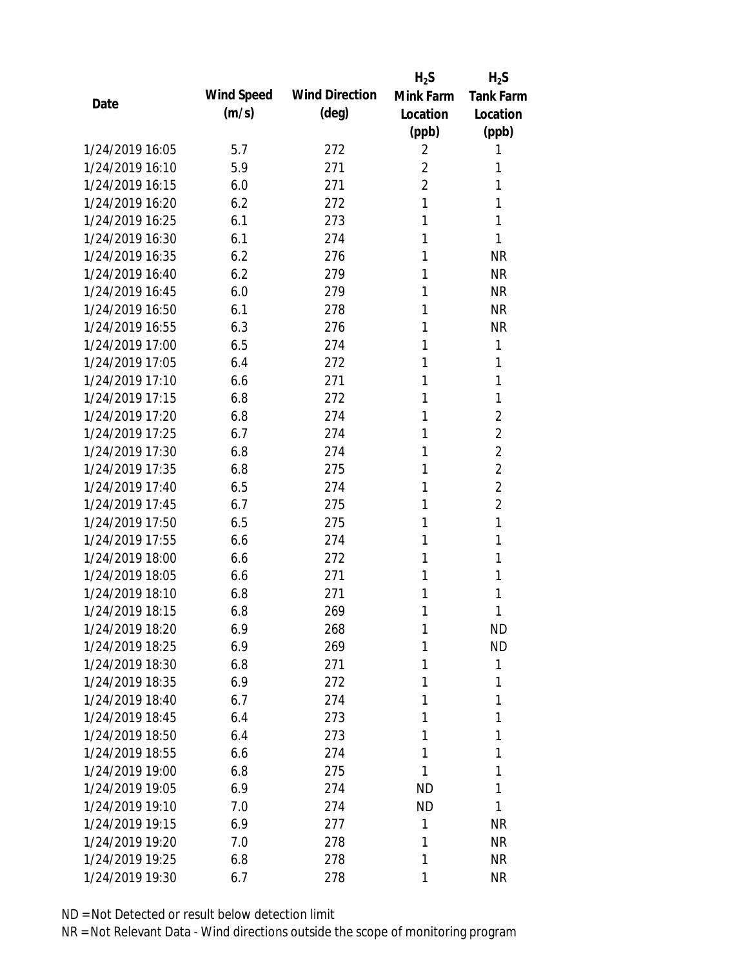|                 |            |                       | $H_2S$         | $H_2S$           |
|-----------------|------------|-----------------------|----------------|------------------|
| Date            | Wind Speed | <b>Wind Direction</b> | Mink Farm      | <b>Tank Farm</b> |
|                 | (m/s)      | $(\text{deg})$        | Location       | Location         |
|                 |            |                       | (ppb)          | (ppb)            |
| 1/24/2019 16:05 | 5.7        | 272                   | 2              | 1                |
| 1/24/2019 16:10 | 5.9        | 271                   | 2              | 1                |
| 1/24/2019 16:15 | 6.0        | 271                   | $\overline{2}$ | 1                |
| 1/24/2019 16:20 | 6.2        | 272                   | 1              | 1                |
| 1/24/2019 16:25 | 6.1        | 273                   | 1              | 1                |
| 1/24/2019 16:30 | 6.1        | 274                   | 1              | 1                |
| 1/24/2019 16:35 | 6.2        | 276                   | 1              | <b>NR</b>        |
| 1/24/2019 16:40 | 6.2        | 279                   | 1              | <b>NR</b>        |
| 1/24/2019 16:45 | 6.0        | 279                   | 1              | <b>NR</b>        |
| 1/24/2019 16:50 | 6.1        | 278                   | 1              | <b>NR</b>        |
| 1/24/2019 16:55 | 6.3        | 276                   | 1              | <b>NR</b>        |
| 1/24/2019 17:00 | 6.5        | 274                   | 1              | 1                |
| 1/24/2019 17:05 | 6.4        | 272                   | 1              | 1                |
| 1/24/2019 17:10 | 6.6        | 271                   | 1              | 1                |
| 1/24/2019 17:15 | 6.8        | 272                   | 1              | 1                |
| 1/24/2019 17:20 | 6.8        | 274                   | 1              | $\overline{2}$   |
| 1/24/2019 17:25 | 6.7        | 274                   | 1              | 2                |
| 1/24/2019 17:30 | 6.8        | 274                   | 1              | $\overline{2}$   |
| 1/24/2019 17:35 | 6.8        | 275                   | 1              | $\overline{2}$   |
| 1/24/2019 17:40 | 6.5        | 274                   | 1              | $\overline{2}$   |
| 1/24/2019 17:45 | 6.7        | 275                   | 1              | $\overline{2}$   |
| 1/24/2019 17:50 | 6.5        | 275                   | 1              | 1                |
| 1/24/2019 17:55 | 6.6        | 274                   | 1              | 1                |
| 1/24/2019 18:00 | 6.6        | 272                   | 1              | 1                |
| 1/24/2019 18:05 | 6.6        | 271                   | 1              | 1                |
| 1/24/2019 18:10 | 6.8        | 271                   | 1              | 1                |
| 1/24/2019 18:15 | 6.8        | 269                   | 1              | 1                |
| 1/24/2019 18:20 | 6.9        | 268                   | 1              | <b>ND</b>        |
| 1/24/2019 18:25 | 6.9        | 269                   | 1              | <b>ND</b>        |
| 1/24/2019 18:30 | 6.8        | 271                   | 1              | 1                |
| 1/24/2019 18:35 | 6.9        | 272                   | 1              | 1                |
| 1/24/2019 18:40 | 6.7        | 274                   | 1              | 1                |
| 1/24/2019 18:45 | 6.4        | 273                   | 1              | 1                |
| 1/24/2019 18:50 | 6.4        | 273                   | 1              | 1                |
| 1/24/2019 18:55 | 6.6        | 274                   | 1              | 1                |
| 1/24/2019 19:00 | 6.8        | 275                   | 1              | 1                |
| 1/24/2019 19:05 | 6.9        | 274                   | <b>ND</b>      | 1                |
| 1/24/2019 19:10 | 7.0        | 274                   | <b>ND</b>      | 1                |
| 1/24/2019 19:15 | 6.9        | 277                   | 1              | <b>NR</b>        |
| 1/24/2019 19:20 | 7.0        | 278                   | 1              | <b>NR</b>        |
| 1/24/2019 19:25 | 6.8        | 278                   | 1              | NR               |
| 1/24/2019 19:30 | 6.7        | 278                   | 1              | <b>NR</b>        |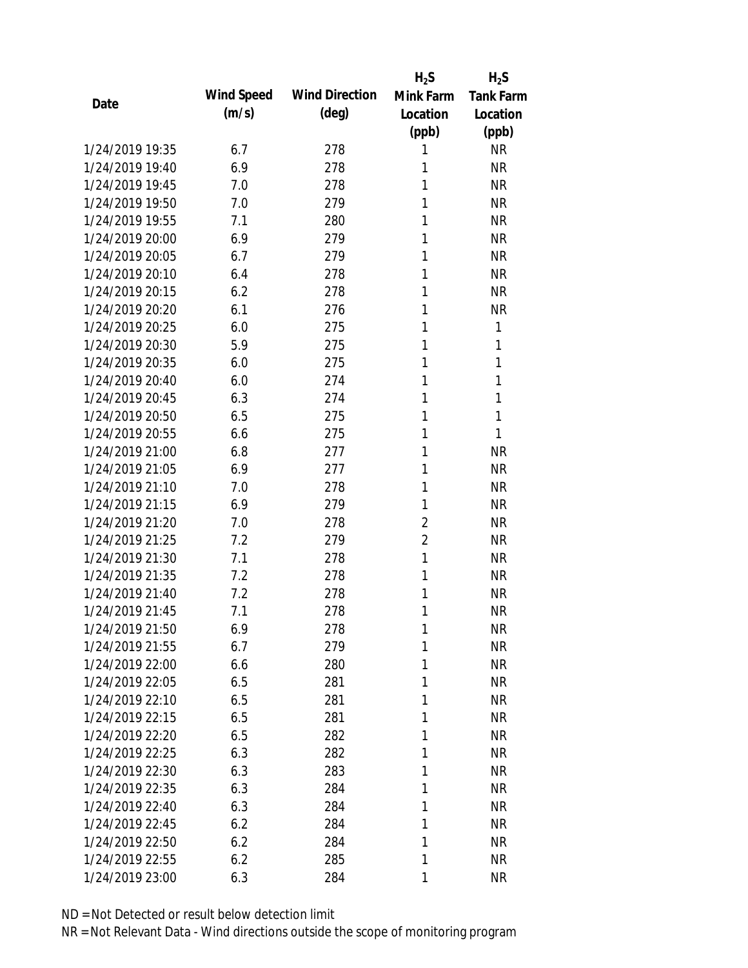|                 |            |                       | $H_2S$         | $H_2S$           |
|-----------------|------------|-----------------------|----------------|------------------|
| Date            | Wind Speed | <b>Wind Direction</b> | Mink Farm      | <b>Tank Farm</b> |
|                 | (m/s)      | $(\text{deg})$        | Location       | Location         |
|                 |            |                       | (ppb)          | (ppb)            |
| 1/24/2019 19:35 | 6.7        | 278                   | 1              | <b>NR</b>        |
| 1/24/2019 19:40 | 6.9        | 278                   | 1              | <b>NR</b>        |
| 1/24/2019 19:45 | 7.0        | 278                   | 1              | <b>NR</b>        |
| 1/24/2019 19:50 | 7.0        | 279                   | 1              | <b>NR</b>        |
| 1/24/2019 19:55 | 7.1        | 280                   | 1              | <b>NR</b>        |
| 1/24/2019 20:00 | 6.9        | 279                   | 1              | <b>NR</b>        |
| 1/24/2019 20:05 | 6.7        | 279                   | 1              | <b>NR</b>        |
| 1/24/2019 20:10 | 6.4        | 278                   | 1              | <b>NR</b>        |
| 1/24/2019 20:15 | 6.2        | 278                   | 1              | <b>NR</b>        |
| 1/24/2019 20:20 | 6.1        | 276                   | 1              | <b>NR</b>        |
| 1/24/2019 20:25 | 6.0        | 275                   | 1              | 1                |
| 1/24/2019 20:30 | 5.9        | 275                   | 1              | 1                |
| 1/24/2019 20:35 | 6.0        | 275                   | 1              | 1                |
| 1/24/2019 20:40 | 6.0        | 274                   | 1              | 1                |
| 1/24/2019 20:45 | 6.3        | 274                   | 1              | 1                |
| 1/24/2019 20:50 | 6.5        | 275                   | 1              | 1                |
| 1/24/2019 20:55 | 6.6        | 275                   | 1              | 1                |
| 1/24/2019 21:00 | 6.8        | 277                   | 1              | <b>NR</b>        |
| 1/24/2019 21:05 | 6.9        | 277                   | 1              | <b>NR</b>        |
| 1/24/2019 21:10 | 7.0        | 278                   | 1              | <b>NR</b>        |
| 1/24/2019 21:15 | 6.9        | 279                   | 1              | <b>NR</b>        |
| 1/24/2019 21:20 | 7.0        | 278                   | $\overline{2}$ | <b>NR</b>        |
| 1/24/2019 21:25 | 7.2        | 279                   | $\overline{2}$ | <b>NR</b>        |
| 1/24/2019 21:30 | 7.1        | 278                   | 1              | <b>NR</b>        |
| 1/24/2019 21:35 | 7.2        | 278                   | 1              | <b>NR</b>        |
| 1/24/2019 21:40 | 7.2        | 278                   | 1              | <b>NR</b>        |
| 1/24/2019 21:45 | 7.1        | 278                   | 1              | <b>NR</b>        |
| 1/24/2019 21:50 | 6.9        | 278                   | $\mathbf{1}$   | <b>NR</b>        |
| 1/24/2019 21:55 | 6.7        | 279                   | 1              | <b>NR</b>        |
| 1/24/2019 22:00 | 6.6        | 280                   | 1              | <b>NR</b>        |
| 1/24/2019 22:05 | 6.5        | 281                   | 1              | <b>NR</b>        |
| 1/24/2019 22:10 | 6.5        | 281                   | 1              | <b>NR</b>        |
| 1/24/2019 22:15 | 6.5        | 281                   | 1              | <b>NR</b>        |
| 1/24/2019 22:20 | 6.5        | 282                   | 1              | <b>NR</b>        |
| 1/24/2019 22:25 | 6.3        | 282                   | 1              | <b>NR</b>        |
| 1/24/2019 22:30 | 6.3        | 283                   | 1              | <b>NR</b>        |
| 1/24/2019 22:35 | 6.3        | 284                   | 1              | <b>NR</b>        |
| 1/24/2019 22:40 | 6.3        | 284                   | 1              | <b>NR</b>        |
| 1/24/2019 22:45 | 6.2        | 284                   | 1              | <b>NR</b>        |
| 1/24/2019 22:50 | 6.2        | 284                   | 1              | <b>NR</b>        |
| 1/24/2019 22:55 | 6.2        | 285                   | 1              | <b>NR</b>        |
| 1/24/2019 23:00 | 6.3        | 284                   | 1              | <b>NR</b>        |
|                 |            |                       |                |                  |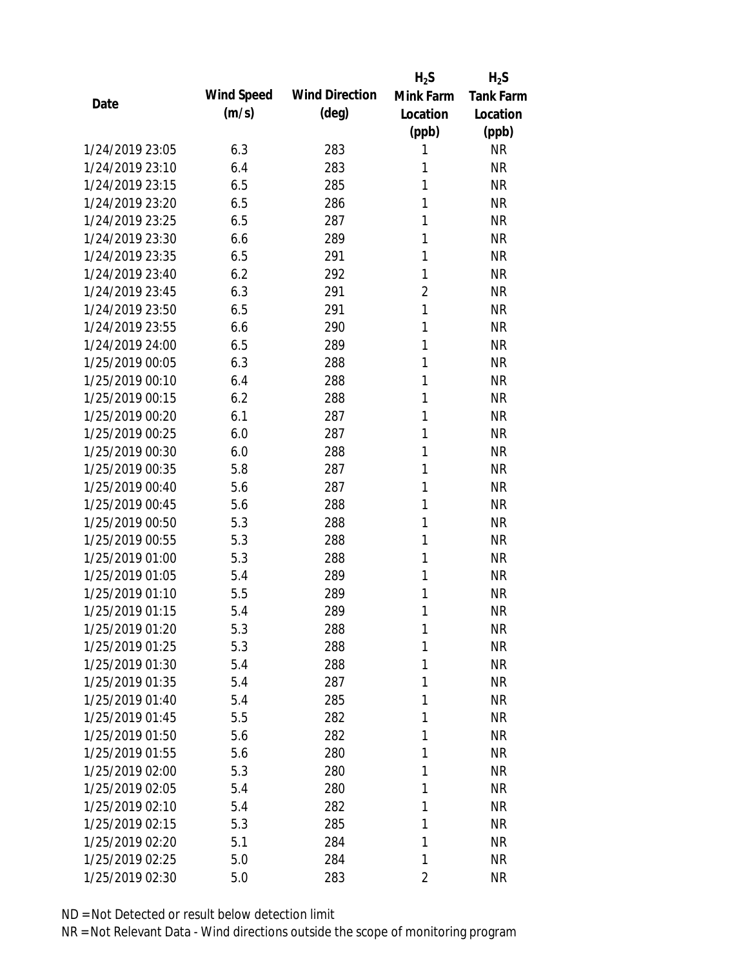|                 |            |                       | $H_2S$         | $H_2S$           |
|-----------------|------------|-----------------------|----------------|------------------|
| Date            | Wind Speed | <b>Wind Direction</b> | Mink Farm      | <b>Tank Farm</b> |
|                 | (m/s)      | $(\text{deg})$        | Location       | Location         |
|                 |            |                       | (ppb)          | (ppb)            |
| 1/24/2019 23:05 | 6.3        | 283                   | 1              | <b>NR</b>        |
| 1/24/2019 23:10 | 6.4        | 283                   | 1              | <b>NR</b>        |
| 1/24/2019 23:15 | 6.5        | 285                   | 1              | <b>NR</b>        |
| 1/24/2019 23:20 | 6.5        | 286                   | 1              | <b>NR</b>        |
| 1/24/2019 23:25 | 6.5        | 287                   | 1              | <b>NR</b>        |
| 1/24/2019 23:30 | 6.6        | 289                   | 1              | <b>NR</b>        |
| 1/24/2019 23:35 | 6.5        | 291                   | 1              | <b>NR</b>        |
| 1/24/2019 23:40 | 6.2        | 292                   | 1              | <b>NR</b>        |
| 1/24/2019 23:45 | 6.3        | 291                   | $\overline{2}$ | <b>NR</b>        |
| 1/24/2019 23:50 | 6.5        | 291                   | $\mathbf{1}$   | <b>NR</b>        |
| 1/24/2019 23:55 | 6.6        | 290                   | 1              | <b>NR</b>        |
| 1/24/2019 24:00 | 6.5        | 289                   | 1              | <b>NR</b>        |
| 1/25/2019 00:05 | 6.3        | 288                   | 1              | <b>NR</b>        |
| 1/25/2019 00:10 | 6.4        | 288                   | 1              | <b>NR</b>        |
| 1/25/2019 00:15 | 6.2        | 288                   | 1              | <b>NR</b>        |
| 1/25/2019 00:20 | 6.1        | 287                   | 1              | <b>NR</b>        |
| 1/25/2019 00:25 | 6.0        | 287                   | 1              | <b>NR</b>        |
| 1/25/2019 00:30 | 6.0        | 288                   | 1              | <b>NR</b>        |
| 1/25/2019 00:35 | 5.8        | 287                   | 1              | <b>NR</b>        |
| 1/25/2019 00:40 | 5.6        | 287                   | 1              | <b>NR</b>        |
| 1/25/2019 00:45 | 5.6        | 288                   | 1              | <b>NR</b>        |
| 1/25/2019 00:50 | 5.3        | 288                   | 1              | <b>NR</b>        |
| 1/25/2019 00:55 | 5.3        | 288                   | 1              | <b>NR</b>        |
| 1/25/2019 01:00 | 5.3        | 288                   | 1              | <b>NR</b>        |
| 1/25/2019 01:05 | 5.4        | 289                   | 1              | <b>NR</b>        |
| 1/25/2019 01:10 | 5.5        | 289                   | 1              | <b>NR</b>        |
| 1/25/2019 01:15 | 5.4        | 289                   | 1              | <b>NR</b>        |
| 1/25/2019 01:20 | 5.3        | 288                   | $\mathbf{1}$   | <b>NR</b>        |
| 1/25/2019 01:25 | 5.3        | 288                   | 1              | <b>NR</b>        |
| 1/25/2019 01:30 | 5.4        | 288                   | 1              | <b>NR</b>        |
| 1/25/2019 01:35 | 5.4        | 287                   | 1              | <b>NR</b>        |
| 1/25/2019 01:40 | 5.4        | 285                   | 1              | <b>NR</b>        |
| 1/25/2019 01:45 | 5.5        | 282                   | 1              | <b>NR</b>        |
| 1/25/2019 01:50 | 5.6        | 282                   | 1              | <b>NR</b>        |
| 1/25/2019 01:55 | 5.6        | 280                   | 1              | <b>NR</b>        |
| 1/25/2019 02:00 | 5.3        | 280                   | 1              | <b>NR</b>        |
| 1/25/2019 02:05 | 5.4        | 280                   | 1              | <b>NR</b>        |
| 1/25/2019 02:10 | 5.4        | 282                   | 1              | <b>NR</b>        |
| 1/25/2019 02:15 | 5.3        | 285                   | 1              | <b>NR</b>        |
| 1/25/2019 02:20 | 5.1        | 284                   | 1              | <b>NR</b>        |
| 1/25/2019 02:25 | 5.0        | 284                   | 1              | <b>NR</b>        |
| 1/25/2019 02:30 |            |                       | 2              | <b>NR</b>        |
|                 | 5.0        | 283                   |                |                  |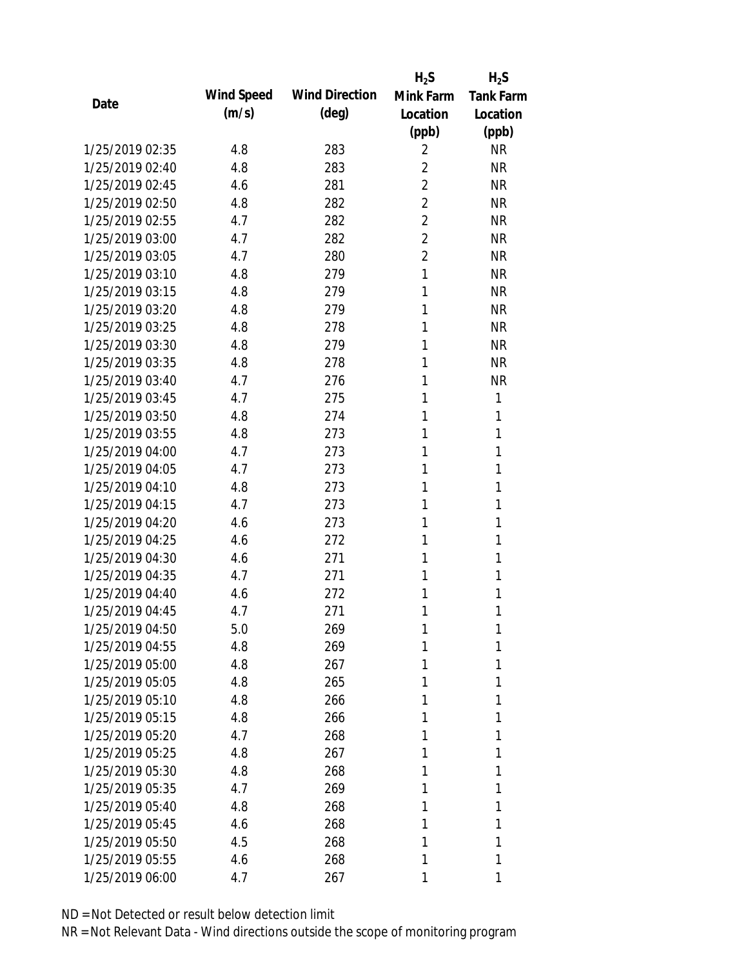|                 |            |                       | $H_2S$         | $H_2S$           |
|-----------------|------------|-----------------------|----------------|------------------|
| Date            | Wind Speed | <b>Wind Direction</b> | Mink Farm      | <b>Tank Farm</b> |
|                 | (m/s)      | $(\text{deg})$        | Location       | Location         |
|                 |            |                       | (ppb)          | (ppb)            |
| 1/25/2019 02:35 | 4.8        | 283                   | 2              | <b>NR</b>        |
| 1/25/2019 02:40 | 4.8        | 283                   | 2              | <b>NR</b>        |
| 1/25/2019 02:45 | 4.6        | 281                   | 2              | <b>NR</b>        |
| 1/25/2019 02:50 | 4.8        | 282                   | 2              | <b>NR</b>        |
| 1/25/2019 02:55 | 4.7        | 282                   | 2              | <b>NR</b>        |
| 1/25/2019 03:00 | 4.7        | 282                   | $\overline{2}$ | <b>NR</b>        |
| 1/25/2019 03:05 | 4.7        | 280                   | $\overline{2}$ | <b>NR</b>        |
| 1/25/2019 03:10 | 4.8        | 279                   | 1              | <b>NR</b>        |
| 1/25/2019 03:15 | 4.8        | 279                   | 1              | <b>NR</b>        |
| 1/25/2019 03:20 | 4.8        | 279                   | 1              | <b>NR</b>        |
| 1/25/2019 03:25 | 4.8        | 278                   | 1              | <b>NR</b>        |
| 1/25/2019 03:30 | 4.8        | 279                   | 1              | <b>NR</b>        |
| 1/25/2019 03:35 | 4.8        | 278                   | 1              | <b>NR</b>        |
| 1/25/2019 03:40 | 4.7        | 276                   | 1              | <b>NR</b>        |
| 1/25/2019 03:45 | 4.7        | 275                   | 1              | 1                |
| 1/25/2019 03:50 | 4.8        | 274                   | 1              | 1                |
| 1/25/2019 03:55 | 4.8        | 273                   | 1              | 1                |
| 1/25/2019 04:00 | 4.7        | 273                   | 1              | 1                |
| 1/25/2019 04:05 | 4.7        | 273                   | 1              | 1                |
| 1/25/2019 04:10 | 4.8        | 273                   | 1              | 1                |
| 1/25/2019 04:15 | 4.7        | 273                   | 1              | 1                |
| 1/25/2019 04:20 | 4.6        | 273                   | 1              | 1                |
| 1/25/2019 04:25 | 4.6        | 272                   | 1              | 1                |
| 1/25/2019 04:30 | 4.6        | 271                   | 1              | 1                |
| 1/25/2019 04:35 | 4.7        | 271                   | 1              | 1                |
| 1/25/2019 04:40 | 4.6        | 272                   | 1              | 1                |
| 1/25/2019 04:45 | 4.7        | 271                   | 1              | 1                |
| 1/25/2019 04:50 | 5.0        | 269                   | 1              | 1                |
| 1/25/2019 04:55 | 4.8        | 269                   | 1              | 1                |
| 1/25/2019 05:00 | 4.8        | 267                   | 1              | 1                |
| 1/25/2019 05:05 | 4.8        | 265                   | 1              | 1                |
| 1/25/2019 05:10 | 4.8        | 266                   | 1              | 1                |
| 1/25/2019 05:15 | 4.8        | 266                   | 1              | 1                |
| 1/25/2019 05:20 | 4.7        | 268                   | 1              | 1                |
| 1/25/2019 05:25 | 4.8        | 267                   | 1              | 1                |
| 1/25/2019 05:30 | 4.8        | 268                   | 1              | 1                |
| 1/25/2019 05:35 | 4.7        | 269                   | 1              | 1                |
| 1/25/2019 05:40 | 4.8        | 268                   | 1              | 1                |
| 1/25/2019 05:45 | 4.6        | 268                   | 1              | 1                |
| 1/25/2019 05:50 | 4.5        | 268                   | 1              | 1                |
| 1/25/2019 05:55 | 4.6        | 268                   | 1              | 1                |
| 1/25/2019 06:00 | 4.7        | 267                   | 1              | 1                |
|                 |            |                       |                |                  |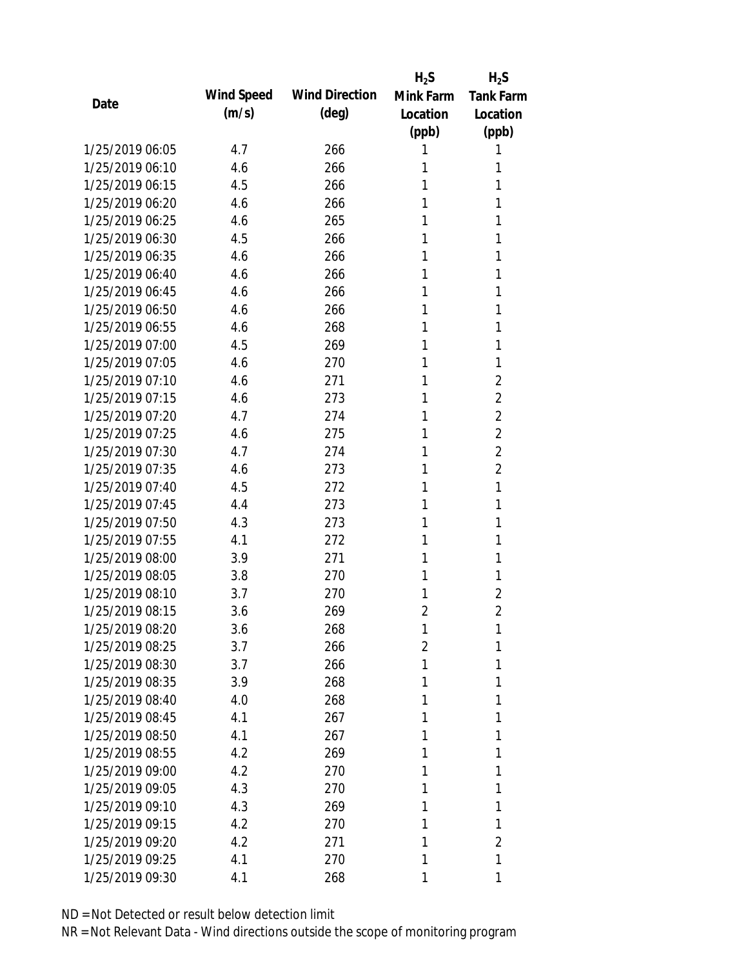|                 |            |                       | $H_2S$         | $H_2S$           |
|-----------------|------------|-----------------------|----------------|------------------|
| Date            | Wind Speed | <b>Wind Direction</b> | Mink Farm      | <b>Tank Farm</b> |
|                 | (m/s)      | $(\text{deg})$        | Location       | Location         |
|                 |            |                       | (ppb)          | (ppb)            |
| 1/25/2019 06:05 | 4.7        | 266                   | 1              | 1                |
| 1/25/2019 06:10 | 4.6        | 266                   | 1              | 1                |
| 1/25/2019 06:15 | 4.5        | 266                   | 1              | 1                |
| 1/25/2019 06:20 | 4.6        | 266                   | 1              | 1                |
| 1/25/2019 06:25 | 4.6        | 265                   | 1              | 1                |
| 1/25/2019 06:30 | 4.5        | 266                   | 1              | 1                |
| 1/25/2019 06:35 | 4.6        | 266                   | 1              | 1                |
| 1/25/2019 06:40 | 4.6        | 266                   | 1              | 1                |
| 1/25/2019 06:45 | 4.6        | 266                   | 1              | 1                |
| 1/25/2019 06:50 | 4.6        | 266                   | 1              | 1                |
| 1/25/2019 06:55 | 4.6        | 268                   | 1              | 1                |
| 1/25/2019 07:00 | 4.5        | 269                   | 1              | 1                |
| 1/25/2019 07:05 | 4.6        | 270                   | 1              | 1                |
| 1/25/2019 07:10 | 4.6        | 271                   | 1              | $\overline{2}$   |
| 1/25/2019 07:15 | 4.6        | 273                   | 1              | $\overline{2}$   |
| 1/25/2019 07:20 | 4.7        | 274                   | 1              | $\overline{2}$   |
| 1/25/2019 07:25 | 4.6        | 275                   | 1              | $\overline{2}$   |
| 1/25/2019 07:30 | 4.7        | 274                   | 1              | $\overline{2}$   |
| 1/25/2019 07:35 | 4.6        | 273                   | 1              | $\overline{2}$   |
| 1/25/2019 07:40 | 4.5        | 272                   | 1              | 1                |
| 1/25/2019 07:45 | 4.4        | 273                   | 1              | 1                |
| 1/25/2019 07:50 | 4.3        | 273                   | 1              | 1                |
| 1/25/2019 07:55 | 4.1        | 272                   | 1              | 1                |
| 1/25/2019 08:00 | 3.9        | 271                   | 1              | 1                |
| 1/25/2019 08:05 | 3.8        | 270                   | 1              | 1                |
| 1/25/2019 08:10 | 3.7        | 270                   | 1              | $\overline{2}$   |
| 1/25/2019 08:15 | 3.6        | 269                   | $\overline{2}$ | $\overline{2}$   |
| 1/25/2019 08:20 | 3.6        | 268                   | 1              | 1                |
| 1/25/2019 08:25 | 3.7        | 266                   | 2              | 1                |
| 1/25/2019 08:30 | 3.7        | 266                   | 1              | 1                |
| 1/25/2019 08:35 | 3.9        | 268                   | 1              | 1                |
| 1/25/2019 08:40 | 4.0        | 268                   | 1              | 1                |
| 1/25/2019 08:45 | 4.1        | 267                   | 1              | 1                |
| 1/25/2019 08:50 | 4.1        | 267                   | 1              | 1                |
| 1/25/2019 08:55 | 4.2        | 269                   | 1              | 1                |
| 1/25/2019 09:00 | 4.2        | 270                   | 1              | 1                |
| 1/25/2019 09:05 | 4.3        | 270                   | 1              | 1                |
| 1/25/2019 09:10 | 4.3        | 269                   | 1              | 1                |
| 1/25/2019 09:15 | 4.2        | 270                   | 1              | 1                |
| 1/25/2019 09:20 | 4.2        | 271                   | 1              | 2                |
| 1/25/2019 09:25 | 4.1        | 270                   | 1              | 1                |
| 1/25/2019 09:30 | 4.1        | 268                   | 1              | 1                |
|                 |            |                       |                |                  |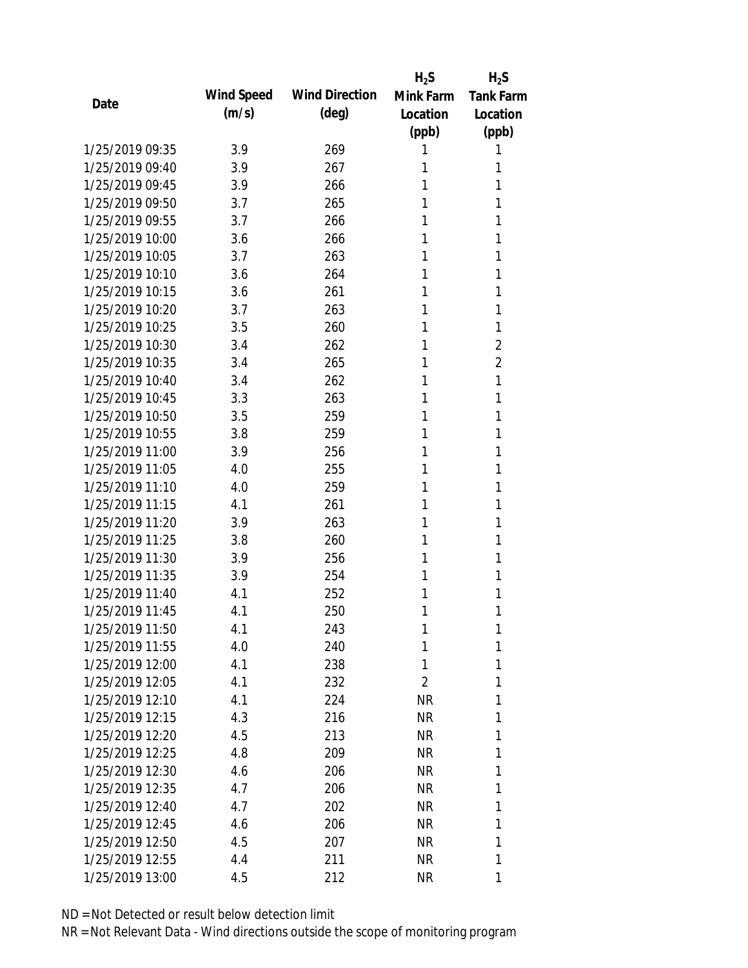|                 |            |                       | $H_2S$    | $H_2S$           |
|-----------------|------------|-----------------------|-----------|------------------|
| Date            | Wind Speed | <b>Wind Direction</b> | Mink Farm | <b>Tank Farm</b> |
|                 | (m/s)      | (deg)                 | Location  | Location         |
|                 |            |                       | (ppb)     | (ppb)            |
| 1/25/2019 09:35 | 3.9        | 269                   | 1         | 1                |
| 1/25/2019 09:40 | 3.9        | 267                   | 1         | 1                |
| 1/25/2019 09:45 | 3.9        | 266                   | 1         | 1                |
| 1/25/2019 09:50 | 3.7        | 265                   | 1         | 1                |
| 1/25/2019 09:55 | 3.7        | 266                   | 1         | 1                |
| 1/25/2019 10:00 | 3.6        | 266                   | 1         | 1                |
| 1/25/2019 10:05 | 3.7        | 263                   | 1         | 1                |
| 1/25/2019 10:10 | 3.6        | 264                   | 1         | 1                |
| 1/25/2019 10:15 | 3.6        | 261                   | 1         | 1                |
| 1/25/2019 10:20 | 3.7        | 263                   | 1         | 1                |
| 1/25/2019 10:25 | 3.5        | 260                   | 1         | 1                |
| 1/25/2019 10:30 | 3.4        | 262                   | 1         | 2                |
| 1/25/2019 10:35 | 3.4        | 265                   | 1         | 2                |
| 1/25/2019 10:40 | 3.4        | 262                   | 1         | 1                |
| 1/25/2019 10:45 | 3.3        | 263                   | 1         | 1                |
| 1/25/2019 10:50 | 3.5        | 259                   | 1         | 1                |
| 1/25/2019 10:55 | 3.8        | 259                   | 1         | 1                |
| 1/25/2019 11:00 | 3.9        | 256                   | 1         | 1                |
| 1/25/2019 11:05 | 4.0        | 255                   | 1         | 1                |
| 1/25/2019 11:10 | 4.0        | 259                   | 1         | 1                |
| 1/25/2019 11:15 | 4.1        | 261                   | 1         | 1                |
| 1/25/2019 11:20 | 3.9        | 263                   | 1         | 1                |
| 1/25/2019 11:25 | 3.8        | 260                   | 1         | 1                |
| 1/25/2019 11:30 | 3.9        | 256                   | 1         | 1                |
| 1/25/2019 11:35 | 3.9        | 254                   | 1         | 1                |
| 1/25/2019 11:40 | 4.1        | 252                   | 1         | 1                |
| 1/25/2019 11:45 | 4.1        | 250                   | 1         | 1                |
| 1/25/2019 11:50 | 4.1        | 243                   | 1         | 1                |
| 1/25/2019 11:55 | 4.0        | 240                   | 1         | 1                |
| 1/25/2019 12:00 | 4.1        | 238                   | 1         | 1                |
| 1/25/2019 12:05 | 4.1        | 232                   | 2         | 1                |
| 1/25/2019 12:10 | 4.1        | 224                   | NR        | 1                |
| 1/25/2019 12:15 | 4.3        | 216                   | NR        | 1                |
| 1/25/2019 12:20 | 4.5        | 213                   | NR        | 1                |
| 1/25/2019 12:25 | 4.8        | 209                   | NR        | 1                |
| 1/25/2019 12:30 | 4.6        | 206                   | NR        | 1                |
| 1/25/2019 12:35 | 4.7        | 206                   | NR        | 1                |
| 1/25/2019 12:40 | 4.7        | 202                   | NR        | 1                |
| 1/25/2019 12:45 | 4.6        | 206                   | NR        | 1                |
| 1/25/2019 12:50 | 4.5        | 207                   | NR        | 1                |
| 1/25/2019 12:55 | 4.4        | 211                   | <b>NR</b> | 1                |
| 1/25/2019 13:00 | 4.5        | 212                   | <b>NR</b> | 1                |
|                 |            |                       |           |                  |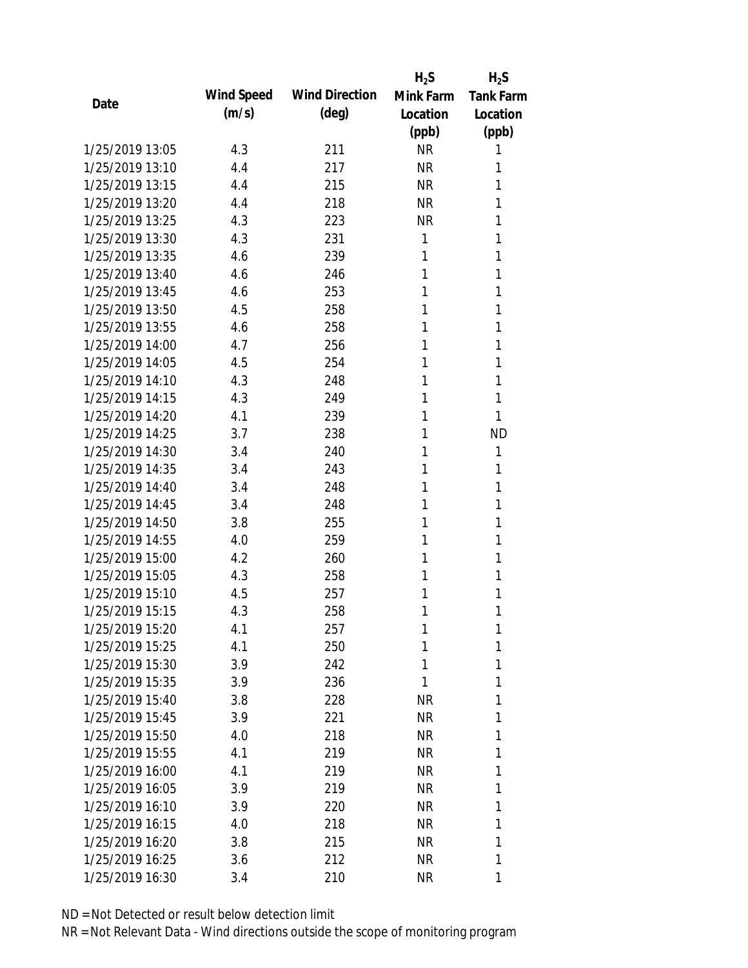|                 |            |                       | $H_2S$    | $H_2S$           |
|-----------------|------------|-----------------------|-----------|------------------|
| Date            | Wind Speed | <b>Wind Direction</b> | Mink Farm | <b>Tank Farm</b> |
|                 | (m/s)      | (deg)                 | Location  | Location         |
|                 |            |                       | (ppb)     | (ppb)            |
| 1/25/2019 13:05 | 4.3        | 211                   | <b>NR</b> | 1                |
| 1/25/2019 13:10 | 4.4        | 217                   | <b>NR</b> | 1                |
| 1/25/2019 13:15 | 4.4        | 215                   | <b>NR</b> | 1                |
| 1/25/2019 13:20 | 4.4        | 218                   | <b>NR</b> | 1                |
| 1/25/2019 13:25 | 4.3        | 223                   | <b>NR</b> | 1                |
| 1/25/2019 13:30 | 4.3        | 231                   | 1         | 1                |
| 1/25/2019 13:35 | 4.6        | 239                   | 1         | 1                |
| 1/25/2019 13:40 | 4.6        | 246                   | 1         | 1                |
| 1/25/2019 13:45 | 4.6        | 253                   | 1         | 1                |
| 1/25/2019 13:50 | 4.5        | 258                   | 1         | 1                |
| 1/25/2019 13:55 | 4.6        | 258                   | 1         | 1                |
| 1/25/2019 14:00 | 4.7        | 256                   | 1         | 1                |
| 1/25/2019 14:05 | 4.5        | 254                   | 1         | 1                |
| 1/25/2019 14:10 | 4.3        | 248                   | 1         | 1                |
| 1/25/2019 14:15 | 4.3        | 249                   | 1         | 1                |
| 1/25/2019 14:20 | 4.1        | 239                   | 1         | 1                |
| 1/25/2019 14:25 | 3.7        | 238                   | 1         | <b>ND</b>        |
| 1/25/2019 14:30 | 3.4        | 240                   | 1         | 1                |
| 1/25/2019 14:35 | 3.4        | 243                   | 1         | 1                |
| 1/25/2019 14:40 | 3.4        | 248                   | 1         | 1                |
| 1/25/2019 14:45 | 3.4        | 248                   | 1         | 1                |
| 1/25/2019 14:50 | 3.8        | 255                   | 1         | 1                |
| 1/25/2019 14:55 | 4.0        | 259                   | 1         | 1                |
| 1/25/2019 15:00 | 4.2        | 260                   | 1         | 1                |
| 1/25/2019 15:05 | 4.3        | 258                   | 1         | 1                |
| 1/25/2019 15:10 | 4.5        | 257                   | 1         | 1                |
| 1/25/2019 15:15 | 4.3        | 258                   | 1         | 1                |
| 1/25/2019 15:20 | 4.1        | 257                   | 1         | 1                |
| 1/25/2019 15:25 | 4.1        | 250                   | 1         | 1                |
| 1/25/2019 15:30 | 3.9        | 242                   | 1         | 1                |
| 1/25/2019 15:35 | 3.9        | 236                   | 1         | 1                |
| 1/25/2019 15:40 | 3.8        | 228                   | <b>NR</b> | 1                |
| 1/25/2019 15:45 | 3.9        | 221                   | NR        | 1                |
| 1/25/2019 15:50 | 4.0        | 218                   | <b>NR</b> | 1                |
| 1/25/2019 15:55 | 4.1        | 219                   | <b>NR</b> | 1                |
| 1/25/2019 16:00 | 4.1        | 219                   | NR        | 1                |
| 1/25/2019 16:05 | 3.9        | 219                   | NR        | 1                |
| 1/25/2019 16:10 | 3.9        | 220                   | NR        | 1                |
| 1/25/2019 16:15 | 4.0        | 218                   | NR        | 1                |
| 1/25/2019 16:20 | 3.8        | 215                   | <b>NR</b> | 1                |
| 1/25/2019 16:25 | 3.6        | 212                   | <b>NR</b> | 1                |
| 1/25/2019 16:30 | 3.4        | 210                   | <b>NR</b> | 1                |
|                 |            |                       |           |                  |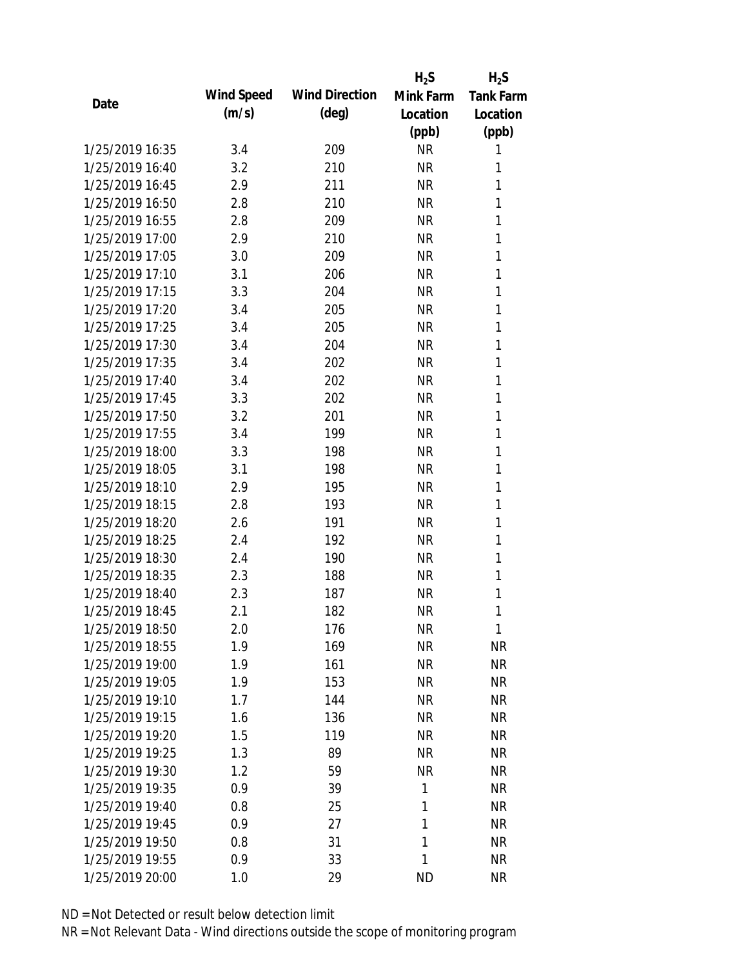|                 |            |                       | $H_2S$       | $H_2S$           |
|-----------------|------------|-----------------------|--------------|------------------|
| Date            | Wind Speed | <b>Wind Direction</b> | Mink Farm    | <b>Tank Farm</b> |
|                 | (m/s)      | $(\text{deg})$        | Location     | Location         |
|                 |            |                       | (ppb)        | (ppb)            |
| 1/25/2019 16:35 | 3.4        | 209                   | <b>NR</b>    | 1                |
| 1/25/2019 16:40 | 3.2        | 210                   | <b>NR</b>    | 1                |
| 1/25/2019 16:45 | 2.9        | 211                   | <b>NR</b>    | 1                |
| 1/25/2019 16:50 | 2.8        | 210                   | <b>NR</b>    | 1                |
| 1/25/2019 16:55 | 2.8        | 209                   | <b>NR</b>    | 1                |
| 1/25/2019 17:00 | 2.9        | 210                   | <b>NR</b>    | 1                |
| 1/25/2019 17:05 | 3.0        | 209                   | <b>NR</b>    | 1                |
| 1/25/2019 17:10 | 3.1        | 206                   | <b>NR</b>    | 1                |
| 1/25/2019 17:15 | 3.3        | 204                   | <b>NR</b>    | 1                |
| 1/25/2019 17:20 | 3.4        | 205                   | <b>NR</b>    | 1                |
| 1/25/2019 17:25 | 3.4        | 205                   | <b>NR</b>    | 1                |
| 1/25/2019 17:30 | 3.4        | 204                   | <b>NR</b>    | 1                |
| 1/25/2019 17:35 | 3.4        | 202                   | <b>NR</b>    | 1                |
| 1/25/2019 17:40 | 3.4        | 202                   | <b>NR</b>    | 1                |
| 1/25/2019 17:45 | 3.3        | 202                   | <b>NR</b>    | 1                |
| 1/25/2019 17:50 | 3.2        | 201                   | <b>NR</b>    | 1                |
| 1/25/2019 17:55 | 3.4        | 199                   | <b>NR</b>    | 1                |
| 1/25/2019 18:00 | 3.3        | 198                   | <b>NR</b>    | 1                |
| 1/25/2019 18:05 | 3.1        | 198                   | <b>NR</b>    | 1                |
| 1/25/2019 18:10 | 2.9        | 195                   | <b>NR</b>    | 1                |
| 1/25/2019 18:15 | 2.8        | 193                   | <b>NR</b>    | 1                |
| 1/25/2019 18:20 | 2.6        | 191                   | <b>NR</b>    | 1                |
| 1/25/2019 18:25 | 2.4        | 192                   | <b>NR</b>    | 1                |
| 1/25/2019 18:30 | 2.4        | 190                   | <b>NR</b>    | 1                |
| 1/25/2019 18:35 | 2.3        | 188                   | <b>NR</b>    | 1                |
| 1/25/2019 18:40 | 2.3        | 187                   | <b>NR</b>    | 1                |
| 1/25/2019 18:45 | 2.1        | 182                   | <b>NR</b>    | 1                |
| 1/25/2019 18:50 | 2.0        | 176                   | <b>NR</b>    | 1                |
| 1/25/2019 18:55 | 1.9        | 169                   | <b>NR</b>    | <b>NR</b>        |
| 1/25/2019 19:00 | 1.9        | 161                   | <b>NR</b>    | <b>NR</b>        |
| 1/25/2019 19:05 | 1.9        | 153                   | <b>NR</b>    | <b>NR</b>        |
| 1/25/2019 19:10 | 1.7        | 144                   | <b>NR</b>    | <b>NR</b>        |
| 1/25/2019 19:15 | 1.6        | 136                   | <b>NR</b>    | <b>NR</b>        |
| 1/25/2019 19:20 | 1.5        | 119                   | <b>NR</b>    | <b>NR</b>        |
| 1/25/2019 19:25 | 1.3        | 89                    | <b>NR</b>    | <b>NR</b>        |
| 1/25/2019 19:30 | 1.2        | 59                    | <b>NR</b>    | <b>NR</b>        |
| 1/25/2019 19:35 | 0.9        | 39                    | $\mathbf{1}$ | <b>NR</b>        |
| 1/25/2019 19:40 | 0.8        | 25                    | 1            | <b>NR</b>        |
| 1/25/2019 19:45 | 0.9        | 27                    | $\mathbf{1}$ | <b>NR</b>        |
| 1/25/2019 19:50 | 0.8        | 31                    | 1            | <b>NR</b>        |
|                 |            |                       | 1            |                  |
| 1/25/2019 19:55 | 0.9        | 33                    |              | <b>NR</b>        |
| 1/25/2019 20:00 | 1.0        | 29                    | <b>ND</b>    | <b>NR</b>        |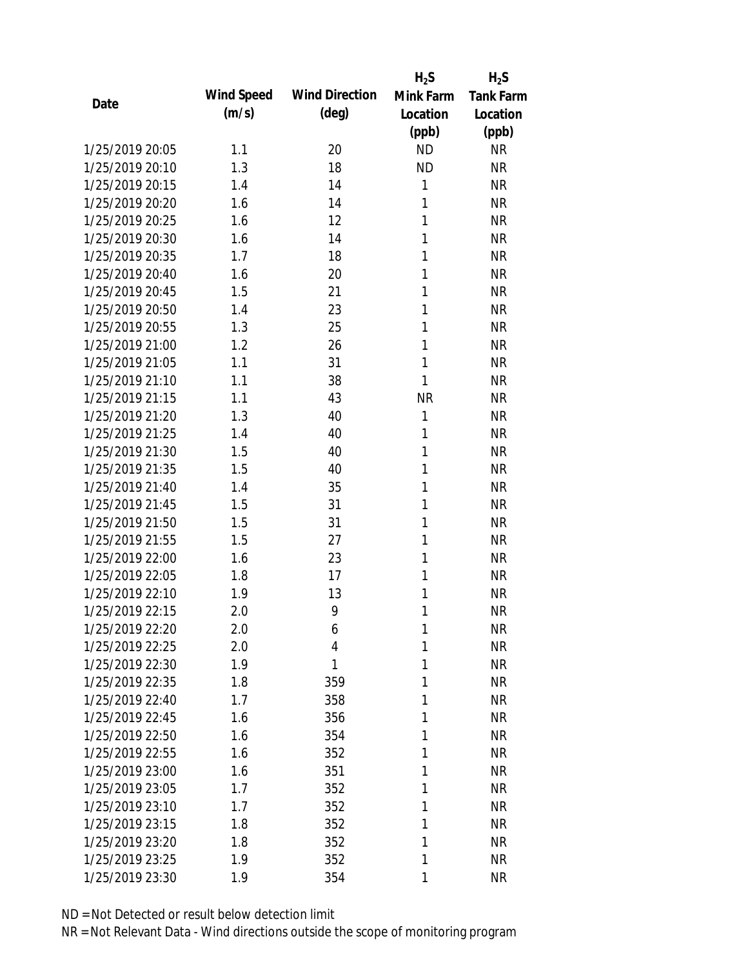|                 |            |                       | $H_2S$    | $H_2S$           |
|-----------------|------------|-----------------------|-----------|------------------|
| Date            | Wind Speed | <b>Wind Direction</b> | Mink Farm | <b>Tank Farm</b> |
|                 | (m/s)      | $(\text{deg})$        | Location  | Location         |
|                 |            |                       | (ppb)     | (ppb)            |
| 1/25/2019 20:05 | 1.1        | 20                    | <b>ND</b> | <b>NR</b>        |
| 1/25/2019 20:10 | 1.3        | 18                    | <b>ND</b> | <b>NR</b>        |
| 1/25/2019 20:15 | 1.4        | 14                    | 1         | <b>NR</b>        |
| 1/25/2019 20:20 | 1.6        | 14                    | 1         | <b>NR</b>        |
| 1/25/2019 20:25 | 1.6        | 12                    | 1         | <b>NR</b>        |
| 1/25/2019 20:30 | 1.6        | 14                    | 1         | <b>NR</b>        |
| 1/25/2019 20:35 | 1.7        | 18                    | 1         | <b>NR</b>        |
| 1/25/2019 20:40 | 1.6        | 20                    | 1         | <b>NR</b>        |
| 1/25/2019 20:45 | 1.5        | 21                    | 1         | <b>NR</b>        |
| 1/25/2019 20:50 | 1.4        | 23                    | 1         | <b>NR</b>        |
| 1/25/2019 20:55 | 1.3        | 25                    | 1         | <b>NR</b>        |
| 1/25/2019 21:00 | 1.2        | 26                    | 1         | <b>NR</b>        |
| 1/25/2019 21:05 | 1.1        | 31                    | 1         | <b>NR</b>        |
| 1/25/2019 21:10 | 1.1        | 38                    | 1         | <b>NR</b>        |
| 1/25/2019 21:15 | 1.1        | 43                    | <b>NR</b> | <b>NR</b>        |
| 1/25/2019 21:20 | 1.3        | 40                    | 1         | <b>NR</b>        |
| 1/25/2019 21:25 | 1.4        | 40                    | 1         | <b>NR</b>        |
| 1/25/2019 21:30 | 1.5        | 40                    | 1         | <b>NR</b>        |
| 1/25/2019 21:35 | 1.5        | 40                    | 1         | <b>NR</b>        |
| 1/25/2019 21:40 | 1.4        | 35                    | 1         | <b>NR</b>        |
| 1/25/2019 21:45 | 1.5        | 31                    | 1         | <b>NR</b>        |
| 1/25/2019 21:50 | 1.5        | 31                    | 1         | <b>NR</b>        |
| 1/25/2019 21:55 | 1.5        | 27                    | 1         | <b>NR</b>        |
| 1/25/2019 22:00 | 1.6        | 23                    | 1         | <b>NR</b>        |
| 1/25/2019 22:05 | 1.8        | 17                    | 1         | <b>NR</b>        |
| 1/25/2019 22:10 | 1.9        | 13                    | 1         | <b>NR</b>        |
| 1/25/2019 22:15 | 2.0        | 9                     | 1         | <b>NR</b>        |
| 1/25/2019 22:20 | 2.0        | 6                     | 1         | <b>NR</b>        |
| 1/25/2019 22:25 | 2.0        | 4                     | 1         | <b>NR</b>        |
| 1/25/2019 22:30 | 1.9        | 1                     | 1         | <b>NR</b>        |
| 1/25/2019 22:35 | 1.8        | 359                   | 1         | <b>NR</b>        |
| 1/25/2019 22:40 | 1.7        | 358                   | 1         | NR               |
| 1/25/2019 22:45 | 1.6        | 356                   | 1         | <b>NR</b>        |
| 1/25/2019 22:50 | 1.6        | 354                   | 1         | <b>NR</b>        |
| 1/25/2019 22:55 | 1.6        | 352                   | 1         | <b>NR</b>        |
| 1/25/2019 23:00 | 1.6        | 351                   | 1         | <b>NR</b>        |
| 1/25/2019 23:05 | 1.7        | 352                   | 1         | <b>NR</b>        |
| 1/25/2019 23:10 | 1.7        | 352                   | 1         | <b>NR</b>        |
| 1/25/2019 23:15 | 1.8        | 352                   | 1         | <b>NR</b>        |
| 1/25/2019 23:20 | 1.8        | 352                   | 1         | <b>NR</b>        |
| 1/25/2019 23:25 | 1.9        | 352                   | 1         | <b>NR</b>        |
| 1/25/2019 23:30 | 1.9        | 354                   | 1         | <b>NR</b>        |
|                 |            |                       |           |                  |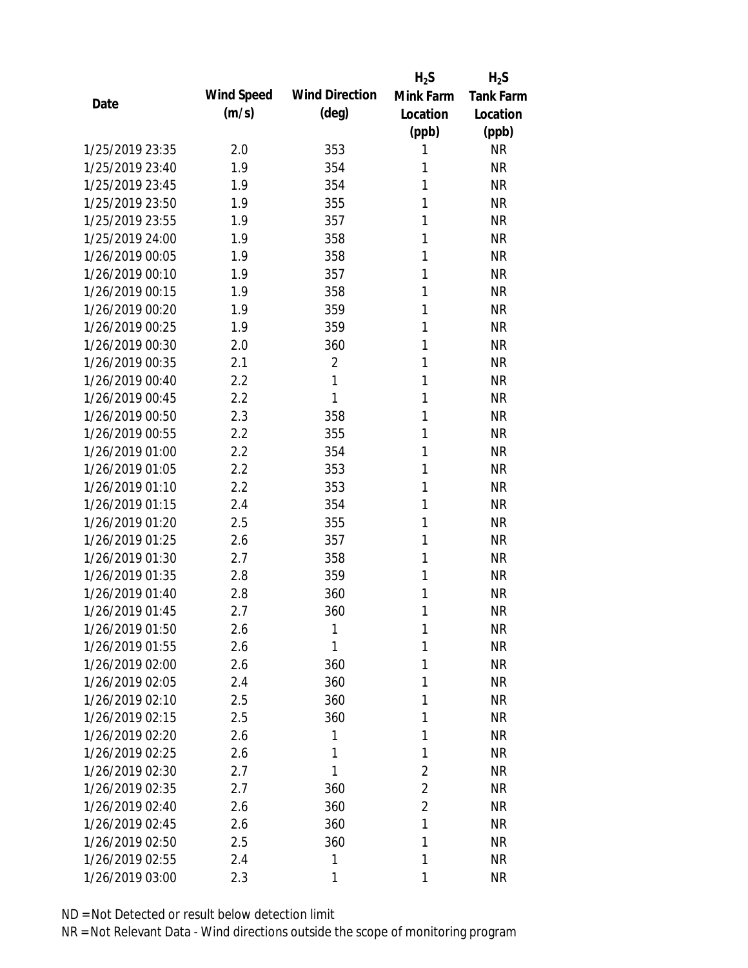|                 |            |                       | $H_2S$         | $H_2S$           |
|-----------------|------------|-----------------------|----------------|------------------|
| Date            | Wind Speed | <b>Wind Direction</b> | Mink Farm      | <b>Tank Farm</b> |
|                 | (m/s)      | $(\text{deg})$        | Location       | Location         |
|                 |            |                       | (ppb)          | (ppb)            |
| 1/25/2019 23:35 | 2.0        | 353                   | 1              | <b>NR</b>        |
| 1/25/2019 23:40 | 1.9        | 354                   | 1              | <b>NR</b>        |
| 1/25/2019 23:45 | 1.9        | 354                   | 1              | <b>NR</b>        |
| 1/25/2019 23:50 | 1.9        | 355                   | 1              | <b>NR</b>        |
| 1/25/2019 23:55 | 1.9        | 357                   | 1              | <b>NR</b>        |
| 1/25/2019 24:00 | 1.9        | 358                   | 1              | <b>NR</b>        |
| 1/26/2019 00:05 | 1.9        | 358                   | 1              | <b>NR</b>        |
| 1/26/2019 00:10 | 1.9        | 357                   | 1              | <b>NR</b>        |
| 1/26/2019 00:15 | 1.9        | 358                   | 1              | <b>NR</b>        |
| 1/26/2019 00:20 | 1.9        | 359                   | 1              | <b>NR</b>        |
| 1/26/2019 00:25 | 1.9        | 359                   | 1              | <b>NR</b>        |
| 1/26/2019 00:30 | 2.0        | 360                   | 1              | <b>NR</b>        |
| 1/26/2019 00:35 | 2.1        | $\overline{2}$        | 1              | <b>NR</b>        |
| 1/26/2019 00:40 | 2.2        | 1                     | 1              | <b>NR</b>        |
| 1/26/2019 00:45 | 2.2        | 1                     | 1              | <b>NR</b>        |
| 1/26/2019 00:50 | 2.3        | 358                   | 1              | <b>NR</b>        |
| 1/26/2019 00:55 | 2.2        | 355                   | 1              | <b>NR</b>        |
| 1/26/2019 01:00 | 2.2        | 354                   | 1              | <b>NR</b>        |
| 1/26/2019 01:05 | 2.2        | 353                   | 1              | <b>NR</b>        |
| 1/26/2019 01:10 | 2.2        | 353                   | 1              | <b>NR</b>        |
| 1/26/2019 01:15 | 2.4        | 354                   | 1              | <b>NR</b>        |
| 1/26/2019 01:20 | 2.5        | 355                   | 1              | <b>NR</b>        |
| 1/26/2019 01:25 | 2.6        | 357                   | 1              | <b>NR</b>        |
| 1/26/2019 01:30 | 2.7        | 358                   | 1              | <b>NR</b>        |
| 1/26/2019 01:35 | 2.8        | 359                   | 1              | <b>NR</b>        |
| 1/26/2019 01:40 | 2.8        | 360                   | 1              | <b>NR</b>        |
| 1/26/2019 01:45 | 2.7        | 360                   | 1              | <b>NR</b>        |
| 1/26/2019 01:50 | 2.6        | 1                     | 1              | <b>NR</b>        |
| 1/26/2019 01:55 | 2.6        | 1                     | 1              | <b>NR</b>        |
| 1/26/2019 02:00 | 2.6        | 360                   | 1              | <b>NR</b>        |
| 1/26/2019 02:05 | 2.4        | 360                   | 1              | <b>NR</b>        |
| 1/26/2019 02:10 | 2.5        | 360                   | 1              | <b>NR</b>        |
| 1/26/2019 02:15 | 2.5        | 360                   | 1              | <b>NR</b>        |
| 1/26/2019 02:20 | 2.6        | 1                     | 1              | <b>NR</b>        |
| 1/26/2019 02:25 | 2.6        | 1                     | 1              | <b>NR</b>        |
| 1/26/2019 02:30 | 2.7        | 1                     | $\overline{2}$ | <b>NR</b>        |
| 1/26/2019 02:35 | 2.7        | 360                   | $\overline{2}$ | <b>NR</b>        |
| 1/26/2019 02:40 | 2.6        | 360                   | $\overline{2}$ | <b>NR</b>        |
| 1/26/2019 02:45 | 2.6        | 360                   | 1              | <b>NR</b>        |
| 1/26/2019 02:50 | 2.5        | 360                   | 1              | <b>NR</b>        |
| 1/26/2019 02:55 | 2.4        | 1                     | 1              | <b>NR</b>        |
| 1/26/2019 03:00 | 2.3        | 1                     | 1              | <b>NR</b>        |
|                 |            |                       |                |                  |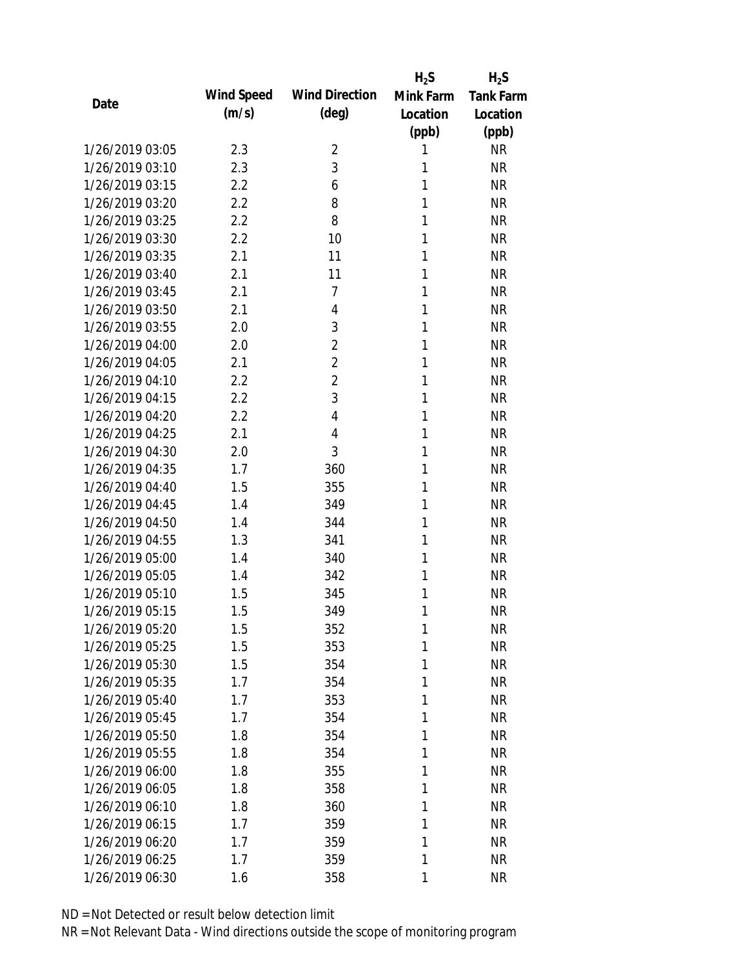|                 |            |                       | $H_2S$    | $H_2S$           |
|-----------------|------------|-----------------------|-----------|------------------|
| Date            | Wind Speed | <b>Wind Direction</b> | Mink Farm | <b>Tank Farm</b> |
|                 | (m/s)      | (deg)                 | Location  | Location         |
|                 |            |                       | (ppb)     | (ppb)            |
| 1/26/2019 03:05 | 2.3        | 2                     | 1         | <b>NR</b>        |
| 1/26/2019 03:10 | 2.3        | 3                     | 1         | <b>NR</b>        |
| 1/26/2019 03:15 | 2.2        | 6                     | 1         | <b>NR</b>        |
| 1/26/2019 03:20 | 2.2        | 8                     | 1         | <b>NR</b>        |
| 1/26/2019 03:25 | 2.2        | 8                     | 1         | <b>NR</b>        |
| 1/26/2019 03:30 | 2.2        | 10                    | 1         | <b>NR</b>        |
| 1/26/2019 03:35 | 2.1        | 11                    | 1         | <b>NR</b>        |
| 1/26/2019 03:40 | 2.1        | 11                    | 1         | <b>NR</b>        |
| 1/26/2019 03:45 | 2.1        | 7                     | 1         | <b>NR</b>        |
| 1/26/2019 03:50 | 2.1        | 4                     | 1         | <b>NR</b>        |
| 1/26/2019 03:55 | 2.0        | 3                     | 1         | <b>NR</b>        |
| 1/26/2019 04:00 | 2.0        | $\overline{2}$        | 1         | <b>NR</b>        |
| 1/26/2019 04:05 | 2.1        | $\overline{2}$        | 1         | <b>NR</b>        |
| 1/26/2019 04:10 | 2.2        | $\overline{2}$        | 1         | <b>NR</b>        |
| 1/26/2019 04:15 | 2.2        | 3                     | 1         | <b>NR</b>        |
| 1/26/2019 04:20 | 2.2        | 4                     | 1         | <b>NR</b>        |
| 1/26/2019 04:25 | 2.1        | 4                     | 1         | <b>NR</b>        |
| 1/26/2019 04:30 | 2.0        | 3                     | 1         | <b>NR</b>        |
| 1/26/2019 04:35 | 1.7        | 360                   | 1         | <b>NR</b>        |
| 1/26/2019 04:40 | 1.5        | 355                   | 1         | <b>NR</b>        |
| 1/26/2019 04:45 | 1.4        | 349                   | 1         | <b>NR</b>        |
| 1/26/2019 04:50 | 1.4        | 344                   | 1         | <b>NR</b>        |
| 1/26/2019 04:55 | 1.3        | 341                   | 1         | <b>NR</b>        |
| 1/26/2019 05:00 | 1.4        | 340                   | 1         | <b>NR</b>        |
| 1/26/2019 05:05 | 1.4        | 342                   | 1         | <b>NR</b>        |
| 1/26/2019 05:10 | 1.5        | 345                   | 1         | <b>NR</b>        |
| 1/26/2019 05:15 | 1.5        | 349                   | 1         | <b>NR</b>        |
| 1/26/2019 05:20 | 1.5        | 352                   | 1         | <b>NR</b>        |
| 1/26/2019 05:25 | 1.5        | 353                   | 1         | <b>NR</b>        |
| 1/26/2019 05:30 | 1.5        | 354                   | 1         | <b>NR</b>        |
| 1/26/2019 05:35 | 1.7        | 354                   | 1         | <b>NR</b>        |
| 1/26/2019 05:40 | 1.7        | 353                   | 1         | <b>NR</b>        |
| 1/26/2019 05:45 | 1.7        | 354                   | 1         | <b>NR</b>        |
| 1/26/2019 05:50 | 1.8        | 354                   | 1         | <b>NR</b>        |
| 1/26/2019 05:55 | 1.8        | 354                   | 1         | <b>NR</b>        |
| 1/26/2019 06:00 | 1.8        | 355                   | 1         | <b>NR</b>        |
| 1/26/2019 06:05 | 1.8        | 358                   | 1         | <b>NR</b>        |
| 1/26/2019 06:10 | 1.8        | 360                   | 1         | <b>NR</b>        |
| 1/26/2019 06:15 | 1.7        | 359                   | 1         | <b>NR</b>        |
| 1/26/2019 06:20 | 1.7        | 359                   | 1         | <b>NR</b>        |
| 1/26/2019 06:25 | 1.7        | 359                   | 1         | <b>NR</b>        |
| 1/26/2019 06:30 | 1.6        | 358                   | 1         | <b>NR</b>        |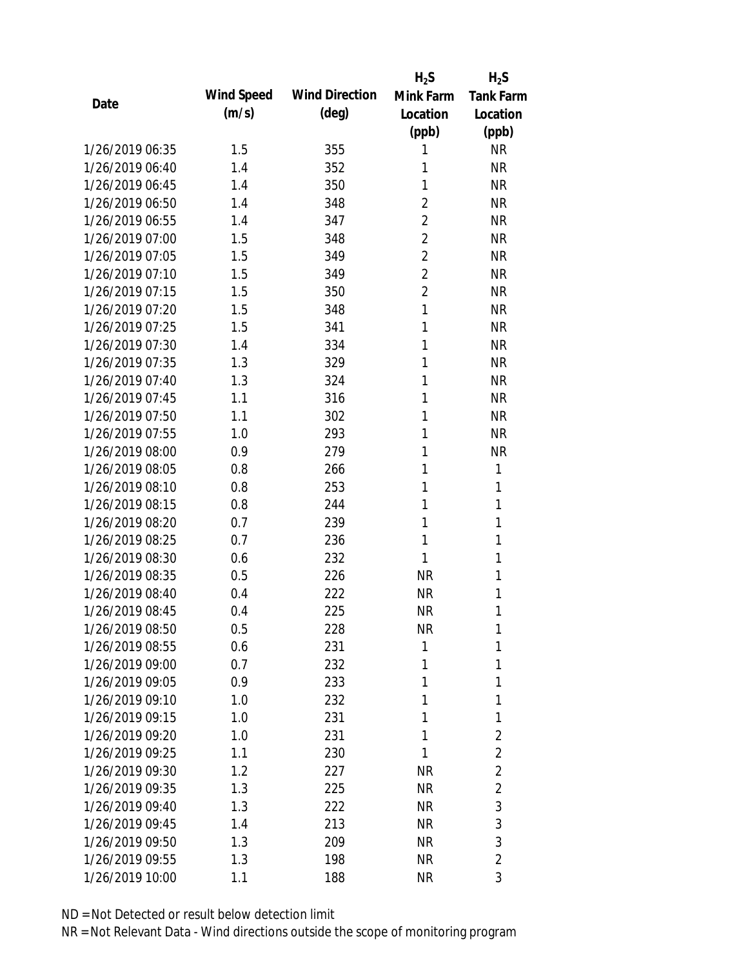|                 |            |                       | $H_2S$         | $H_2S$           |
|-----------------|------------|-----------------------|----------------|------------------|
| Date            | Wind Speed | <b>Wind Direction</b> | Mink Farm      | <b>Tank Farm</b> |
|                 | (m/s)      | $(\text{deg})$        | Location       | Location         |
|                 |            |                       | (ppb)          | (ppb)            |
| 1/26/2019 06:35 | 1.5        | 355                   | 1              | <b>NR</b>        |
| 1/26/2019 06:40 | 1.4        | 352                   | 1              | <b>NR</b>        |
| 1/26/2019 06:45 | 1.4        | 350                   | 1              | <b>NR</b>        |
| 1/26/2019 06:50 | 1.4        | 348                   | 2              | <b>NR</b>        |
| 1/26/2019 06:55 | 1.4        | 347                   | 2              | <b>NR</b>        |
| 1/26/2019 07:00 | 1.5        | 348                   | $\overline{2}$ | <b>NR</b>        |
| 1/26/2019 07:05 | 1.5        | 349                   | 2              | <b>NR</b>        |
| 1/26/2019 07:10 | 1.5        | 349                   | $\overline{2}$ | <b>NR</b>        |
| 1/26/2019 07:15 | 1.5        | 350                   | 2              | <b>NR</b>        |
| 1/26/2019 07:20 | 1.5        | 348                   | $\mathbf{1}$   | <b>NR</b>        |
| 1/26/2019 07:25 | 1.5        | 341                   | 1              | <b>NR</b>        |
| 1/26/2019 07:30 | 1.4        | 334                   | 1              | <b>NR</b>        |
| 1/26/2019 07:35 | 1.3        | 329                   | 1              | <b>NR</b>        |
| 1/26/2019 07:40 | 1.3        | 324                   | 1              | <b>NR</b>        |
| 1/26/2019 07:45 | 1.1        | 316                   | 1              | <b>NR</b>        |
| 1/26/2019 07:50 | 1.1        | 302                   | 1              | <b>NR</b>        |
| 1/26/2019 07:55 | 1.0        | 293                   | 1              | <b>NR</b>        |
| 1/26/2019 08:00 | 0.9        | 279                   | 1              | <b>NR</b>        |
| 1/26/2019 08:05 | 0.8        | 266                   | 1              | 1                |
| 1/26/2019 08:10 | 0.8        | 253                   | 1              | 1                |
| 1/26/2019 08:15 | 0.8        | 244                   | 1              | 1                |
| 1/26/2019 08:20 | 0.7        | 239                   | 1              | 1                |
| 1/26/2019 08:25 | 0.7        | 236                   | 1              | 1                |
| 1/26/2019 08:30 | 0.6        | 232                   | 1              | 1                |
| 1/26/2019 08:35 | 0.5        | 226                   | <b>NR</b>      | 1                |
| 1/26/2019 08:40 | 0.4        | 222                   | <b>NR</b>      | 1                |
| 1/26/2019 08:45 | 0.4        | 225                   | <b>NR</b>      | 1                |
| 1/26/2019 08:50 | 0.5        | 228                   | <b>NR</b>      | 1                |
| 1/26/2019 08:55 | 0.6        | 231                   | 1              | 1                |
| 1/26/2019 09:00 | 0.7        | 232                   | 1              | 1                |
| 1/26/2019 09:05 | 0.9        | 233                   | 1              | 1                |
| 1/26/2019 09:10 | 1.0        | 232                   | 1              | 1                |
| 1/26/2019 09:15 | 1.0        | 231                   | 1              | 1                |
| 1/26/2019 09:20 | 1.0        | 231                   | 1              | $\overline{2}$   |
| 1/26/2019 09:25 | 1.1        | 230                   | 1              | $\overline{2}$   |
| 1/26/2019 09:30 | 1.2        | 227                   | <b>NR</b>      | $\overline{2}$   |
| 1/26/2019 09:35 | 1.3        | 225                   | NR             | $\overline{2}$   |
| 1/26/2019 09:40 | 1.3        | 222                   | NR             | 3                |
| 1/26/2019 09:45 | 1.4        | 213                   | NR.            | 3                |
| 1/26/2019 09:50 | 1.3        | 209                   | NR             | 3                |
| 1/26/2019 09:55 | 1.3        | 198                   | <b>NR</b>      | $\overline{2}$   |
| 1/26/2019 10:00 | 1.1        | 188                   | <b>NR</b>      | 3                |
|                 |            |                       |                |                  |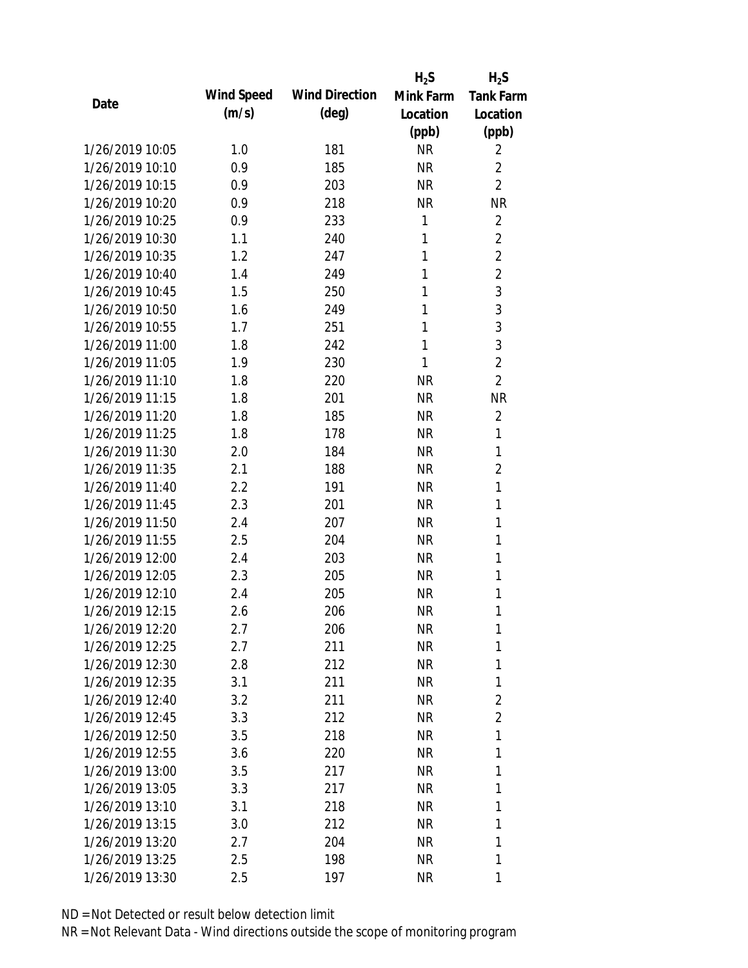|                 |            |                       | $H_2S$    | $H_2S$           |
|-----------------|------------|-----------------------|-----------|------------------|
| Date            | Wind Speed | <b>Wind Direction</b> | Mink Farm | <b>Tank Farm</b> |
|                 | (m/s)      | $(\text{deg})$        | Location  | Location         |
|                 |            |                       | (ppb)     | (ppb)            |
| 1/26/2019 10:05 | 1.0        | 181                   | <b>NR</b> | 2                |
| 1/26/2019 10:10 | 0.9        | 185                   | <b>NR</b> | $\overline{2}$   |
| 1/26/2019 10:15 | 0.9        | 203                   | <b>NR</b> | $\overline{2}$   |
| 1/26/2019 10:20 | 0.9        | 218                   | <b>NR</b> | <b>NR</b>        |
| 1/26/2019 10:25 | 0.9        | 233                   | 1         | $\overline{2}$   |
| 1/26/2019 10:30 | 1.1        | 240                   | 1         | $\overline{2}$   |
| 1/26/2019 10:35 | 1.2        | 247                   | 1         | $\overline{2}$   |
| 1/26/2019 10:40 | 1.4        | 249                   | 1         | $\overline{2}$   |
| 1/26/2019 10:45 | 1.5        | 250                   | 1         | 3                |
| 1/26/2019 10:50 | 1.6        | 249                   | 1         | 3                |
| 1/26/2019 10:55 | 1.7        | 251                   | 1         | 3                |
| 1/26/2019 11:00 | 1.8        | 242                   | 1         | 3                |
| 1/26/2019 11:05 | 1.9        | 230                   | 1         | $\overline{2}$   |
| 1/26/2019 11:10 | 1.8        | 220                   | <b>NR</b> | $\overline{2}$   |
| 1/26/2019 11:15 | 1.8        | 201                   | <b>NR</b> | <b>NR</b>        |
| 1/26/2019 11:20 | 1.8        | 185                   | <b>NR</b> | $\overline{2}$   |
| 1/26/2019 11:25 | 1.8        | 178                   | <b>NR</b> | 1                |
| 1/26/2019 11:30 | 2.0        | 184                   | <b>NR</b> | 1                |
| 1/26/2019 11:35 | 2.1        | 188                   | <b>NR</b> | $\overline{2}$   |
| 1/26/2019 11:40 | 2.2        | 191                   | <b>NR</b> | 1                |
| 1/26/2019 11:45 | 2.3        | 201                   | <b>NR</b> | 1                |
| 1/26/2019 11:50 | 2.4        | 207                   | <b>NR</b> | 1                |
| 1/26/2019 11:55 | 2.5        | 204                   | <b>NR</b> | 1                |
| 1/26/2019 12:00 | 2.4        | 203                   | <b>NR</b> | 1                |
| 1/26/2019 12:05 | 2.3        | 205                   | <b>NR</b> | 1                |
| 1/26/2019 12:10 | 2.4        | 205                   | <b>NR</b> | 1                |
| 1/26/2019 12:15 | 2.6        | 206                   | <b>NR</b> | 1                |
| 1/26/2019 12:20 | 2.7        | 206                   | <b>NR</b> | 1                |
| 1/26/2019 12:25 | 2.7        | 211                   | NR        | 1                |
| 1/26/2019 12:30 | 2.8        | 212                   | NR        | 1                |
| 1/26/2019 12:35 | 3.1        | 211                   | NR        | 1                |
| 1/26/2019 12:40 | 3.2        | 211                   | NR        | $\overline{2}$   |
| 1/26/2019 12:45 | 3.3        | 212                   | NR        | $\overline{2}$   |
| 1/26/2019 12:50 | 3.5        | 218                   | NR        | 1                |
| 1/26/2019 12:55 | 3.6        | 220                   | NR        | 1                |
| 1/26/2019 13:00 | 3.5        | 217                   | NR        | 1                |
| 1/26/2019 13:05 | 3.3        | 217                   | NR        | 1                |
| 1/26/2019 13:10 | 3.1        | 218                   | NR        | 1                |
| 1/26/2019 13:15 | 3.0        | 212                   | NR.       | 1                |
| 1/26/2019 13:20 | 2.7        | 204                   | NR        | 1                |
| 1/26/2019 13:25 | 2.5        | 198                   | <b>NR</b> | 1                |
| 1/26/2019 13:30 | 2.5        | 197                   | <b>NR</b> | 1                |
|                 |            |                       |           |                  |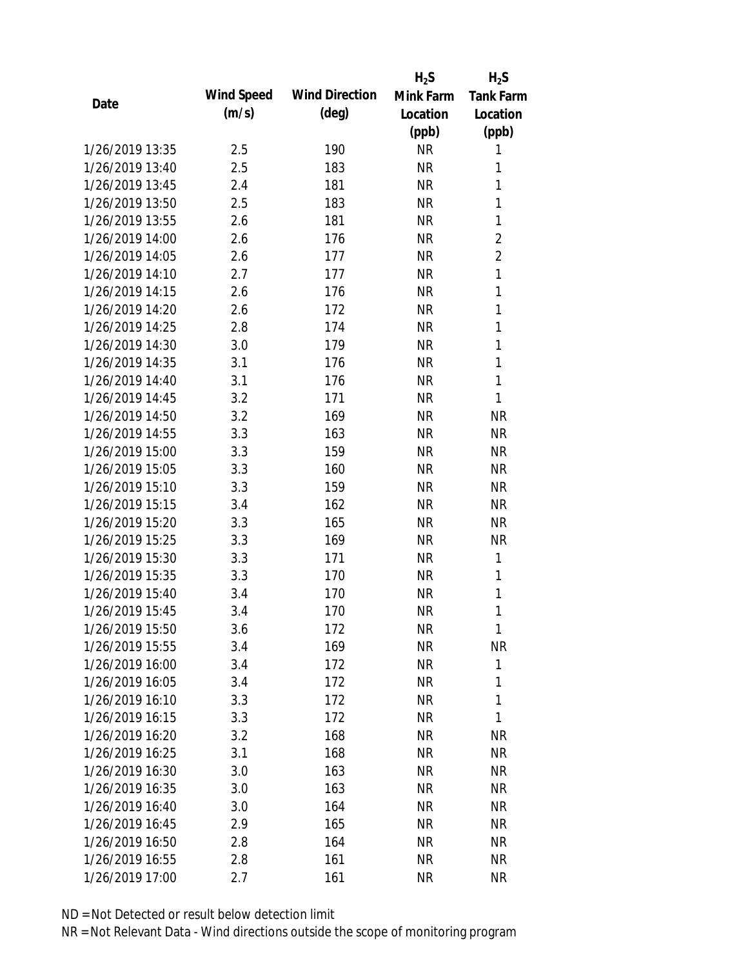|      |                 |            |                       | $H_2S$    | $H_2S$           |
|------|-----------------|------------|-----------------------|-----------|------------------|
| Date |                 | Wind Speed | <b>Wind Direction</b> | Mink Farm | <b>Tank Farm</b> |
|      |                 | (m/s)      | $(\text{deg})$        | Location  | Location         |
|      |                 |            |                       | (ppb)     | (ppb)            |
|      | 1/26/2019 13:35 | 2.5        | 190                   | <b>NR</b> | 1                |
|      | 1/26/2019 13:40 | 2.5        | 183                   | <b>NR</b> | 1                |
|      | 1/26/2019 13:45 | 2.4        | 181                   | <b>NR</b> | 1                |
|      | 1/26/2019 13:50 | 2.5        | 183                   | <b>NR</b> | 1                |
|      | 1/26/2019 13:55 | 2.6        | 181                   | <b>NR</b> | $\mathbf{1}$     |
|      | 1/26/2019 14:00 | 2.6        | 176                   | <b>NR</b> | $\overline{2}$   |
|      | 1/26/2019 14:05 | 2.6        | 177                   | <b>NR</b> | $\overline{2}$   |
|      | 1/26/2019 14:10 | 2.7        | 177                   | <b>NR</b> | 1                |
|      | 1/26/2019 14:15 | 2.6        | 176                   | <b>NR</b> | $\mathbf{1}$     |
|      | 1/26/2019 14:20 | 2.6        | 172                   | <b>NR</b> | $\mathbf{1}$     |
|      | 1/26/2019 14:25 | 2.8        | 174                   | <b>NR</b> | 1                |
|      | 1/26/2019 14:30 | 3.0        | 179                   | <b>NR</b> | 1                |
|      | 1/26/2019 14:35 | 3.1        | 176                   | <b>NR</b> | 1                |
|      | 1/26/2019 14:40 | 3.1        | 176                   | <b>NR</b> | 1                |
|      | 1/26/2019 14:45 | 3.2        | 171                   | <b>NR</b> | $\mathbf{1}$     |
|      | 1/26/2019 14:50 | 3.2        | 169                   | <b>NR</b> | <b>NR</b>        |
|      | 1/26/2019 14:55 | 3.3        | 163                   | <b>NR</b> | <b>NR</b>        |
|      | 1/26/2019 15:00 | 3.3        | 159                   | <b>NR</b> | <b>NR</b>        |
|      | 1/26/2019 15:05 | 3.3        | 160                   | <b>NR</b> | <b>NR</b>        |
|      | 1/26/2019 15:10 | 3.3        | 159                   | <b>NR</b> | <b>NR</b>        |
|      | 1/26/2019 15:15 | 3.4        | 162                   | <b>NR</b> | <b>NR</b>        |
|      | 1/26/2019 15:20 | 3.3        | 165                   | <b>NR</b> | <b>NR</b>        |
|      | 1/26/2019 15:25 | 3.3        | 169                   | <b>NR</b> | <b>NR</b>        |
|      | 1/26/2019 15:30 | 3.3        | 171                   | <b>NR</b> | 1                |
|      | 1/26/2019 15:35 | 3.3        | 170                   | <b>NR</b> | 1                |
|      | 1/26/2019 15:40 | 3.4        | 170                   | <b>NR</b> | 1                |
|      | 1/26/2019 15:45 | 3.4        | 170                   | <b>NR</b> | 1                |
|      | 1/26/2019 15:50 | 3.6        | 172                   | <b>NR</b> | 1                |
|      | 1/26/2019 15:55 | 3.4        | 169                   | <b>NR</b> | <b>NR</b>        |
|      | 1/26/2019 16:00 | 3.4        | 172                   | <b>NR</b> | 1                |
|      | 1/26/2019 16:05 | 3.4        | 172                   | <b>NR</b> | 1                |
|      | 1/26/2019 16:10 | 3.3        | 172                   | <b>NR</b> | 1                |
|      | 1/26/2019 16:15 | 3.3        | 172                   | <b>NR</b> | 1                |
|      | 1/26/2019 16:20 | 3.2        | 168                   | <b>NR</b> | <b>NR</b>        |
|      | 1/26/2019 16:25 | 3.1        | 168                   | <b>NR</b> | NR               |
|      | 1/26/2019 16:30 | 3.0        | 163                   | <b>NR</b> | <b>NR</b>        |
|      | 1/26/2019 16:35 | 3.0        | 163                   | <b>NR</b> | NR               |
|      | 1/26/2019 16:40 | 3.0        | 164                   | <b>NR</b> | NR               |
|      | 1/26/2019 16:45 | 2.9        | 165                   | <b>NR</b> | NR               |
|      | 1/26/2019 16:50 | 2.8        | 164                   | <b>NR</b> | NR               |
|      | 1/26/2019 16:55 | 2.8        | 161                   | <b>NR</b> | <b>NR</b>        |
|      | 1/26/2019 17:00 | 2.7        | 161                   | <b>NR</b> | <b>NR</b>        |
|      |                 |            |                       |           |                  |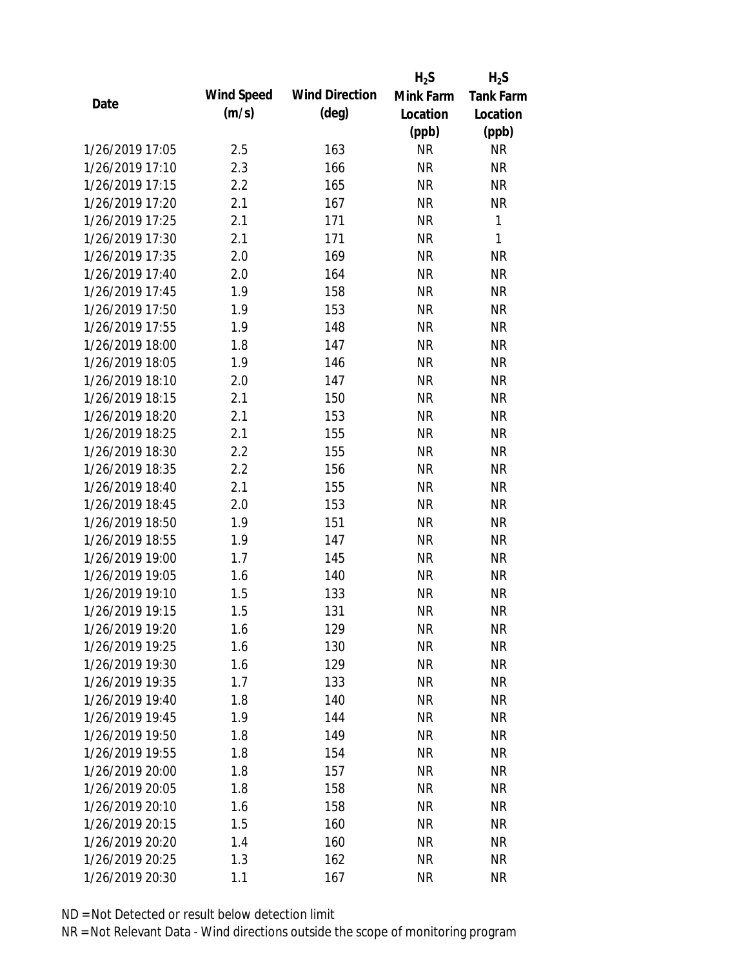|                 |            |                       | $H_2S$    | $H_2S$           |
|-----------------|------------|-----------------------|-----------|------------------|
| Date            | Wind Speed | <b>Wind Direction</b> | Mink Farm | <b>Tank Farm</b> |
|                 | (m/s)      | $(\text{deg})$        | Location  | Location         |
|                 |            |                       | (ppb)     | (ppb)            |
| 1/26/2019 17:05 | 2.5        | 163                   | <b>NR</b> | NR               |
| 1/26/2019 17:10 | 2.3        | 166                   | <b>NR</b> | <b>NR</b>        |
| 1/26/2019 17:15 | 2.2        | 165                   | <b>NR</b> | <b>NR</b>        |
| 1/26/2019 17:20 | 2.1        | 167                   | <b>NR</b> | <b>NR</b>        |
| 1/26/2019 17:25 | 2.1        | 171                   | <b>NR</b> | 1                |
| 1/26/2019 17:30 | 2.1        | 171                   | <b>NR</b> | 1                |
| 1/26/2019 17:35 | 2.0        | 169                   | <b>NR</b> | <b>NR</b>        |
| 1/26/2019 17:40 | 2.0        | 164                   | <b>NR</b> | <b>NR</b>        |
| 1/26/2019 17:45 | 1.9        | 158                   | <b>NR</b> | <b>NR</b>        |
| 1/26/2019 17:50 | 1.9        | 153                   | <b>NR</b> | <b>NR</b>        |
| 1/26/2019 17:55 | 1.9        | 148                   | <b>NR</b> | <b>NR</b>        |
| 1/26/2019 18:00 | 1.8        | 147                   | <b>NR</b> | <b>NR</b>        |
| 1/26/2019 18:05 | 1.9        | 146                   | <b>NR</b> | <b>NR</b>        |
| 1/26/2019 18:10 | 2.0        | 147                   | <b>NR</b> | <b>NR</b>        |
| 1/26/2019 18:15 | 2.1        | 150                   | <b>NR</b> | <b>NR</b>        |
| 1/26/2019 18:20 | 2.1        | 153                   | <b>NR</b> | <b>NR</b>        |
| 1/26/2019 18:25 | 2.1        | 155                   | <b>NR</b> | <b>NR</b>        |
| 1/26/2019 18:30 | 2.2        | 155                   | <b>NR</b> | <b>NR</b>        |
| 1/26/2019 18:35 | 2.2        | 156                   | <b>NR</b> | <b>NR</b>        |
| 1/26/2019 18:40 | 2.1        | 155                   | <b>NR</b> | <b>NR</b>        |
| 1/26/2019 18:45 | 2.0        | 153                   | <b>NR</b> | <b>NR</b>        |
| 1/26/2019 18:50 | 1.9        | 151                   | <b>NR</b> | <b>NR</b>        |
| 1/26/2019 18:55 | 1.9        | 147                   | <b>NR</b> | <b>NR</b>        |
| 1/26/2019 19:00 | 1.7        | 145                   | <b>NR</b> | <b>NR</b>        |
| 1/26/2019 19:05 | 1.6        | 140                   | <b>NR</b> | <b>NR</b>        |
| 1/26/2019 19:10 | 1.5        | 133                   | <b>NR</b> | <b>NR</b>        |
| 1/26/2019 19:15 | 1.5        | 131                   | <b>NR</b> | <b>NR</b>        |
| 1/26/2019 19:20 | 1.6        | 129                   | <b>NR</b> | <b>NR</b>        |
| 1/26/2019 19:25 | 1.6        | 130                   | <b>NR</b> | <b>NR</b>        |
| 1/26/2019 19:30 | 1.6        | 129                   | <b>NR</b> | <b>NR</b>        |
| 1/26/2019 19:35 | 1.7        | 133                   | <b>NR</b> | <b>NR</b>        |
| 1/26/2019 19:40 | 1.8        | 140                   | <b>NR</b> | <b>NR</b>        |
| 1/26/2019 19:45 | 1.9        | 144                   | <b>NR</b> | <b>NR</b>        |
| 1/26/2019 19:50 | 1.8        | 149                   | <b>NR</b> | <b>NR</b>        |
| 1/26/2019 19:55 | 1.8        | 154                   | <b>NR</b> | <b>NR</b>        |
| 1/26/2019 20:00 | 1.8        | 157                   | <b>NR</b> | <b>NR</b>        |
| 1/26/2019 20:05 | 1.8        | 158                   | <b>NR</b> | <b>NR</b>        |
| 1/26/2019 20:10 | 1.6        | 158                   | NR        | <b>NR</b>        |
| 1/26/2019 20:15 | 1.5        | 160                   | <b>NR</b> | <b>NR</b>        |
| 1/26/2019 20:20 | 1.4        | 160                   | <b>NR</b> | NR               |
| 1/26/2019 20:25 | 1.3        | 162                   | <b>NR</b> | <b>NR</b>        |
| 1/26/2019 20:30 | 1.1        | 167                   | <b>NR</b> | <b>NR</b>        |
|                 |            |                       |           |                  |